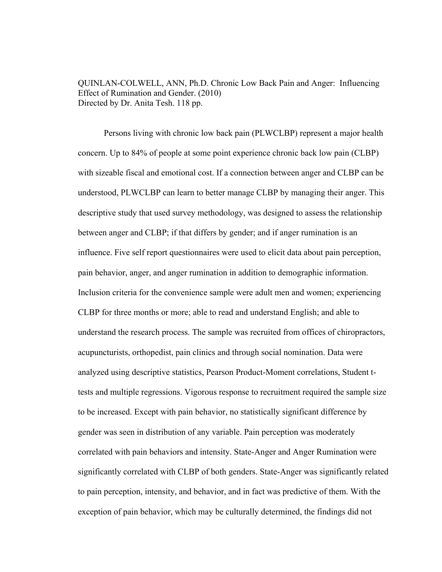QUINLAN-COLWELL, ANN, Ph.D. Chronic Low Back Pain and Anger: Influencing Effect of Rumination and Gender. (2010) Directed by Dr. Anita Tesh. 118 pp.

Persons living with chronic low back pain (PLWCLBP) represent a major health concern. Up to 84% of people at some point experience chronic back low pain (CLBP) with sizeable fiscal and emotional cost. If a connection between anger and CLBP can be understood, PLWCLBP can learn to better manage CLBP by managing their anger. This descriptive study that used survey methodology, was designed to assess the relationship between anger and CLBP; if that differs by gender; and if anger rumination is an influence. Five self report questionnaires were used to elicit data about pain perception, pain behavior, anger, and anger rumination in addition to demographic information. Inclusion criteria for the convenience sample were adult men and women; experiencing CLBP for three months or more; able to read and understand English; and able to understand the research process. The sample was recruited from offices of chiropractors, acupuncturists, orthopedist, pain clinics and through social nomination. Data were analyzed using descriptive statistics, Pearson Product-Moment correlations, Student ttests and multiple regressions. Vigorous response to recruitment required the sample size to be increased. Except with pain behavior, no statistically significant difference by gender was seen in distribution of any variable. Pain perception was moderately correlated with pain behaviors and intensity. State-Anger and Anger Rumination were significantly correlated with CLBP of both genders. State-Anger was significantly related to pain perception, intensity, and behavior, and in fact was predictive of them. With the exception of pain behavior, which may be culturally determined, the findings did not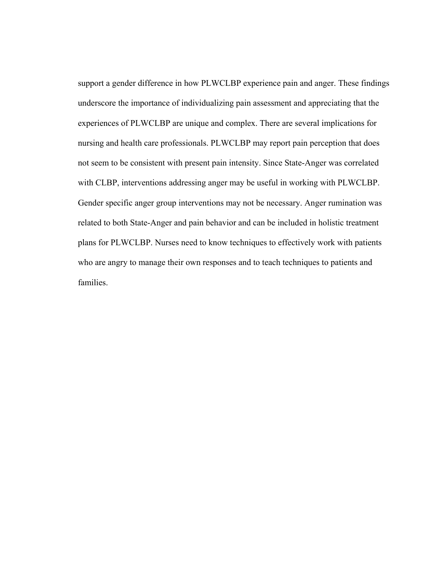support a gender difference in how PLWCLBP experience pain and anger. These findings underscore the importance of individualizing pain assessment and appreciating that the experiences of PLWCLBP are unique and complex. There are several implications for nursing and health care professionals. PLWCLBP may report pain perception that does not seem to be consistent with present pain intensity. Since State-Anger was correlated with CLBP, interventions addressing anger may be useful in working with PLWCLBP. Gender specific anger group interventions may not be necessary. Anger rumination was related to both State-Anger and pain behavior and can be included in holistic treatment plans for PLWCLBP. Nurses need to know techniques to effectively work with patients who are angry to manage their own responses and to teach techniques to patients and families.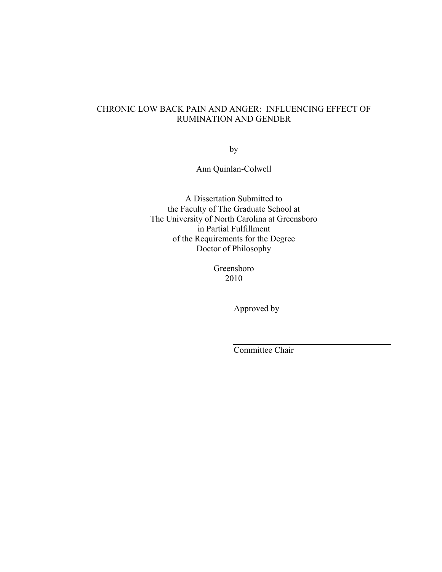# CHRONIC LOW BACK PAIN AND ANGER: INFLUENCING EFFECT OF RUMINATION AND GENDER

by

Ann Quinlan-Colwell

A Dissertation Submitted to the Faculty of The Graduate School at The University of North Carolina at Greensboro in Partial Fulfillment of the Requirements for the Degree Doctor of Philosophy

> Greensboro 2010

> > Approved by

Committee Chair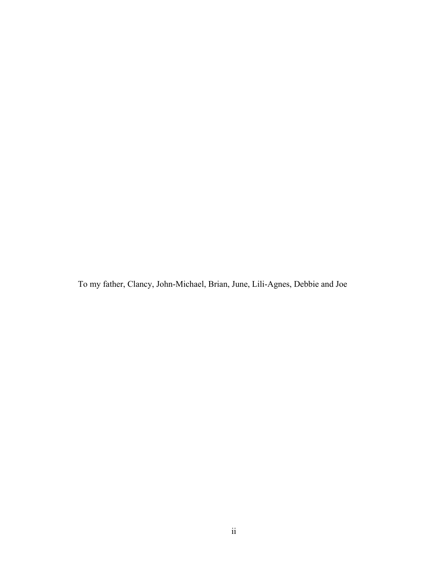To my father, Clancy, John-Michael, Brian, June, Lili-Agnes, Debbie and Joe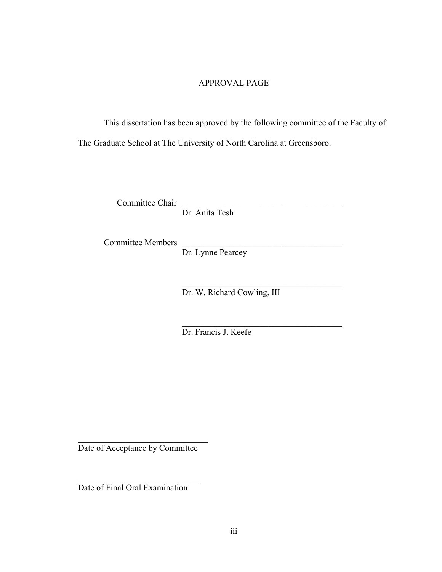# APPROVAL PAGE

This dissertation has been approved by the following committee of the Faculty of The Graduate School at The University of North Carolina at Greensboro.

Committee Chair

Dr. Anita Tesh

Committee Members

Dr. Lynne Pearcey

 $\mathcal{L}_\mathcal{L} = \{ \mathcal{L}_\mathcal{L} \mid \mathcal{L}_\mathcal{L} = \{ \mathcal{L}_\mathcal{L} \mid \mathcal{L}_\mathcal{L} = \{ \mathcal{L}_\mathcal{L} \mid \mathcal{L}_\mathcal{L} = \{ \mathcal{L}_\mathcal{L} \mid \mathcal{L}_\mathcal{L} = \{ \mathcal{L}_\mathcal{L} \mid \mathcal{L}_\mathcal{L} = \{ \mathcal{L}_\mathcal{L} \mid \mathcal{L}_\mathcal{L} = \{ \mathcal{L}_\mathcal{L} \mid \mathcal{L}_\mathcal{L} = \{ \math$ Dr. W. Richard Cowling, III

> $\mathcal{L}_\text{max}$ Dr. Francis J. Keefe

Date of Acceptance by Committee

 $\mathcal{L}_\text{max}$  , where  $\mathcal{L}_\text{max}$  and  $\mathcal{L}_\text{max}$ 

 $\mathcal{L}_\text{max}$ 

Date of Final Oral Examination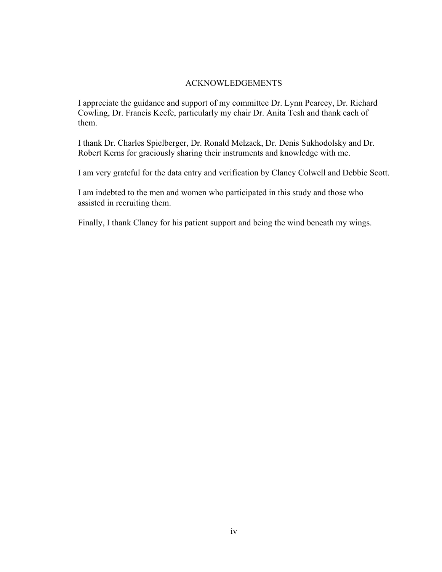# ACKNOWLEDGEMENTS

I appreciate the guidance and support of my committee Dr. Lynn Pearcey, Dr. Richard Cowling, Dr. Francis Keefe, particularly my chair Dr. Anita Tesh and thank each of them.

I thank Dr. Charles Spielberger, Dr. Ronald Melzack, Dr. Denis Sukhodolsky and Dr. Robert Kerns for graciously sharing their instruments and knowledge with me.

I am very grateful for the data entry and verification by Clancy Colwell and Debbie Scott.

I am indebted to the men and women who participated in this study and those who assisted in recruiting them.

Finally, I thank Clancy for his patient support and being the wind beneath my wings.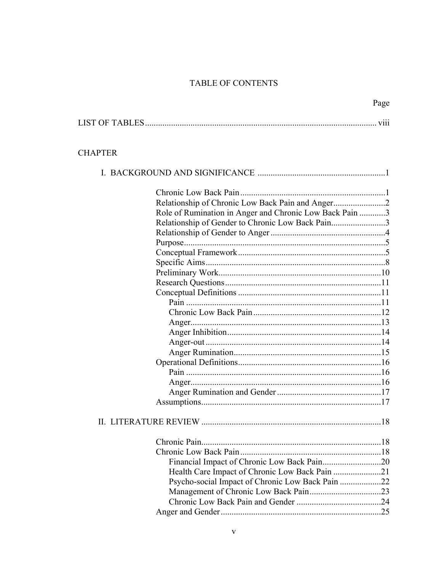# TABLE OF CONTENTS

|                                                         | Page |
|---------------------------------------------------------|------|
|                                                         |      |
| <b>CHAPTER</b>                                          |      |
|                                                         |      |
|                                                         |      |
|                                                         |      |
| Role of Rumination in Anger and Chronic Low Back Pain 3 |      |
| Relationship of Gender to Chronic Low Back Pain3        |      |
|                                                         |      |
|                                                         |      |
|                                                         |      |
|                                                         |      |
|                                                         |      |
|                                                         |      |
|                                                         |      |
|                                                         |      |
|                                                         |      |
|                                                         |      |
|                                                         |      |
|                                                         |      |
|                                                         |      |
|                                                         |      |
|                                                         |      |
|                                                         |      |
|                                                         |      |
|                                                         |      |
|                                                         | .18  |
|                                                         |      |
|                                                         |      |
| Financial Impact of Chronic Low Back Pain20             |      |
| Health Care Impact of Chronic Low Back Pain 21          |      |
| Psycho-social Impact of Chronic Low Back Pain 22        |      |
|                                                         |      |
|                                                         |      |
|                                                         |      |
|                                                         |      |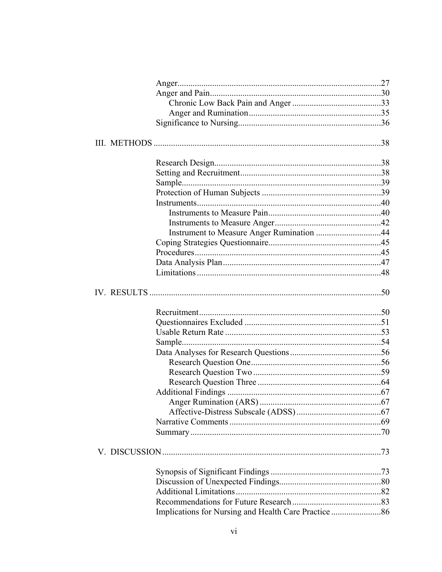| Instrument to Measure Anger Rumination 44 |  |
|-------------------------------------------|--|
|                                           |  |
|                                           |  |
|                                           |  |
|                                           |  |
|                                           |  |
|                                           |  |
|                                           |  |
|                                           |  |
|                                           |  |
|                                           |  |
|                                           |  |
|                                           |  |
|                                           |  |
|                                           |  |
|                                           |  |
|                                           |  |
|                                           |  |
|                                           |  |
|                                           |  |
|                                           |  |
|                                           |  |
|                                           |  |
|                                           |  |
|                                           |  |
|                                           |  |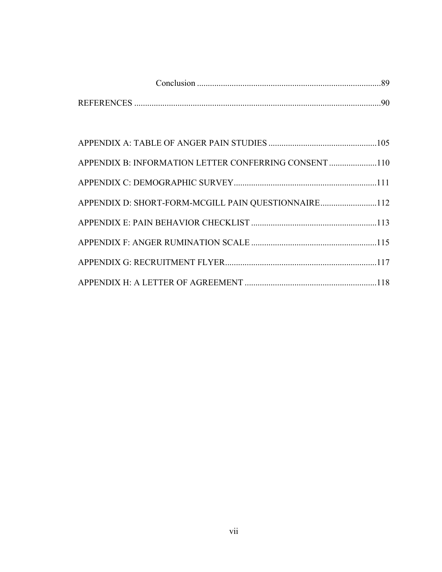| <b>REFERENCES</b> |  |
|-------------------|--|

| APPENDIX B: INFORMATION LETTER CONFERRING CONSENT 110 |  |
|-------------------------------------------------------|--|
|                                                       |  |
| APPENDIX D: SHORT-FORM-MCGILL PAIN QUESTIONNAIRE112   |  |
|                                                       |  |
|                                                       |  |
|                                                       |  |
|                                                       |  |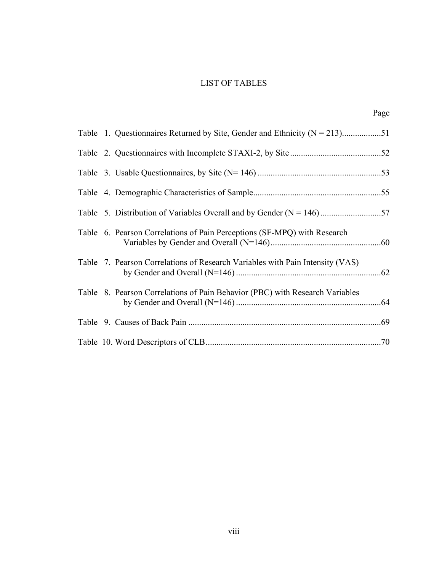# LIST OF TABLES

|  | Table 1. Questionnaires Returned by Site, Gender and Ethnicity ( $N = 213$ )51 |  |
|--|--------------------------------------------------------------------------------|--|
|  |                                                                                |  |
|  |                                                                                |  |
|  |                                                                                |  |
|  |                                                                                |  |
|  | Table 6. Pearson Correlations of Pain Perceptions (SF-MPQ) with Research       |  |
|  | Table 7. Pearson Correlations of Research Variables with Pain Intensity (VAS)  |  |
|  | Table 8. Pearson Correlations of Pain Behavior (PBC) with Research Variables   |  |
|  |                                                                                |  |
|  |                                                                                |  |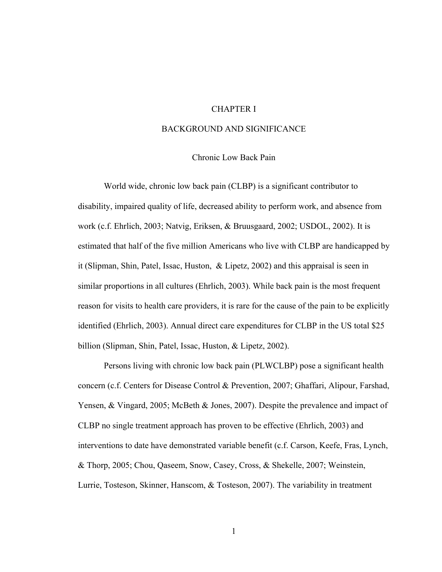# CHAPTER I

#### BACKGROUND AND SIGNIFICANCE

### Chronic Low Back Pain

World wide, chronic low back pain (CLBP) is a significant contributor to disability, impaired quality of life, decreased ability to perform work, and absence from work (c.f. Ehrlich, 2003; Natvig, Eriksen, & Bruusgaard, 2002; USDOL, 2002). It is estimated that half of the five million Americans who live with CLBP are handicapped by it (Slipman, Shin, Patel, Issac, Huston, & Lipetz, 2002) and this appraisal is seen in similar proportions in all cultures (Ehrlich, 2003). While back pain is the most frequent reason for visits to health care providers, it is rare for the cause of the pain to be explicitly identified (Ehrlich, 2003). Annual direct care expenditures for CLBP in the US total \$25 billion (Slipman, Shin, Patel, Issac, Huston, & Lipetz, 2002).

 Persons living with chronic low back pain (PLWCLBP) pose a significant health concern (c.f. Centers for Disease Control & Prevention, 2007; Ghaffari, Alipour, Farshad, Yensen, & Vingard, 2005; McBeth & Jones, 2007). Despite the prevalence and impact of CLBP no single treatment approach has proven to be effective (Ehrlich, 2003) and interventions to date have demonstrated variable benefit (c.f. Carson, Keefe, Fras, Lynch, & Thorp, 2005; Chou, Qaseem, Snow, Casey, Cross, & Shekelle, 2007; Weinstein, Lurrie, Tosteson, Skinner, Hanscom, & Tosteson, 2007). The variability in treatment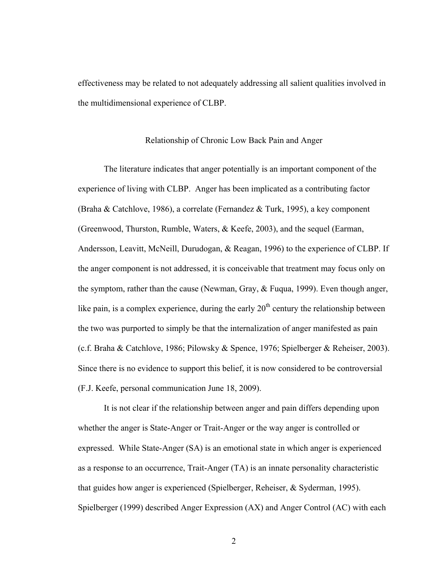effectiveness may be related to not adequately addressing all salient qualities involved in the multidimensional experience of CLBP.

#### Relationship of Chronic Low Back Pain and Anger

The literature indicates that anger potentially is an important component of the experience of living with CLBP. Anger has been implicated as a contributing factor (Braha & Catchlove, 1986), a correlate (Fernandez & Turk, 1995), a key component (Greenwood, Thurston, Rumble, Waters, & Keefe, 2003), and the sequel (Earman, Andersson, Leavitt, McNeill, Durudogan, & Reagan, 1996) to the experience of CLBP. If the anger component is not addressed, it is conceivable that treatment may focus only on the symptom, rather than the cause (Newman, Gray, & Fuqua, 1999). Even though anger, like pain, is a complex experience, during the early  $20<sup>th</sup>$  century the relationship between the two was purported to simply be that the internalization of anger manifested as pain (c.f. Braha & Catchlove, 1986; Pilowsky & Spence, 1976; Spielberger & Reheiser, 2003). Since there is no evidence to support this belief, it is now considered to be controversial (F.J. Keefe, personal communication June 18, 2009).

It is not clear if the relationship between anger and pain differs depending upon whether the anger is State-Anger or Trait-Anger or the way anger is controlled or expressed. While State-Anger (SA) is an emotional state in which anger is experienced as a response to an occurrence, Trait-Anger (TA) is an innate personality characteristic that guides how anger is experienced (Spielberger, Reheiser, & Syderman, 1995). Spielberger (1999) described Anger Expression (AX) and Anger Control (AC) with each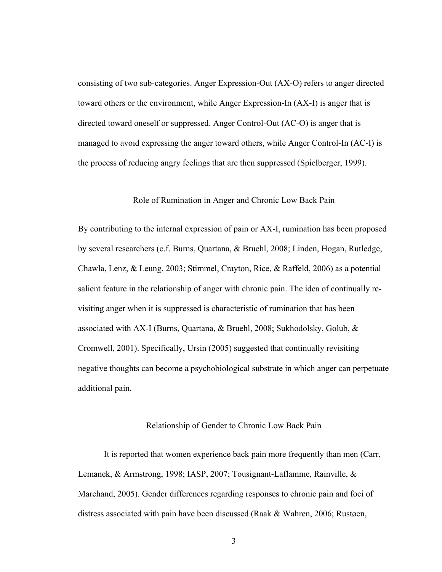consisting of two sub-categories. Anger Expression-Out (AX-O) refers to anger directed toward others or the environment, while Anger Expression-In (AX-I) is anger that is directed toward oneself or suppressed. Anger Control-Out (AC-O) is anger that is managed to avoid expressing the anger toward others, while Anger Control-In (AC-I) is the process of reducing angry feelings that are then suppressed (Spielberger, 1999).

## Role of Rumination in Anger and Chronic Low Back Pain

By contributing to the internal expression of pain or AX-I, rumination has been proposed by several researchers (c.f. Burns, Quartana, & Bruehl, 2008; Linden, Hogan, Rutledge, Chawla, Lenz, & Leung, 2003; Stimmel, Crayton, Rice, & Raffeld, 2006) as a potential salient feature in the relationship of anger with chronic pain. The idea of continually revisiting anger when it is suppressed is characteristic of rumination that has been associated with AX-I (Burns, Quartana, & Bruehl, 2008; Sukhodolsky, Golub, & Cromwell, 2001). Specifically, Ursin (2005) suggested that continually revisiting negative thoughts can become a psychobiological substrate in which anger can perpetuate additional pain.

#### Relationship of Gender to Chronic Low Back Pain

It is reported that women experience back pain more frequently than men (Carr, Lemanek, & Armstrong, 1998; IASP, 2007; Tousignant-Laflamme, Rainville, & Marchand, 2005). Gender differences regarding responses to chronic pain and foci of distress associated with pain have been discussed (Raak & Wahren, 2006; Rustøen,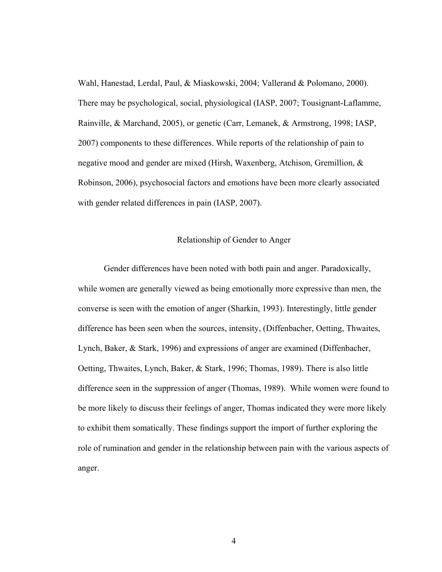Wahl, Hanestad, Lerdal, Paul, & Miaskowski, 2004; Vallerand & Polomano, 2000). There may be psychological, social, physiological (IASP, 2007; Tousignant-Laflamme, Rainville, & Marchand, 2005), or genetic (Carr, Lemanek, & Armstrong, 1998; IASP, 2007) components to these differences. While reports of the relationship of pain to negative mood and gender are mixed (Hirsh, Waxenberg, Atchison, Gremillion, & Robinson, 2006), psychosocial factors and emotions have been more clearly associated with gender related differences in pain (IASP, 2007).

## Relationship of Gender to Anger

Gender differences have been noted with both pain and anger. Paradoxically, while women are generally viewed as being emotionally more expressive than men, the converse is seen with the emotion of anger (Sharkin, 1993). Interestingly, little gender difference has been seen when the sources, intensity, (Diffenbacher, Oetting, Thwaites, Lynch, Baker, & Stark, 1996) and expressions of anger are examined (Diffenbacher, Oetting, Thwaites, Lynch, Baker, & Stark, 1996; Thomas, 1989). There is also little difference seen in the suppression of anger (Thomas, 1989). While women were found to be more likely to discuss their feelings of anger, Thomas indicated they were more likely to exhibit them somatically. These findings support the import of further exploring the role of rumination and gender in the relationship between pain with the various aspects of anger.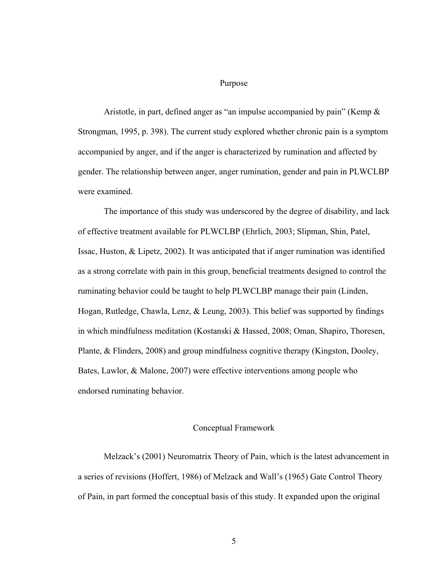#### Purpose

Aristotle, in part, defined anger as "an impulse accompanied by pain" (Kemp & Strongman, 1995, p. 398). The current study explored whether chronic pain is a symptom accompanied by anger, and if the anger is characterized by rumination and affected by gender. The relationship between anger, anger rumination, gender and pain in PLWCLBP were examined.

The importance of this study was underscored by the degree of disability, and lack of effective treatment available for PLWCLBP (Ehrlich, 2003; Slipman, Shin, Patel, Issac, Huston, & Lipetz, 2002). It was anticipated that if anger rumination was identified as a strong correlate with pain in this group, beneficial treatments designed to control the ruminating behavior could be taught to help PLWCLBP manage their pain (Linden, Hogan, Rutledge, Chawla, Lenz, & Leung, 2003). This belief was supported by findings in which mindfulness meditation (Kostanski & Hassed, 2008; Oman, Shapiro, Thoresen, Plante, & Flinders, 2008) and group mindfulness cognitive therapy (Kingston, Dooley, Bates, Lawlor, & Malone, 2007) were effective interventions among people who endorsed ruminating behavior.

#### Conceptual Framework

Melzack's (2001) Neuromatrix Theory of Pain, which is the latest advancement in a series of revisions (Hoffert, 1986) of Melzack and Wall's (1965) Gate Control Theory of Pain, in part formed the conceptual basis of this study. It expanded upon the original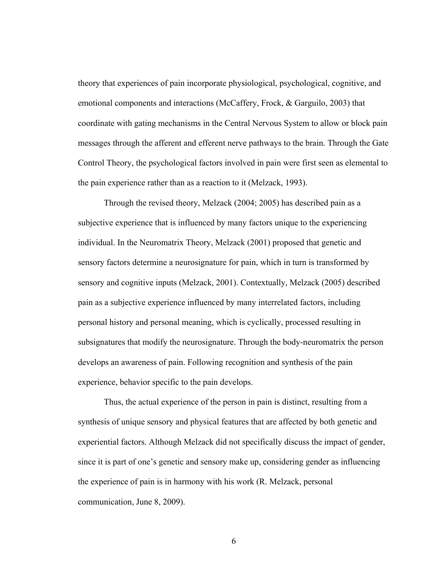theory that experiences of pain incorporate physiological, psychological, cognitive, and emotional components and interactions (McCaffery, Frock, & Garguilo, 2003) that coordinate with gating mechanisms in the Central Nervous System to allow or block pain messages through the afferent and efferent nerve pathways to the brain. Through the Gate Control Theory, the psychological factors involved in pain were first seen as elemental to the pain experience rather than as a reaction to it (Melzack, 1993).

Through the revised theory, Melzack (2004; 2005) has described pain as a subjective experience that is influenced by many factors unique to the experiencing individual. In the Neuromatrix Theory, Melzack (2001) proposed that genetic and sensory factors determine a neurosignature for pain, which in turn is transformed by sensory and cognitive inputs (Melzack, 2001). Contextually, Melzack (2005) described pain as a subjective experience influenced by many interrelated factors, including personal history and personal meaning, which is cyclically, processed resulting in subsignatures that modify the neurosignature. Through the body-neuromatrix the person develops an awareness of pain. Following recognition and synthesis of the pain experience, behavior specific to the pain develops.

Thus, the actual experience of the person in pain is distinct, resulting from a synthesis of unique sensory and physical features that are affected by both genetic and experiential factors. Although Melzack did not specifically discuss the impact of gender, since it is part of one's genetic and sensory make up, considering gender as influencing the experience of pain is in harmony with his work (R. Melzack, personal communication, June 8, 2009).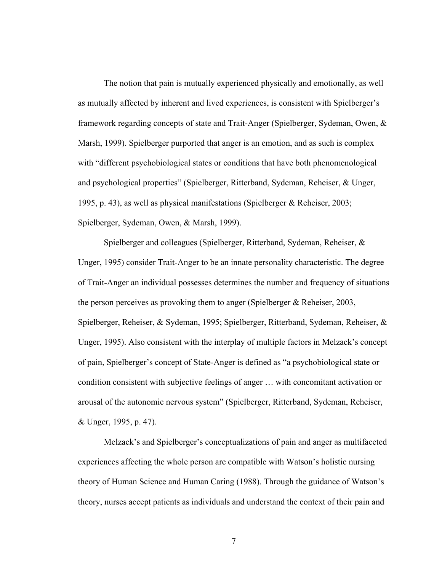The notion that pain is mutually experienced physically and emotionally, as well as mutually affected by inherent and lived experiences, is consistent with Spielberger's framework regarding concepts of state and Trait-Anger (Spielberger, Sydeman, Owen, & Marsh, 1999). Spielberger purported that anger is an emotion, and as such is complex with "different psychobiological states or conditions that have both phenomenological and psychological properties" (Spielberger, Ritterband, Sydeman, Reheiser, & Unger, 1995, p. 43), as well as physical manifestations (Spielberger & Reheiser, 2003; Spielberger, Sydeman, Owen, & Marsh, 1999).

Spielberger and colleagues (Spielberger, Ritterband, Sydeman, Reheiser, & Unger, 1995) consider Trait-Anger to be an innate personality characteristic. The degree of Trait-Anger an individual possesses determines the number and frequency of situations the person perceives as provoking them to anger (Spielberger & Reheiser, 2003, Spielberger, Reheiser, & Sydeman, 1995; Spielberger, Ritterband, Sydeman, Reheiser, & Unger, 1995). Also consistent with the interplay of multiple factors in Melzack's concept of pain, Spielberger's concept of State-Anger is defined as "a psychobiological state or condition consistent with subjective feelings of anger … with concomitant activation or arousal of the autonomic nervous system" (Spielberger, Ritterband, Sydeman, Reheiser, & Unger, 1995, p. 47).

Melzack's and Spielberger's conceptualizations of pain and anger as multifaceted experiences affecting the whole person are compatible with Watson's holistic nursing theory of Human Science and Human Caring (1988). Through the guidance of Watson's theory, nurses accept patients as individuals and understand the context of their pain and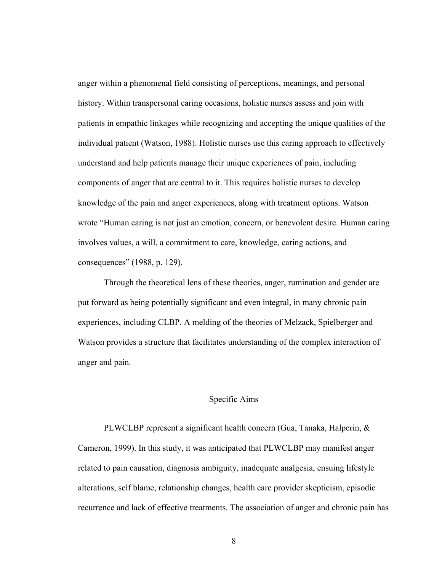anger within a phenomenal field consisting of perceptions, meanings, and personal history. Within transpersonal caring occasions, holistic nurses assess and join with patients in empathic linkages while recognizing and accepting the unique qualities of the individual patient (Watson, 1988). Holistic nurses use this caring approach to effectively understand and help patients manage their unique experiences of pain, including components of anger that are central to it. This requires holistic nurses to develop knowledge of the pain and anger experiences, along with treatment options. Watson wrote "Human caring is not just an emotion, concern, or benevolent desire. Human caring involves values, a will, a commitment to care, knowledge, caring actions, and consequences" (1988, p. 129).

Through the theoretical lens of these theories, anger, rumination and gender are put forward as being potentially significant and even integral, in many chronic pain experiences, including CLBP. A melding of the theories of Melzack, Spielberger and Watson provides a structure that facilitates understanding of the complex interaction of anger and pain.

## Specific Aims

PLWCLBP represent a significant health concern (Gua, Tanaka, Halperin, & Cameron, 1999). In this study, it was anticipated that PLWCLBP may manifest anger related to pain causation, diagnosis ambiguity, inadequate analgesia, ensuing lifestyle alterations, self blame, relationship changes, health care provider skepticism, episodic recurrence and lack of effective treatments. The association of anger and chronic pain has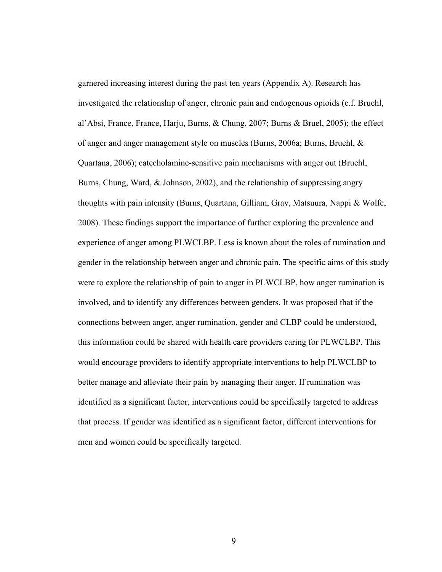garnered increasing interest during the past ten years (Appendix A). Research has investigated the relationship of anger, chronic pain and endogenous opioids (c.f. Bruehl, al'Absi, France, France, Harju, Burns, & Chung, 2007; Burns & Bruel, 2005); the effect of anger and anger management style on muscles (Burns, 2006a; Burns, Bruehl, & Quartana, 2006); catecholamine-sensitive pain mechanisms with anger out (Bruehl, Burns, Chung, Ward, & Johnson, 2002), and the relationship of suppressing angry thoughts with pain intensity (Burns, Quartana, Gilliam, Gray, Matsuura, Nappi & Wolfe, 2008). These findings support the importance of further exploring the prevalence and experience of anger among PLWCLBP. Less is known about the roles of rumination and gender in the relationship between anger and chronic pain. The specific aims of this study were to explore the relationship of pain to anger in PLWCLBP, how anger rumination is involved, and to identify any differences between genders. It was proposed that if the connections between anger, anger rumination, gender and CLBP could be understood, this information could be shared with health care providers caring for PLWCLBP. This would encourage providers to identify appropriate interventions to help PLWCLBP to better manage and alleviate their pain by managing their anger. If rumination was identified as a significant factor, interventions could be specifically targeted to address that process. If gender was identified as a significant factor, different interventions for men and women could be specifically targeted.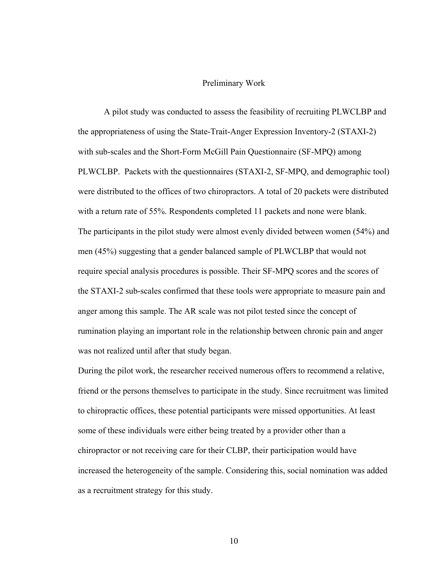#### Preliminary Work

A pilot study was conducted to assess the feasibility of recruiting PLWCLBP and the appropriateness of using the State-Trait-Anger Expression Inventory-2 (STAXI-2) with sub-scales and the Short-Form McGill Pain Questionnaire (SF-MPQ) among PLWCLBP. Packets with the questionnaires (STAXI-2, SF-MPQ, and demographic tool) were distributed to the offices of two chiropractors. A total of 20 packets were distributed with a return rate of 55%. Respondents completed 11 packets and none were blank. The participants in the pilot study were almost evenly divided between women (54%) and men (45%) suggesting that a gender balanced sample of PLWCLBP that would not require special analysis procedures is possible. Their SF-MPQ scores and the scores of the STAXI-2 sub-scales confirmed that these tools were appropriate to measure pain and anger among this sample. The AR scale was not pilot tested since the concept of rumination playing an important role in the relationship between chronic pain and anger was not realized until after that study began.

During the pilot work, the researcher received numerous offers to recommend a relative, friend or the persons themselves to participate in the study. Since recruitment was limited to chiropractic offices, these potential participants were missed opportunities. At least some of these individuals were either being treated by a provider other than a chiropractor or not receiving care for their CLBP, their participation would have increased the heterogeneity of the sample. Considering this, social nomination was added as a recruitment strategy for this study.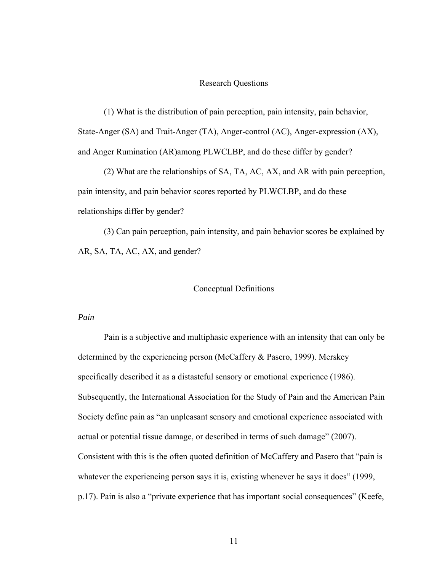# Research Questions

(1) What is the distribution of pain perception, pain intensity, pain behavior, State-Anger (SA) and Trait-Anger (TA), Anger-control (AC), Anger-expression (AX), and Anger Rumination (AR)among PLWCLBP, and do these differ by gender?

(2) What are the relationships of SA, TA, AC, AX, and AR with pain perception, pain intensity, and pain behavior scores reported by PLWCLBP, and do these relationships differ by gender?

(3) Can pain perception, pain intensity, and pain behavior scores be explained by AR, SA, TA, AC, AX, and gender?

## Conceptual Definitions

#### *Pain*

Pain is a subjective and multiphasic experience with an intensity that can only be determined by the experiencing person (McCaffery & Pasero, 1999). Merskey specifically described it as a distasteful sensory or emotional experience (1986). Subsequently, the International Association for the Study of Pain and the American Pain Society define pain as "an unpleasant sensory and emotional experience associated with actual or potential tissue damage, or described in terms of such damage" (2007). Consistent with this is the often quoted definition of McCaffery and Pasero that "pain is whatever the experiencing person says it is, existing whenever he says it does" (1999, p.17). Pain is also a "private experience that has important social consequences" (Keefe,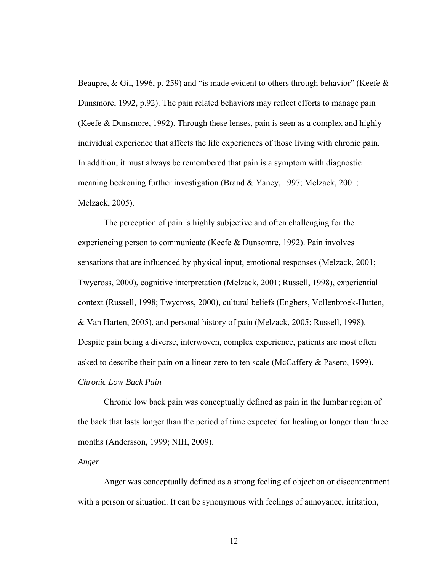Beaupre, & Gil, 1996, p. 259) and "is made evident to others through behavior" (Keefe  $\&$ Dunsmore, 1992, p.92). The pain related behaviors may reflect efforts to manage pain (Keefe & Dunsmore, 1992). Through these lenses, pain is seen as a complex and highly individual experience that affects the life experiences of those living with chronic pain. In addition, it must always be remembered that pain is a symptom with diagnostic meaning beckoning further investigation (Brand & Yancy, 1997; Melzack, 2001; Melzack, 2005).

The perception of pain is highly subjective and often challenging for the experiencing person to communicate (Keefe & Dunsomre, 1992). Pain involves sensations that are influenced by physical input, emotional responses (Melzack, 2001; Twycross, 2000), cognitive interpretation (Melzack, 2001; Russell, 1998), experiential context (Russell, 1998; Twycross, 2000), cultural beliefs (Engbers, Vollenbroek-Hutten, & Van Harten, 2005), and personal history of pain (Melzack, 2005; Russell, 1998). Despite pain being a diverse, interwoven, complex experience, patients are most often asked to describe their pain on a linear zero to ten scale (McCaffery & Pasero, 1999). *Chronic Low Back Pain* 

Chronic low back pain was conceptually defined as pain in the lumbar region of the back that lasts longer than the period of time expected for healing or longer than three months (Andersson, 1999; NIH, 2009).

## *Anger*

Anger was conceptually defined as a strong feeling of objection or discontentment with a person or situation. It can be synonymous with feelings of annoyance, irritation,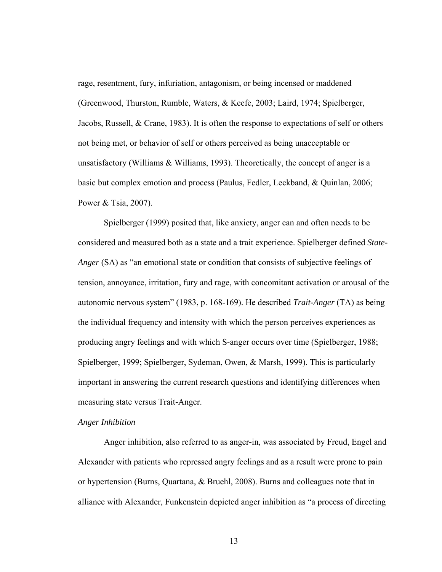rage, resentment, fury, infuriation, antagonism, or being incensed or maddened (Greenwood, Thurston, Rumble, Waters, & Keefe, 2003; Laird, 1974; Spielberger, Jacobs, Russell, & Crane, 1983). It is often the response to expectations of self or others not being met, or behavior of self or others perceived as being unacceptable or unsatisfactory (Williams & Williams, 1993). Theoretically, the concept of anger is a basic but complex emotion and process (Paulus, Fedler, Leckband, & Quinlan, 2006; Power & Tsia, 2007).

Spielberger (1999) posited that, like anxiety, anger can and often needs to be considered and measured both as a state and a trait experience. Spielberger defined *State-Anger* (SA) as "an emotional state or condition that consists of subjective feelings of tension, annoyance, irritation, fury and rage, with concomitant activation or arousal of the autonomic nervous system" (1983, p. 168-169). He described *Trait-Anger* (TA) as being the individual frequency and intensity with which the person perceives experiences as producing angry feelings and with which S-anger occurs over time (Spielberger, 1988; Spielberger, 1999; Spielberger, Sydeman, Owen, & Marsh, 1999). This is particularly important in answering the current research questions and identifying differences when measuring state versus Trait-Anger.

### *Anger Inhibition*

Anger inhibition, also referred to as anger-in, was associated by Freud, Engel and Alexander with patients who repressed angry feelings and as a result were prone to pain or hypertension (Burns, Quartana, & Bruehl, 2008). Burns and colleagues note that in alliance with Alexander, Funkenstein depicted anger inhibition as "a process of directing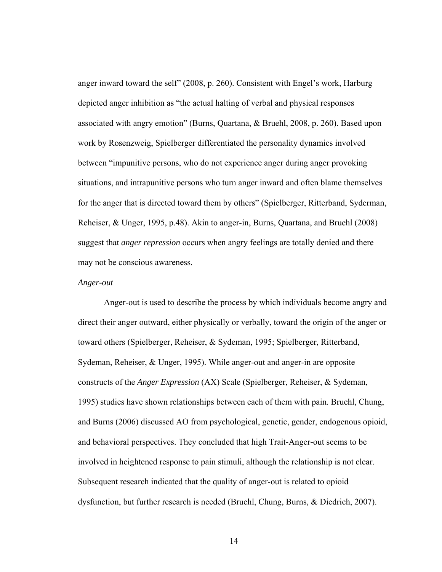anger inward toward the self" (2008, p. 260). Consistent with Engel's work, Harburg depicted anger inhibition as "the actual halting of verbal and physical responses associated with angry emotion" (Burns, Quartana, & Bruehl, 2008, p. 260). Based upon work by Rosenzweig, Spielberger differentiated the personality dynamics involved between "impunitive persons, who do not experience anger during anger provoking situations, and intrapunitive persons who turn anger inward and often blame themselves for the anger that is directed toward them by others" (Spielberger, Ritterband, Syderman, Reheiser, & Unger, 1995, p.48). Akin to anger-in, Burns, Quartana, and Bruehl (2008) suggest that *anger repression* occurs when angry feelings are totally denied and there may not be conscious awareness.

## *Anger-out*

Anger-out is used to describe the process by which individuals become angry and direct their anger outward, either physically or verbally, toward the origin of the anger or toward others (Spielberger, Reheiser, & Sydeman, 1995; Spielberger, Ritterband, Sydeman, Reheiser, & Unger, 1995). While anger-out and anger-in are opposite constructs of the *Anger Expression* (AX) Scale (Spielberger, Reheiser, & Sydeman, 1995) studies have shown relationships between each of them with pain. Bruehl, Chung, and Burns (2006) discussed AO from psychological, genetic, gender, endogenous opioid, and behavioral perspectives. They concluded that high Trait-Anger-out seems to be involved in heightened response to pain stimuli, although the relationship is not clear. Subsequent research indicated that the quality of anger-out is related to opioid dysfunction, but further research is needed (Bruehl, Chung, Burns, & Diedrich, 2007).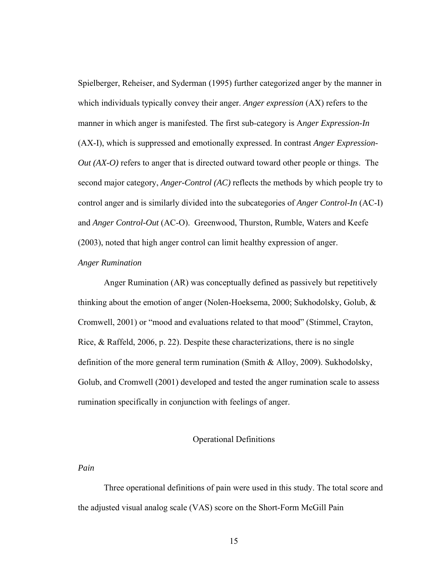Spielberger, Reheiser, and Syderman (1995) further categorized anger by the manner in which individuals typically convey their anger. *Anger expression* (AX) refers to the manner in which anger is manifested. The first sub-category is A*nger Expression-In* (AX-I), which is suppressed and emotionally expressed. In contrast *Anger Expression-Out (AX-O)* refers to anger that is directed outward toward other people or things. The second major category, *Anger-Control (AC)* reflects the methods by which people try to control anger and is similarly divided into the subcategories of *Anger Control-In* (AC-I) and *Anger Control-Out* (AC-O). Greenwood, Thurston, Rumble, Waters and Keefe (2003), noted that high anger control can limit healthy expression of anger.

## *Anger Rumination*

Anger Rumination (AR) was conceptually defined as passively but repetitively thinking about the emotion of anger (Nolen-Hoeksema, 2000; Sukhodolsky, Golub, & Cromwell, 2001) or "mood and evaluations related to that mood" (Stimmel, Crayton, Rice, & Raffeld, 2006, p. 22). Despite these characterizations, there is no single definition of the more general term rumination (Smith & Alloy, 2009). Sukhodolsky, Golub, and Cromwell (2001) developed and tested the anger rumination scale to assess rumination specifically in conjunction with feelings of anger.

## Operational Definitions

## *Pain*

Three operational definitions of pain were used in this study. The total score and the adjusted visual analog scale (VAS) score on the Short-Form McGill Pain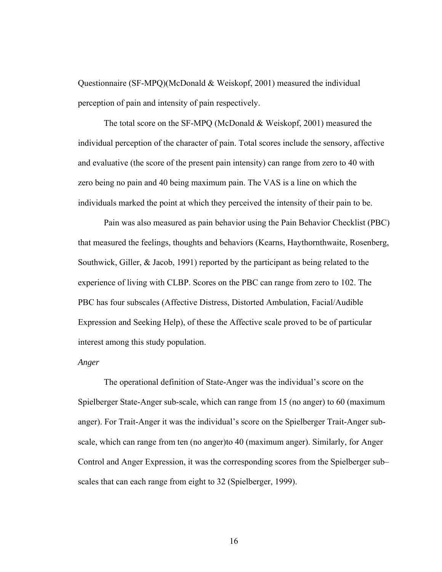Questionnaire (SF-MPQ)(McDonald & Weiskopf, 2001) measured the individual perception of pain and intensity of pain respectively.

The total score on the SF-MPQ (McDonald & Weiskopf, 2001) measured the individual perception of the character of pain. Total scores include the sensory, affective and evaluative (the score of the present pain intensity) can range from zero to 40 with zero being no pain and 40 being maximum pain. The VAS is a line on which the individuals marked the point at which they perceived the intensity of their pain to be.

Pain was also measured as pain behavior using the Pain Behavior Checklist (PBC) that measured the feelings, thoughts and behaviors (Kearns, Haythornthwaite, Rosenberg, Southwick, Giller, & Jacob, 1991) reported by the participant as being related to the experience of living with CLBP. Scores on the PBC can range from zero to 102. The PBC has four subscales (Affective Distress, Distorted Ambulation, Facial/Audible Expression and Seeking Help), of these the Affective scale proved to be of particular interest among this study population.

#### *Anger*

The operational definition of State-Anger was the individual's score on the Spielberger State-Anger sub-scale, which can range from 15 (no anger) to 60 (maximum anger). For Trait-Anger it was the individual's score on the Spielberger Trait-Anger subscale, which can range from ten (no anger)to 40 (maximum anger). Similarly, for Anger Control and Anger Expression, it was the corresponding scores from the Spielberger sub– scales that can each range from eight to 32 (Spielberger, 1999).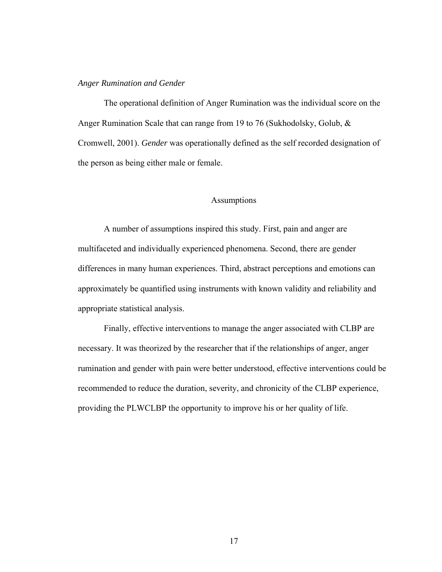#### *Anger Rumination and Gender*

The operational definition of Anger Rumination was the individual score on the Anger Rumination Scale that can range from 19 to 76 (Sukhodolsky, Golub, & Cromwell, 2001). *Gender* was operationally defined as the self recorded designation of the person as being either male or female.

## Assumptions

A number of assumptions inspired this study. First, pain and anger are multifaceted and individually experienced phenomena. Second, there are gender differences in many human experiences. Third, abstract perceptions and emotions can approximately be quantified using instruments with known validity and reliability and appropriate statistical analysis.

Finally, effective interventions to manage the anger associated with CLBP are necessary. It was theorized by the researcher that if the relationships of anger, anger rumination and gender with pain were better understood, effective interventions could be recommended to reduce the duration, severity, and chronicity of the CLBP experience, providing the PLWCLBP the opportunity to improve his or her quality of life.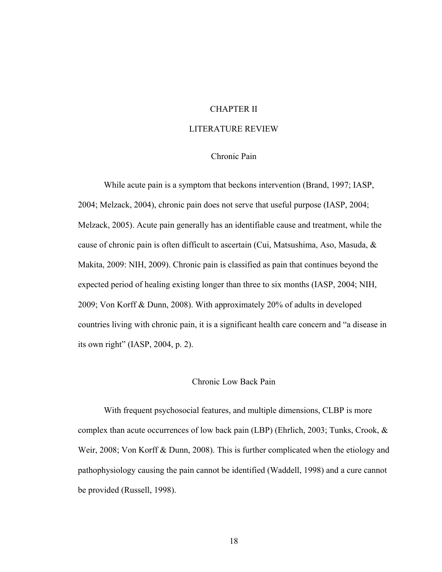# CHAPTER II

## LITERATURE REVIEW

# Chronic Pain

While acute pain is a symptom that beckons intervention (Brand, 1997; IASP, 2004; Melzack, 2004), chronic pain does not serve that useful purpose (IASP, 2004; Melzack, 2005). Acute pain generally has an identifiable cause and treatment, while the cause of chronic pain is often difficult to ascertain (Cui, Matsushima, Aso, Masuda, & Makita, 2009: NIH, 2009). Chronic pain is classified as pain that continues beyond the expected period of healing existing longer than three to six months (IASP, 2004; NIH, 2009; Von Korff & Dunn, 2008). With approximately 20% of adults in developed countries living with chronic pain, it is a significant health care concern and "a disease in its own right" (IASP, 2004, p. 2).

# Chronic Low Back Pain

With frequent psychosocial features, and multiple dimensions, CLBP is more complex than acute occurrences of low back pain (LBP) (Ehrlich, 2003; Tunks, Crook, & Weir, 2008; Von Korff & Dunn, 2008). This is further complicated when the etiology and pathophysiology causing the pain cannot be identified (Waddell, 1998) and a cure cannot be provided (Russell, 1998).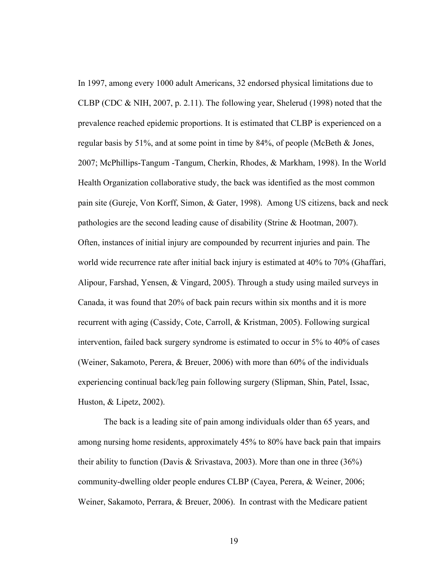In 1997, among every 1000 adult Americans, 32 endorsed physical limitations due to CLBP (CDC & NIH, 2007, p. 2.11). The following year, Shelerud (1998) noted that the prevalence reached epidemic proportions. It is estimated that CLBP is experienced on a regular basis by 51%, and at some point in time by 84%, of people (McBeth & Jones, 2007; McPhillips-Tangum -Tangum, Cherkin, Rhodes, & Markham, 1998). In the World Health Organization collaborative study, the back was identified as the most common pain site (Gureje, Von Korff, Simon, & Gater, 1998). Among US citizens, back and neck pathologies are the second leading cause of disability (Strine & Hootman, 2007). Often, instances of initial injury are compounded by recurrent injuries and pain. The world wide recurrence rate after initial back injury is estimated at 40% to 70% (Ghaffari, Alipour, Farshad, Yensen, & Vingard, 2005). Through a study using mailed surveys in Canada, it was found that 20% of back pain recurs within six months and it is more recurrent with aging (Cassidy, Cote, Carroll, & Kristman, 2005). Following surgical intervention, failed back surgery syndrome is estimated to occur in 5% to 40% of cases (Weiner, Sakamoto, Perera, & Breuer, 2006) with more than 60% of the individuals experiencing continual back/leg pain following surgery (Slipman, Shin, Patel, Issac, Huston, & Lipetz, 2002).

The back is a leading site of pain among individuals older than 65 years, and among nursing home residents, approximately 45% to 80% have back pain that impairs their ability to function (Davis & Srivastava, 2003). More than one in three (36%) community-dwelling older people endures CLBP (Cayea, Perera, & Weiner, 2006; Weiner, Sakamoto, Perrara, & Breuer, 2006). In contrast with the Medicare patient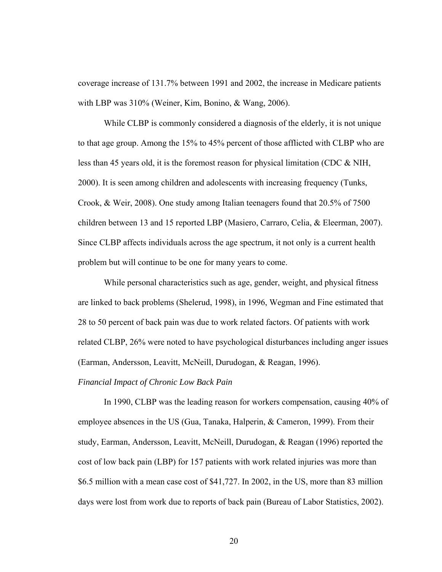coverage increase of 131.7% between 1991 and 2002, the increase in Medicare patients with LBP was 310% (Weiner, Kim, Bonino, & Wang, 2006).

While CLBP is commonly considered a diagnosis of the elderly, it is not unique to that age group. Among the 15% to 45% percent of those afflicted with CLBP who are less than 45 years old, it is the foremost reason for physical limitation (CDC & NIH, 2000). It is seen among children and adolescents with increasing frequency (Tunks, Crook, & Weir, 2008). One study among Italian teenagers found that 20.5% of 7500 children between 13 and 15 reported LBP (Masiero, Carraro, Celia, & Eleerman, 2007). Since CLBP affects individuals across the age spectrum, it not only is a current health problem but will continue to be one for many years to come.

While personal characteristics such as age, gender, weight, and physical fitness are linked to back problems (Shelerud, 1998), in 1996, Wegman and Fine estimated that 28 to 50 percent of back pain was due to work related factors. Of patients with work related CLBP, 26% were noted to have psychological disturbances including anger issues (Earman, Andersson, Leavitt, McNeill, Durudogan, & Reagan, 1996).

# *Financial Impact of Chronic Low Back Pain*

In 1990, CLBP was the leading reason for workers compensation, causing 40% of employee absences in the US (Gua, Tanaka, Halperin, & Cameron, 1999). From their study, Earman, Andersson, Leavitt, McNeill, Durudogan, & Reagan (1996) reported the cost of low back pain (LBP) for 157 patients with work related injuries was more than \$6.5 million with a mean case cost of \$41,727. In 2002, in the US, more than 83 million days were lost from work due to reports of back pain (Bureau of Labor Statistics, 2002).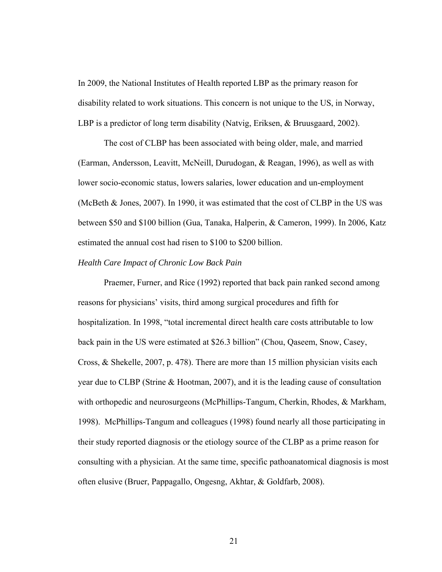In 2009, the National Institutes of Health reported LBP as the primary reason for disability related to work situations. This concern is not unique to the US, in Norway, LBP is a predictor of long term disability (Natvig, Eriksen, & Bruusgaard, 2002).

The cost of CLBP has been associated with being older, male, and married (Earman, Andersson, Leavitt, McNeill, Durudogan, & Reagan, 1996), as well as with lower socio-economic status, lowers salaries, lower education and un-employment (McBeth & Jones, 2007). In 1990, it was estimated that the cost of CLBP in the US was between \$50 and \$100 billion (Gua, Tanaka, Halperin, & Cameron, 1999). In 2006, Katz estimated the annual cost had risen to \$100 to \$200 billion.

## *Health Care Impact of Chronic Low Back Pain*

Praemer, Furner, and Rice (1992) reported that back pain ranked second among reasons for physicians' visits, third among surgical procedures and fifth for hospitalization. In 1998, "total incremental direct health care costs attributable to low back pain in the US were estimated at \$26.3 billion" (Chou, Qaseem, Snow, Casey, Cross, & Shekelle, 2007, p. 478). There are more than 15 million physician visits each year due to CLBP (Strine & Hootman, 2007), and it is the leading cause of consultation with orthopedic and neurosurgeons (McPhillips-Tangum, Cherkin, Rhodes, & Markham, 1998). McPhillips-Tangum and colleagues (1998) found nearly all those participating in their study reported diagnosis or the etiology source of the CLBP as a prime reason for consulting with a physician. At the same time, specific pathoanatomical diagnosis is most often elusive (Bruer, Pappagallo, Ongesng, Akhtar, & Goldfarb, 2008).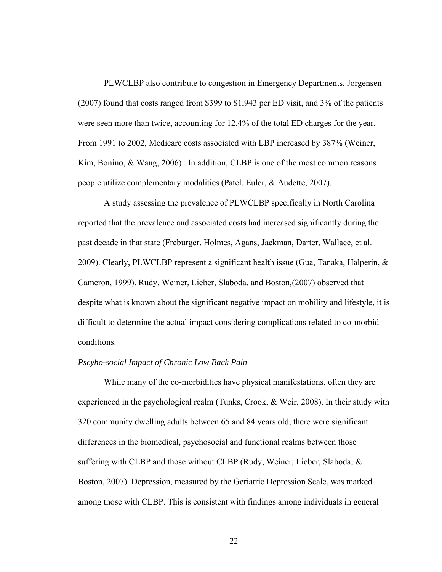PLWCLBP also contribute to congestion in Emergency Departments. Jorgensen (2007) found that costs ranged from \$399 to \$1,943 per ED visit, and 3% of the patients were seen more than twice, accounting for 12.4% of the total ED charges for the year. From 1991 to 2002, Medicare costs associated with LBP increased by 387% (Weiner, Kim, Bonino, & Wang, 2006). In addition, CLBP is one of the most common reasons people utilize complementary modalities (Patel, Euler, & Audette, 2007).

A study assessing the prevalence of PLWCLBP specifically in North Carolina reported that the prevalence and associated costs had increased significantly during the past decade in that state (Freburger, Holmes, Agans, Jackman, Darter, Wallace, et al. 2009). Clearly, PLWCLBP represent a significant health issue (Gua, Tanaka, Halperin,  $\&$ Cameron, 1999). Rudy, Weiner, Lieber, Slaboda, and Boston,(2007) observed that despite what is known about the significant negative impact on mobility and lifestyle, it is difficult to determine the actual impact considering complications related to co-morbid conditions.

## *Pscyho-social Impact of Chronic Low Back Pain*

While many of the co-morbidities have physical manifestations, often they are experienced in the psychological realm (Tunks, Crook, & Weir, 2008). In their study with 320 community dwelling adults between 65 and 84 years old, there were significant differences in the biomedical, psychosocial and functional realms between those suffering with CLBP and those without CLBP (Rudy, Weiner, Lieber, Slaboda, & Boston, 2007). Depression, measured by the Geriatric Depression Scale, was marked among those with CLBP. This is consistent with findings among individuals in general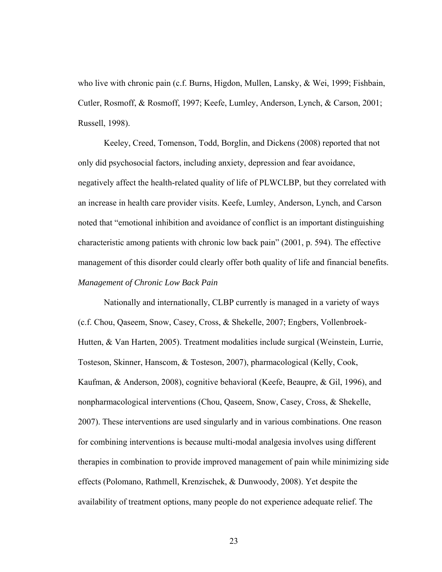who live with chronic pain (c.f. Burns, Higdon, Mullen, Lansky, & Wei, 1999; Fishbain, Cutler, Rosmoff, & Rosmoff, 1997; Keefe, Lumley, Anderson, Lynch, & Carson, 2001; Russell, 1998).

Keeley, Creed, Tomenson, Todd, Borglin, and Dickens (2008) reported that not only did psychosocial factors, including anxiety, depression and fear avoidance, negatively affect the health-related quality of life of PLWCLBP, but they correlated with an increase in health care provider visits. Keefe, Lumley, Anderson, Lynch, and Carson noted that "emotional inhibition and avoidance of conflict is an important distinguishing characteristic among patients with chronic low back pain" (2001, p. 594). The effective management of this disorder could clearly offer both quality of life and financial benefits. *Management of Chronic Low Back Pain* 

Nationally and internationally, CLBP currently is managed in a variety of ways (c.f. Chou, Qaseem, Snow, Casey, Cross, & Shekelle, 2007; Engbers, Vollenbroek-Hutten, & Van Harten, 2005). Treatment modalities include surgical (Weinstein, Lurrie, Tosteson, Skinner, Hanscom, & Tosteson, 2007), pharmacological (Kelly, Cook, Kaufman, & Anderson, 2008), cognitive behavioral (Keefe, Beaupre, & Gil, 1996), and nonpharmacological interventions (Chou, Qaseem, Snow, Casey, Cross, & Shekelle, 2007). These interventions are used singularly and in various combinations. One reason for combining interventions is because multi-modal analgesia involves using different therapies in combination to provide improved management of pain while minimizing side effects (Polomano, Rathmell, Krenzischek, & Dunwoody, 2008). Yet despite the availability of treatment options, many people do not experience adequate relief. The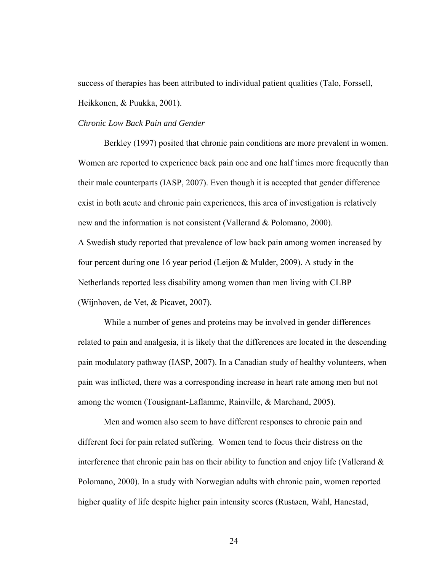success of therapies has been attributed to individual patient qualities (Talo, Forssell, Heikkonen, & Puukka, 2001).

#### *Chronic Low Back Pain and Gender*

Berkley (1997) posited that chronic pain conditions are more prevalent in women. Women are reported to experience back pain one and one half times more frequently than their male counterparts (IASP, 2007). Even though it is accepted that gender difference exist in both acute and chronic pain experiences, this area of investigation is relatively new and the information is not consistent (Vallerand & Polomano, 2000). A Swedish study reported that prevalence of low back pain among women increased by four percent during one 16 year period (Leijon & Mulder, 2009). A study in the Netherlands reported less disability among women than men living with CLBP (Wijnhoven, de Vet, & Picavet, 2007).

While a number of genes and proteins may be involved in gender differences related to pain and analgesia, it is likely that the differences are located in the descending pain modulatory pathway (IASP, 2007). In a Canadian study of healthy volunteers, when pain was inflicted, there was a corresponding increase in heart rate among men but not among the women (Tousignant-Laflamme, Rainville, & Marchand, 2005).

Men and women also seem to have different responses to chronic pain and different foci for pain related suffering. Women tend to focus their distress on the interference that chronic pain has on their ability to function and enjoy life (Vallerand  $\&$ Polomano, 2000). In a study with Norwegian adults with chronic pain, women reported higher quality of life despite higher pain intensity scores (Rustøen, Wahl, Hanestad,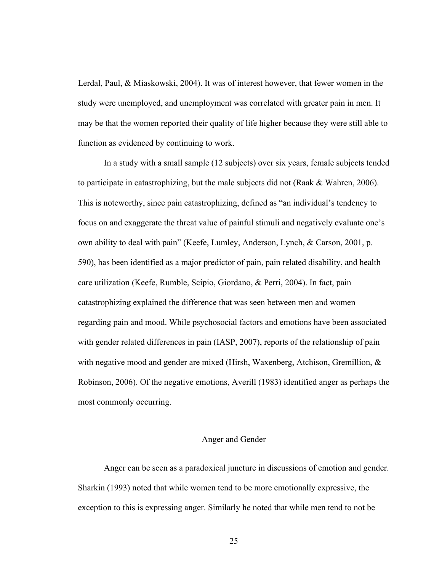Lerdal, Paul, & Miaskowski, 2004). It was of interest however, that fewer women in the study were unemployed, and unemployment was correlated with greater pain in men. It may be that the women reported their quality of life higher because they were still able to function as evidenced by continuing to work.

In a study with a small sample (12 subjects) over six years, female subjects tended to participate in catastrophizing, but the male subjects did not (Raak  $\&$  Wahren, 2006). This is noteworthy, since pain catastrophizing, defined as "an individual's tendency to focus on and exaggerate the threat value of painful stimuli and negatively evaluate one's own ability to deal with pain" (Keefe, Lumley, Anderson, Lynch, & Carson, 2001, p. 590), has been identified as a major predictor of pain, pain related disability, and health care utilization (Keefe, Rumble, Scipio, Giordano, & Perri, 2004). In fact, pain catastrophizing explained the difference that was seen between men and women regarding pain and mood. While psychosocial factors and emotions have been associated with gender related differences in pain (IASP, 2007), reports of the relationship of pain with negative mood and gender are mixed (Hirsh, Waxenberg, Atchison, Gremillion, & Robinson, 2006). Of the negative emotions, Averill (1983) identified anger as perhaps the most commonly occurring.

# Anger and Gender

Anger can be seen as a paradoxical juncture in discussions of emotion and gender. Sharkin (1993) noted that while women tend to be more emotionally expressive, the exception to this is expressing anger. Similarly he noted that while men tend to not be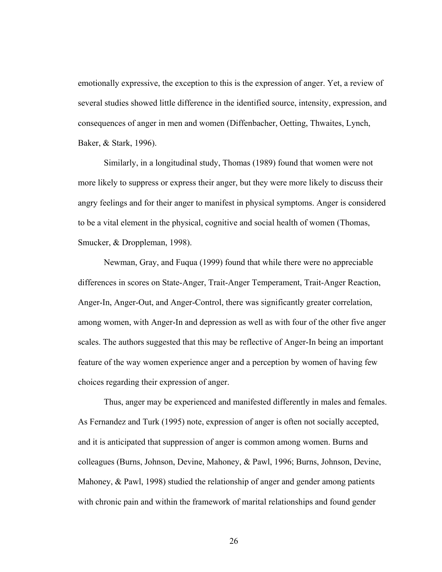emotionally expressive, the exception to this is the expression of anger. Yet, a review of several studies showed little difference in the identified source, intensity, expression, and consequences of anger in men and women (Diffenbacher, Oetting, Thwaites, Lynch, Baker, & Stark, 1996).

Similarly, in a longitudinal study, Thomas (1989) found that women were not more likely to suppress or express their anger, but they were more likely to discuss their angry feelings and for their anger to manifest in physical symptoms. Anger is considered to be a vital element in the physical, cognitive and social health of women (Thomas, Smucker, & Droppleman, 1998).

Newman, Gray, and Fuqua (1999) found that while there were no appreciable differences in scores on State-Anger, Trait-Anger Temperament, Trait-Anger Reaction, Anger-In, Anger-Out, and Anger-Control, there was significantly greater correlation, among women, with Anger-In and depression as well as with four of the other five anger scales. The authors suggested that this may be reflective of Anger-In being an important feature of the way women experience anger and a perception by women of having few choices regarding their expression of anger.

Thus, anger may be experienced and manifested differently in males and females. As Fernandez and Turk (1995) note, expression of anger is often not socially accepted, and it is anticipated that suppression of anger is common among women. Burns and colleagues (Burns, Johnson, Devine, Mahoney, & Pawl, 1996; Burns, Johnson, Devine, Mahoney, & Pawl, 1998) studied the relationship of anger and gender among patients with chronic pain and within the framework of marital relationships and found gender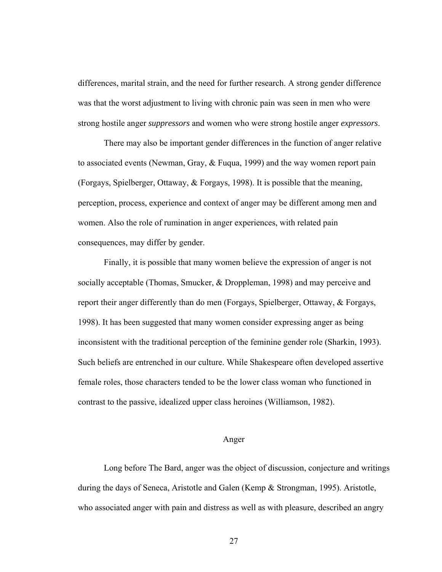differences, marital strain, and the need for further research. A strong gender difference was that the worst adjustment to living with chronic pain was seen in men who were strong hostile anger *suppressors* and women who were strong hostile anger *expressors*.

There may also be important gender differences in the function of anger relative to associated events (Newman, Gray, & Fuqua, 1999) and the way women report pain (Forgays, Spielberger, Ottaway, & Forgays, 1998). It is possible that the meaning, perception, process, experience and context of anger may be different among men and women. Also the role of rumination in anger experiences, with related pain consequences, may differ by gender.

Finally, it is possible that many women believe the expression of anger is not socially acceptable (Thomas, Smucker, & Droppleman, 1998) and may perceive and report their anger differently than do men (Forgays, Spielberger, Ottaway, & Forgays, 1998). It has been suggested that many women consider expressing anger as being inconsistent with the traditional perception of the feminine gender role (Sharkin, 1993). Such beliefs are entrenched in our culture. While Shakespeare often developed assertive female roles, those characters tended to be the lower class woman who functioned in contrast to the passive, idealized upper class heroines (Williamson, 1982).

#### Anger

Long before The Bard, anger was the object of discussion, conjecture and writings during the days of Seneca, Aristotle and Galen (Kemp & Strongman, 1995). Aristotle, who associated anger with pain and distress as well as with pleasure, described an angry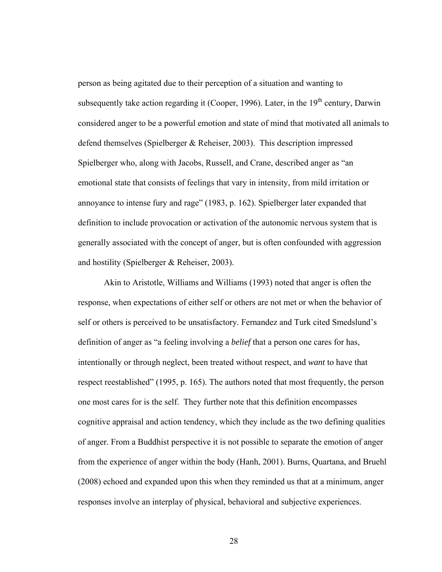person as being agitated due to their perception of a situation and wanting to subsequently take action regarding it (Cooper, 1996). Later, in the  $19<sup>th</sup>$  century, Darwin considered anger to be a powerful emotion and state of mind that motivated all animals to defend themselves (Spielberger & Reheiser, 2003). This description impressed Spielberger who, along with Jacobs, Russell, and Crane, described anger as "an emotional state that consists of feelings that vary in intensity, from mild irritation or annoyance to intense fury and rage" (1983, p. 162). Spielberger later expanded that definition to include provocation or activation of the autonomic nervous system that is generally associated with the concept of anger, but is often confounded with aggression and hostility (Spielberger & Reheiser, 2003).

Akin to Aristotle, Williams and Williams (1993) noted that anger is often the response, when expectations of either self or others are not met or when the behavior of self or others is perceived to be unsatisfactory. Fernandez and Turk cited Smedslund's definition of anger as "a feeling involving a *belief* that a person one cares for has, intentionally or through neglect, been treated without respect, and *want* to have that respect reestablished" (1995, p. 165). The authors noted that most frequently, the person one most cares for is the self. They further note that this definition encompasses cognitive appraisal and action tendency, which they include as the two defining qualities of anger. From a Buddhist perspective it is not possible to separate the emotion of anger from the experience of anger within the body (Hanh, 2001). Burns, Quartana, and Bruehl (2008) echoed and expanded upon this when they reminded us that at a minimum, anger responses involve an interplay of physical, behavioral and subjective experiences.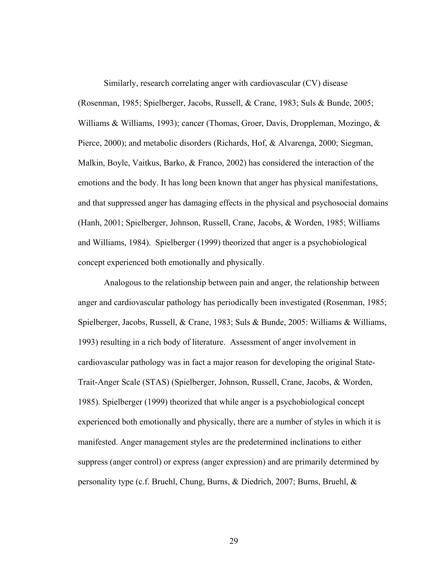Similarly, research correlating anger with cardiovascular (CV) disease (Rosenman, 1985; Spielberger, Jacobs, Russell, & Crane, 1983; Suls & Bunde, 2005; Williams & Williams, 1993); cancer (Thomas, Groer, Davis, Droppleman, Mozingo, & Pierce, 2000); and metabolic disorders (Richards, Hof, & Alvarenga, 2000; Siegman, Malkin, Boyle, Vaitkus, Barko, & Franco, 2002) has considered the interaction of the emotions and the body. It has long been known that anger has physical manifestations, and that suppressed anger has damaging effects in the physical and psychosocial domains (Hanh, 2001; Spielberger, Johnson, Russell, Crane, Jacobs, & Worden, 1985; Williams and Williams, 1984). Spielberger (1999) theorized that anger is a psychobiological concept experienced both emotionally and physically.

Analogous to the relationship between pain and anger, the relationship between anger and cardiovascular pathology has periodically been investigated (Rosenman, 1985; Spielberger, Jacobs, Russell, & Crane, 1983; Suls & Bunde, 2005: Williams & Williams, 1993) resulting in a rich body of literature. Assessment of anger involvement in cardiovascular pathology was in fact a major reason for developing the original State-Trait-Anger Scale (STAS) (Spielberger, Johnson, Russell, Crane, Jacobs, & Worden, 1985). Spielberger (1999) theorized that while anger is a psychobiological concept experienced both emotionally and physically, there are a number of styles in which it is manifested. Anger management styles are the predetermined inclinations to either suppress (anger control) or express (anger expression) and are primarily determined by personality type (c.f. Bruehl, Chung, Burns, & Diedrich, 2007; Burns, Bruehl, &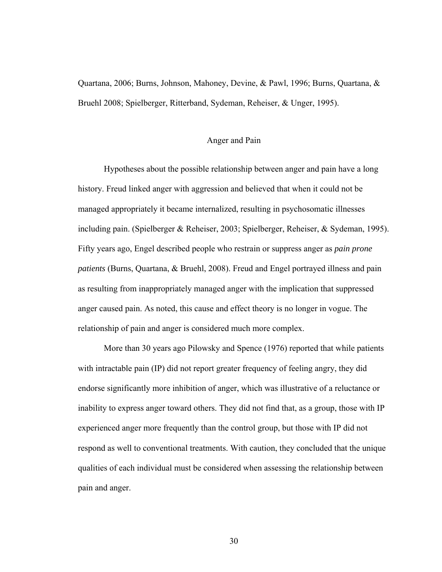Quartana, 2006; Burns, Johnson, Mahoney, Devine, & Pawl, 1996; Burns, Quartana, & Bruehl 2008; Spielberger, Ritterband, Sydeman, Reheiser, & Unger, 1995).

#### Anger and Pain

Hypotheses about the possible relationship between anger and pain have a long history. Freud linked anger with aggression and believed that when it could not be managed appropriately it became internalized, resulting in psychosomatic illnesses including pain. (Spielberger & Reheiser, 2003; Spielberger, Reheiser, & Sydeman, 1995). Fifty years ago, Engel described people who restrain or suppress anger as *pain prone patients* (Burns, Quartana, & Bruehl, 2008). Freud and Engel portrayed illness and pain as resulting from inappropriately managed anger with the implication that suppressed anger caused pain. As noted, this cause and effect theory is no longer in vogue. The relationship of pain and anger is considered much more complex.

More than 30 years ago Pilowsky and Spence (1976) reported that while patients with intractable pain (IP) did not report greater frequency of feeling angry, they did endorse significantly more inhibition of anger, which was illustrative of a reluctance or inability to express anger toward others. They did not find that, as a group, those with IP experienced anger more frequently than the control group, but those with IP did not respond as well to conventional treatments. With caution, they concluded that the unique qualities of each individual must be considered when assessing the relationship between pain and anger.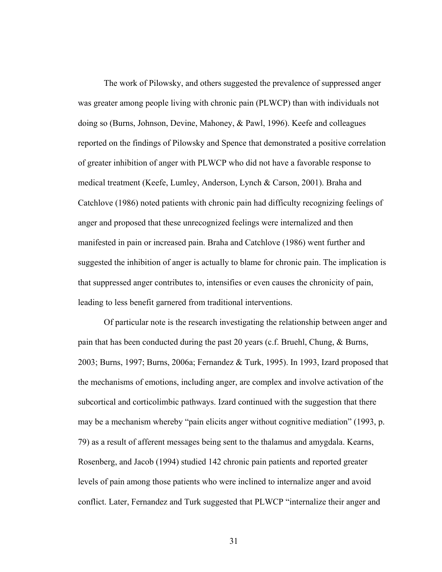The work of Pilowsky, and others suggested the prevalence of suppressed anger was greater among people living with chronic pain (PLWCP) than with individuals not doing so (Burns, Johnson, Devine, Mahoney, & Pawl, 1996). Keefe and colleagues reported on the findings of Pilowsky and Spence that demonstrated a positive correlation of greater inhibition of anger with PLWCP who did not have a favorable response to medical treatment (Keefe, Lumley, Anderson, Lynch & Carson, 2001). Braha and Catchlove (1986) noted patients with chronic pain had difficulty recognizing feelings of anger and proposed that these unrecognized feelings were internalized and then manifested in pain or increased pain. Braha and Catchlove (1986) went further and suggested the inhibition of anger is actually to blame for chronic pain. The implication is that suppressed anger contributes to, intensifies or even causes the chronicity of pain, leading to less benefit garnered from traditional interventions.

Of particular note is the research investigating the relationship between anger and pain that has been conducted during the past 20 years (c.f. Bruehl, Chung, & Burns, 2003; Burns, 1997; Burns, 2006a; Fernandez & Turk, 1995). In 1993, Izard proposed that the mechanisms of emotions, including anger, are complex and involve activation of the subcortical and corticolimbic pathways. Izard continued with the suggestion that there may be a mechanism whereby "pain elicits anger without cognitive mediation" (1993, p. 79) as a result of afferent messages being sent to the thalamus and amygdala. Kearns, Rosenberg, and Jacob (1994) studied 142 chronic pain patients and reported greater levels of pain among those patients who were inclined to internalize anger and avoid conflict. Later, Fernandez and Turk suggested that PLWCP "internalize their anger and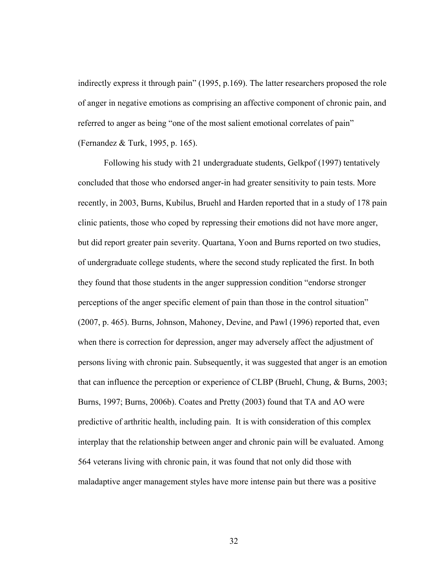indirectly express it through pain" (1995, p.169). The latter researchers proposed the role of anger in negative emotions as comprising an affective component of chronic pain, and referred to anger as being "one of the most salient emotional correlates of pain" (Fernandez & Turk, 1995, p. 165).

Following his study with 21 undergraduate students, Gelkpof (1997) tentatively concluded that those who endorsed anger-in had greater sensitivity to pain tests. More recently, in 2003, Burns, Kubilus, Bruehl and Harden reported that in a study of 178 pain clinic patients, those who coped by repressing their emotions did not have more anger, but did report greater pain severity. Quartana, Yoon and Burns reported on two studies, of undergraduate college students, where the second study replicated the first. In both they found that those students in the anger suppression condition "endorse stronger perceptions of the anger specific element of pain than those in the control situation" (2007, p. 465). Burns, Johnson, Mahoney, Devine, and Pawl (1996) reported that, even when there is correction for depression, anger may adversely affect the adjustment of persons living with chronic pain. Subsequently, it was suggested that anger is an emotion that can influence the perception or experience of CLBP (Bruehl, Chung, & Burns, 2003; Burns, 1997; Burns, 2006b). Coates and Pretty (2003) found that TA and AO were predictive of arthritic health, including pain. It is with consideration of this complex interplay that the relationship between anger and chronic pain will be evaluated. Among 564 veterans living with chronic pain, it was found that not only did those with maladaptive anger management styles have more intense pain but there was a positive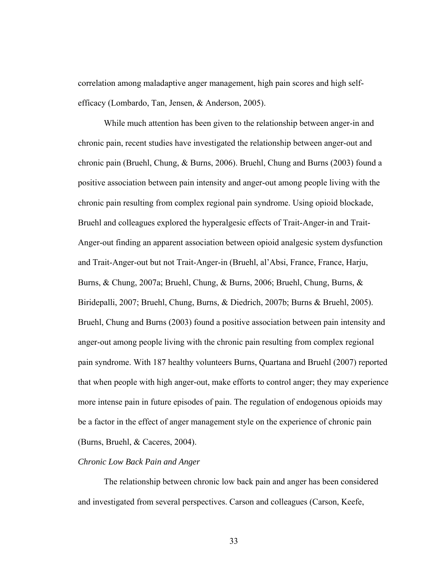correlation among maladaptive anger management, high pain scores and high selfefficacy (Lombardo, Tan, Jensen, & Anderson, 2005).

While much attention has been given to the relationship between anger-in and chronic pain, recent studies have investigated the relationship between anger-out and chronic pain (Bruehl, Chung, & Burns, 2006). Bruehl, Chung and Burns (2003) found a positive association between pain intensity and anger-out among people living with the chronic pain resulting from complex regional pain syndrome. Using opioid blockade, Bruehl and colleagues explored the hyperalgesic effects of Trait-Anger-in and Trait-Anger-out finding an apparent association between opioid analgesic system dysfunction and Trait-Anger-out but not Trait-Anger-in (Bruehl, al'Absi, France, France, Harju, Burns, & Chung, 2007a; Bruehl, Chung, & Burns, 2006; Bruehl, Chung, Burns, & Biridepalli, 2007; Bruehl, Chung, Burns, & Diedrich, 2007b; Burns & Bruehl, 2005). Bruehl, Chung and Burns (2003) found a positive association between pain intensity and anger-out among people living with the chronic pain resulting from complex regional pain syndrome. With 187 healthy volunteers Burns, Quartana and Bruehl (2007) reported that when people with high anger-out, make efforts to control anger; they may experience more intense pain in future episodes of pain. The regulation of endogenous opioids may be a factor in the effect of anger management style on the experience of chronic pain (Burns, Bruehl, & Caceres, 2004).

# *Chronic Low Back Pain and Anger*

The relationship between chronic low back pain and anger has been considered and investigated from several perspectives. Carson and colleagues (Carson, Keefe,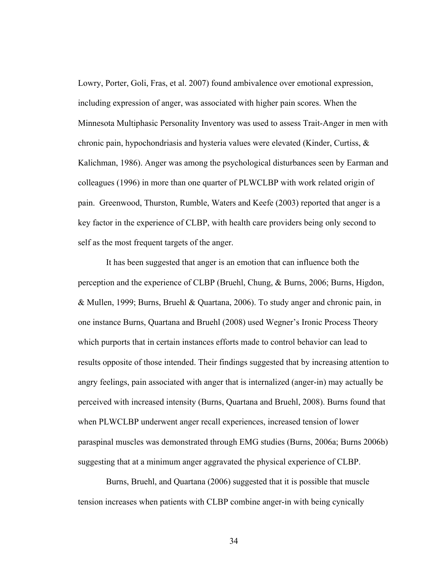Lowry, Porter, Goli, Fras, et al. 2007) found ambivalence over emotional expression, including expression of anger, was associated with higher pain scores. When the Minnesota Multiphasic Personality Inventory was used to assess Trait-Anger in men with chronic pain, hypochondriasis and hysteria values were elevated (Kinder, Curtiss, & Kalichman, 1986). Anger was among the psychological disturbances seen by Earman and colleagues (1996) in more than one quarter of PLWCLBP with work related origin of pain. Greenwood, Thurston, Rumble, Waters and Keefe (2003) reported that anger is a key factor in the experience of CLBP, with health care providers being only second to self as the most frequent targets of the anger.

 It has been suggested that anger is an emotion that can influence both the perception and the experience of CLBP (Bruehl, Chung, & Burns, 2006; Burns, Higdon, & Mullen, 1999; Burns, Bruehl & Quartana, 2006). To study anger and chronic pain, in one instance Burns, Quartana and Bruehl (2008) used Wegner's Ironic Process Theory which purports that in certain instances efforts made to control behavior can lead to results opposite of those intended. Their findings suggested that by increasing attention to angry feelings, pain associated with anger that is internalized (anger-in) may actually be perceived with increased intensity (Burns, Quartana and Bruehl, 2008). Burns found that when PLWCLBP underwent anger recall experiences, increased tension of lower paraspinal muscles was demonstrated through EMG studies (Burns, 2006a; Burns 2006b) suggesting that at a minimum anger aggravated the physical experience of CLBP.

 Burns, Bruehl, and Quartana (2006) suggested that it is possible that muscle tension increases when patients with CLBP combine anger-in with being cynically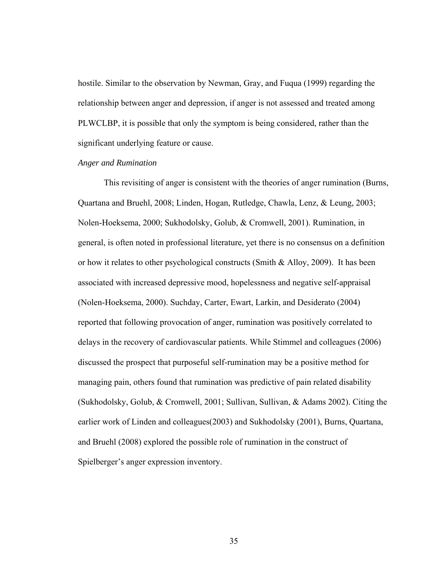hostile. Similar to the observation by Newman, Gray, and Fuqua (1999) regarding the relationship between anger and depression, if anger is not assessed and treated among PLWCLBP, it is possible that only the symptom is being considered, rather than the significant underlying feature or cause.

# *Anger and Rumination*

This revisiting of anger is consistent with the theories of anger rumination (Burns, Quartana and Bruehl, 2008; Linden, Hogan, Rutledge, Chawla, Lenz, & Leung, 2003; Nolen-Hoeksema, 2000; Sukhodolsky, Golub, & Cromwell, 2001). Rumination, in general, is often noted in professional literature, yet there is no consensus on a definition or how it relates to other psychological constructs (Smith & Alloy, 2009). It has been associated with increased depressive mood, hopelessness and negative self-appraisal (Nolen-Hoeksema, 2000). Suchday, Carter, Ewart, Larkin, and Desiderato (2004) reported that following provocation of anger, rumination was positively correlated to delays in the recovery of cardiovascular patients. While Stimmel and colleagues (2006) discussed the prospect that purposeful self-rumination may be a positive method for managing pain, others found that rumination was predictive of pain related disability (Sukhodolsky, Golub, & Cromwell, 2001; Sullivan, Sullivan, & Adams 2002). Citing the earlier work of Linden and colleagues(2003) and Sukhodolsky (2001), Burns, Quartana, and Bruehl (2008) explored the possible role of rumination in the construct of Spielberger's anger expression inventory.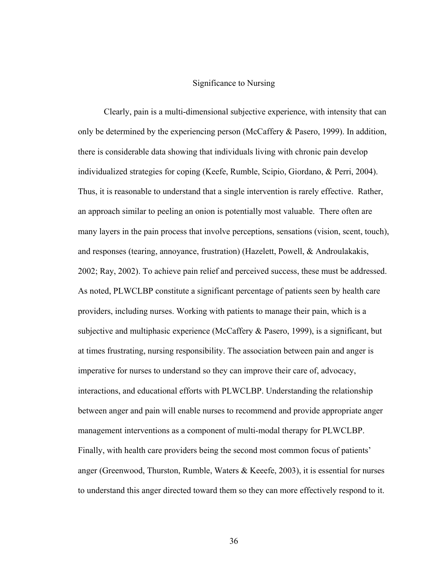#### Significance to Nursing

Clearly, pain is a multi-dimensional subjective experience, with intensity that can only be determined by the experiencing person (McCaffery & Pasero, 1999). In addition, there is considerable data showing that individuals living with chronic pain develop individualized strategies for coping (Keefe, Rumble, Scipio, Giordano, & Perri, 2004). Thus, it is reasonable to understand that a single intervention is rarely effective. Rather, an approach similar to peeling an onion is potentially most valuable. There often are many layers in the pain process that involve perceptions, sensations (vision, scent, touch), and responses (tearing, annoyance, frustration) (Hazelett, Powell, & Androulakakis, 2002; Ray, 2002). To achieve pain relief and perceived success, these must be addressed. As noted, PLWCLBP constitute a significant percentage of patients seen by health care providers, including nurses. Working with patients to manage their pain, which is a subjective and multiphasic experience (McCaffery & Pasero, 1999), is a significant, but at times frustrating, nursing responsibility. The association between pain and anger is imperative for nurses to understand so they can improve their care of, advocacy, interactions, and educational efforts with PLWCLBP. Understanding the relationship between anger and pain will enable nurses to recommend and provide appropriate anger management interventions as a component of multi-modal therapy for PLWCLBP. Finally, with health care providers being the second most common focus of patients' anger (Greenwood, Thurston, Rumble, Waters & Keeefe, 2003), it is essential for nurses to understand this anger directed toward them so they can more effectively respond to it.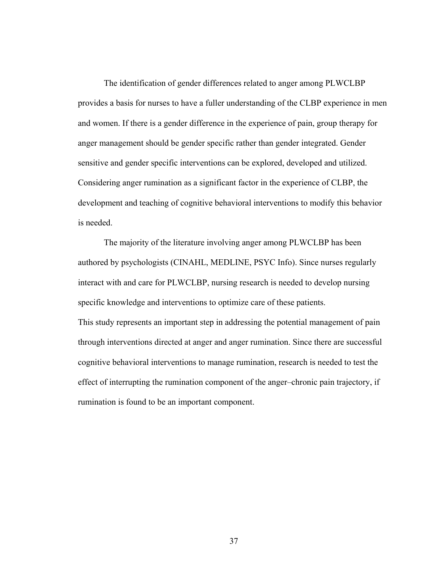The identification of gender differences related to anger among PLWCLBP provides a basis for nurses to have a fuller understanding of the CLBP experience in men and women. If there is a gender difference in the experience of pain, group therapy for anger management should be gender specific rather than gender integrated. Gender sensitive and gender specific interventions can be explored, developed and utilized. Considering anger rumination as a significant factor in the experience of CLBP, the development and teaching of cognitive behavioral interventions to modify this behavior is needed.

The majority of the literature involving anger among PLWCLBP has been authored by psychologists (CINAHL, MEDLINE, PSYC Info). Since nurses regularly interact with and care for PLWCLBP, nursing research is needed to develop nursing specific knowledge and interventions to optimize care of these patients. This study represents an important step in addressing the potential management of pain through interventions directed at anger and anger rumination. Since there are successful cognitive behavioral interventions to manage rumination, research is needed to test the effect of interrupting the rumination component of the anger–chronic pain trajectory, if rumination is found to be an important component.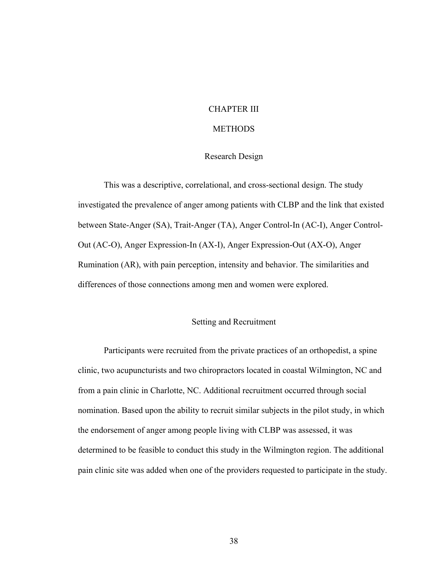## CHAPTER III

# **METHODS**

## Research Design

This was a descriptive, correlational, and cross-sectional design. The study investigated the prevalence of anger among patients with CLBP and the link that existed between State-Anger (SA), Trait-Anger (TA), Anger Control-In (AC-I), Anger Control-Out (AC-O), Anger Expression-In (AX-I), Anger Expression-Out (AX-O), Anger Rumination (AR), with pain perception, intensity and behavior. The similarities and differences of those connections among men and women were explored.

# Setting and Recruitment

Participants were recruited from the private practices of an orthopedist, a spine clinic, two acupuncturists and two chiropractors located in coastal Wilmington, NC and from a pain clinic in Charlotte, NC. Additional recruitment occurred through social nomination. Based upon the ability to recruit similar subjects in the pilot study, in which the endorsement of anger among people living with CLBP was assessed, it was determined to be feasible to conduct this study in the Wilmington region. The additional pain clinic site was added when one of the providers requested to participate in the study.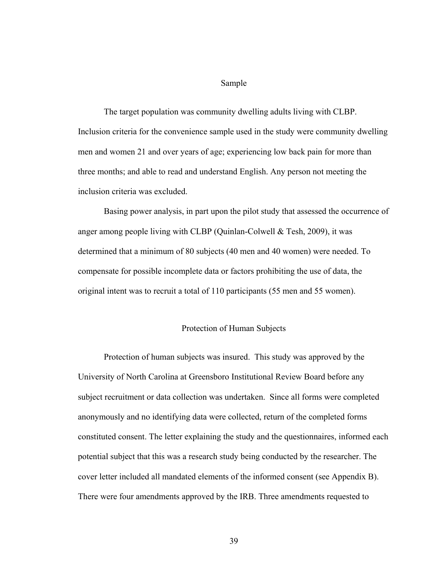#### Sample

The target population was community dwelling adults living with CLBP. Inclusion criteria for the convenience sample used in the study were community dwelling men and women 21 and over years of age; experiencing low back pain for more than three months; and able to read and understand English. Any person not meeting the inclusion criteria was excluded.

Basing power analysis, in part upon the pilot study that assessed the occurrence of anger among people living with CLBP (Quinlan-Colwell & Tesh, 2009), it was determined that a minimum of 80 subjects (40 men and 40 women) were needed. To compensate for possible incomplete data or factors prohibiting the use of data, the original intent was to recruit a total of 110 participants (55 men and 55 women).

## Protection of Human Subjects

Protection of human subjects was insured. This study was approved by the University of North Carolina at Greensboro Institutional Review Board before any subject recruitment or data collection was undertaken. Since all forms were completed anonymously and no identifying data were collected, return of the completed forms constituted consent. The letter explaining the study and the questionnaires, informed each potential subject that this was a research study being conducted by the researcher. The cover letter included all mandated elements of the informed consent (see Appendix B). There were four amendments approved by the IRB. Three amendments requested to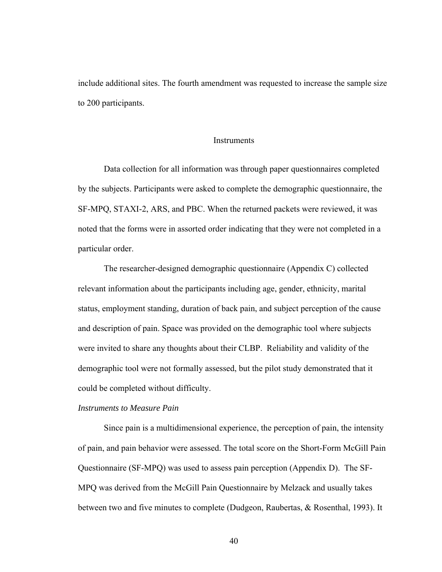include additional sites. The fourth amendment was requested to increase the sample size to 200 participants.

#### **Instruments**

Data collection for all information was through paper questionnaires completed by the subjects. Participants were asked to complete the demographic questionnaire, the SF-MPQ, STAXI-2, ARS, and PBC. When the returned packets were reviewed, it was noted that the forms were in assorted order indicating that they were not completed in a particular order.

The researcher-designed demographic questionnaire (Appendix C) collected relevant information about the participants including age, gender, ethnicity, marital status, employment standing, duration of back pain, and subject perception of the cause and description of pain. Space was provided on the demographic tool where subjects were invited to share any thoughts about their CLBP. Reliability and validity of the demographic tool were not formally assessed, but the pilot study demonstrated that it could be completed without difficulty.

#### *Instruments to Measure Pain*

Since pain is a multidimensional experience, the perception of pain, the intensity of pain, and pain behavior were assessed. The total score on the Short-Form McGill Pain Questionnaire (SF-MPQ) was used to assess pain perception (Appendix D). The SF-MPQ was derived from the McGill Pain Questionnaire by Melzack and usually takes between two and five minutes to complete (Dudgeon, Raubertas, & Rosenthal, 1993). It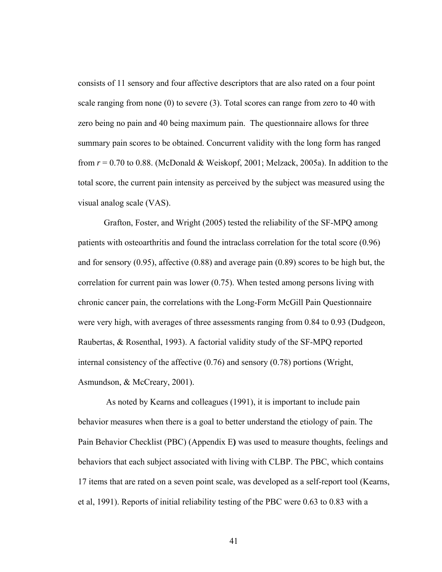consists of 11 sensory and four affective descriptors that are also rated on a four point scale ranging from none (0) to severe (3). Total scores can range from zero to 40 with zero being no pain and 40 being maximum pain. The questionnaire allows for three summary pain scores to be obtained. Concurrent validity with the long form has ranged from *r* = 0.70 to 0.88. (McDonald & Weiskopf, 2001; Melzack, 2005a). In addition to the total score, the current pain intensity as perceived by the subject was measured using the visual analog scale (VAS).

Grafton, Foster, and Wright (2005) tested the reliability of the SF-MPQ among patients with osteoarthritis and found the intraclass correlation for the total score (0.96) and for sensory (0.95), affective (0.88) and average pain (0.89) scores to be high but, the correlation for current pain was lower (0.75). When tested among persons living with chronic cancer pain, the correlations with the Long-Form McGill Pain Questionnaire were very high, with averages of three assessments ranging from 0.84 to 0.93 (Dudgeon, Raubertas, & Rosenthal, 1993). A factorial validity study of the SF-MPQ reported internal consistency of the affective  $(0.76)$  and sensory  $(0.78)$  portions (Wright, Asmundson, & McCreary, 2001).

 As noted by Kearns and colleagues (1991), it is important to include pain behavior measures when there is a goal to better understand the etiology of pain. The Pain Behavior Checklist (PBC) (Appendix E**)** was used to measure thoughts, feelings and behaviors that each subject associated with living with CLBP. The PBC, which contains 17 items that are rated on a seven point scale, was developed as a self-report tool (Kearns, et al, 1991). Reports of initial reliability testing of the PBC were 0.63 to 0.83 with a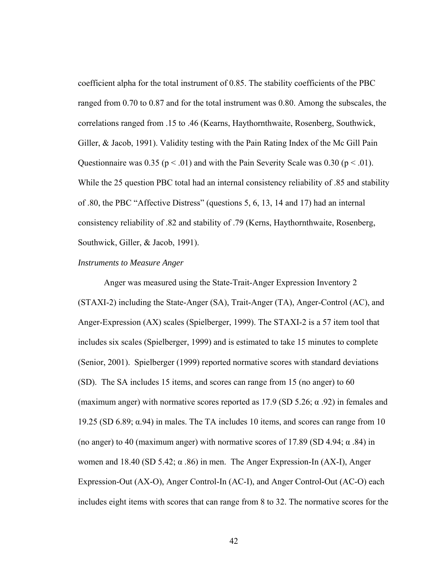coefficient alpha for the total instrument of 0.85. The stability coefficients of the PBC ranged from 0.70 to 0.87 and for the total instrument was 0.80. Among the subscales, the correlations ranged from .15 to .46 (Kearns, Haythornthwaite, Rosenberg, Southwick, Giller, & Jacob, 1991). Validity testing with the Pain Rating Index of the Mc Gill Pain Questionnaire was  $0.35$  ( $p < .01$ ) and with the Pain Severity Scale was  $0.30$  ( $p < .01$ ). While the 25 question PBC total had an internal consistency reliability of .85 and stability of .80, the PBC "Affective Distress" (questions 5, 6, 13, 14 and 17) had an internal consistency reliability of .82 and stability of .79 (Kerns, Haythornthwaite, Rosenberg, Southwick, Giller, & Jacob, 1991).

#### *Instruments to Measure Anger*

Anger was measured using the State-Trait-Anger Expression Inventory 2 (STAXI-2) including the State-Anger (SA), Trait-Anger (TA), Anger-Control (AC), and Anger-Expression (AX) scales (Spielberger, 1999). The STAXI-2 is a 57 item tool that includes six scales (Spielberger, 1999) and is estimated to take 15 minutes to complete (Senior, 2001). Spielberger (1999) reported normative scores with standard deviations (SD). The SA includes 15 items, and scores can range from 15 (no anger) to 60 (maximum anger) with normative scores reported as  $17.9$  (SD  $5.26$ ;  $\alpha$  .92) in females and 19.25 (SD 6.89; α.94) in males. The TA includes 10 items, and scores can range from 10 (no anger) to 40 (maximum anger) with normative scores of 17.89 (SD 4.94;  $\alpha$  .84) in women and 18.40 (SD 5.42; α .86) in men. The Anger Expression-In (AX-I), Anger Expression-Out (AX-O), Anger Control-In (AC-I), and Anger Control-Out (AC-O) each includes eight items with scores that can range from 8 to 32. The normative scores for the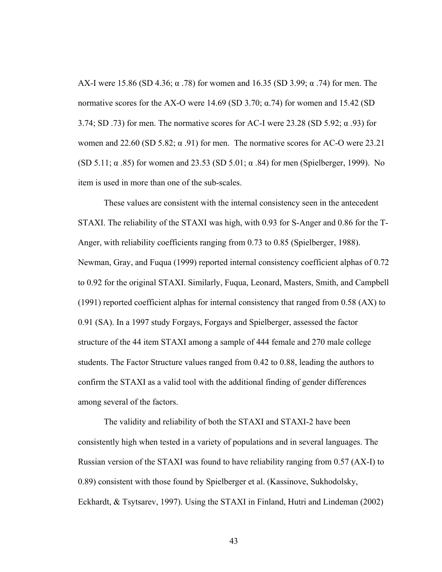AX-I were 15.86 (SD 4.36; α .78) for women and 16.35 (SD 3.99; α .74) for men. The normative scores for the AX-O were 14.69 (SD 3.70;  $\alpha$ .74) for women and 15.42 (SD 3.74; SD .73) for men. The normative scores for AC-I were 23.28 (SD 5.92; α .93) for women and 22.60 (SD 5.82;  $\alpha$  .91) for men. The normative scores for AC-O were 23.21 (SD 5.11;  $\alpha$  .85) for women and 23.53 (SD 5.01;  $\alpha$  .84) for men (Spielberger, 1999). No item is used in more than one of the sub-scales.

These values are consistent with the internal consistency seen in the antecedent STAXI. The reliability of the STAXI was high, with 0.93 for S-Anger and 0.86 for the T-Anger, with reliability coefficients ranging from 0.73 to 0.85 (Spielberger, 1988). Newman, Gray, and Fuqua (1999) reported internal consistency coefficient alphas of 0.72 to 0.92 for the original STAXI. Similarly, Fuqua, Leonard, Masters, Smith, and Campbell (1991) reported coefficient alphas for internal consistency that ranged from 0.58 (AX) to 0.91 (SA). In a 1997 study Forgays, Forgays and Spielberger, assessed the factor structure of the 44 item STAXI among a sample of 444 female and 270 male college students. The Factor Structure values ranged from 0.42 to 0.88, leading the authors to confirm the STAXI as a valid tool with the additional finding of gender differences among several of the factors.

The validity and reliability of both the STAXI and STAXI-2 have been consistently high when tested in a variety of populations and in several languages. The Russian version of the STAXI was found to have reliability ranging from 0.57 (AX-I) to 0.89) consistent with those found by Spielberger et al. (Kassinove, Sukhodolsky, Eckhardt, & Tsytsarev, 1997). Using the STAXI in Finland, Hutri and Lindeman (2002)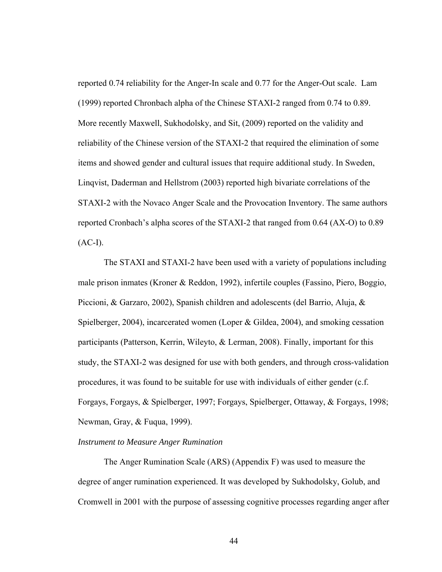reported 0.74 reliability for the Anger-In scale and 0.77 for the Anger-Out scale. Lam (1999) reported Chronbach alpha of the Chinese STAXI-2 ranged from 0.74 to 0.89. More recently Maxwell, Sukhodolsky, and Sit, (2009) reported on the validity and reliability of the Chinese version of the STAXI-2 that required the elimination of some items and showed gender and cultural issues that require additional study. In Sweden, Linqvist, Daderman and Hellstrom (2003) reported high bivariate correlations of the STAXI-2 with the Novaco Anger Scale and the Provocation Inventory. The same authors reported Cronbach's alpha scores of the STAXI-2 that ranged from 0.64 (AX-O) to 0.89  $(AC-I).$ 

The STAXI and STAXI-2 have been used with a variety of populations including male prison inmates (Kroner & Reddon, 1992), infertile couples (Fassino, Piero, Boggio, Piccioni, & Garzaro, 2002), Spanish children and adolescents (del Barrio, Aluja, & Spielberger, 2004), incarcerated women (Loper & Gildea, 2004), and smoking cessation participants (Patterson, Kerrin, Wileyto, & Lerman, 2008). Finally, important for this study, the STAXI-2 was designed for use with both genders, and through cross-validation procedures, it was found to be suitable for use with individuals of either gender (c.f. Forgays, Forgays, & Spielberger, 1997; Forgays, Spielberger, Ottaway, & Forgays, 1998; Newman, Gray, & Fuqua, 1999).

## *Instrument to Measure Anger Rumination*

The Anger Rumination Scale (ARS) (Appendix F) was used to measure the degree of anger rumination experienced. It was developed by Sukhodolsky, Golub, and Cromwell in 2001 with the purpose of assessing cognitive processes regarding anger after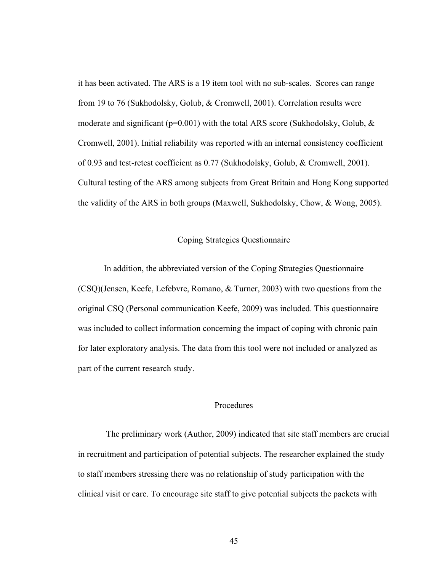it has been activated. The ARS is a 19 item tool with no sub-scales. Scores can range from 19 to 76 (Sukhodolsky, Golub, & Cromwell, 2001). Correlation results were moderate and significant ( $p=0.001$ ) with the total ARS score (Sukhodolsky, Golub,  $\&$ Cromwell, 2001). Initial reliability was reported with an internal consistency coefficient of 0.93 and test-retest coefficient as 0.77 (Sukhodolsky, Golub, & Cromwell, 2001). Cultural testing of the ARS among subjects from Great Britain and Hong Kong supported the validity of the ARS in both groups (Maxwell, Sukhodolsky, Chow, & Wong, 2005).

## Coping Strategies Questionnaire

In addition, the abbreviated version of the Coping Strategies Questionnaire (CSQ)(Jensen, Keefe, Lefebvre, Romano, & Turner, 2003) with two questions from the original CSQ (Personal communication Keefe, 2009) was included. This questionnaire was included to collect information concerning the impact of coping with chronic pain for later exploratory analysis. The data from this tool were not included or analyzed as part of the current research study.

## Procedures

 The preliminary work (Author, 2009) indicated that site staff members are crucial in recruitment and participation of potential subjects. The researcher explained the study to staff members stressing there was no relationship of study participation with the clinical visit or care. To encourage site staff to give potential subjects the packets with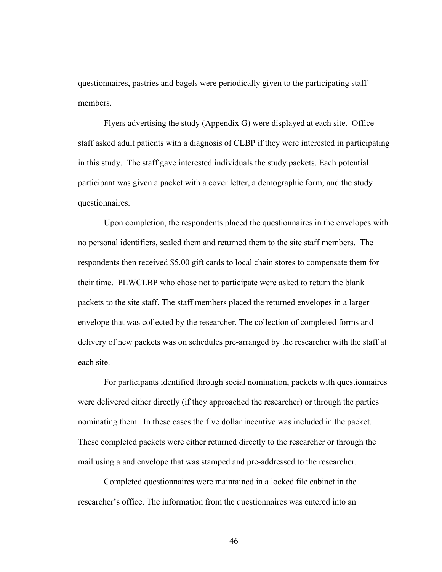questionnaires, pastries and bagels were periodically given to the participating staff members.

Flyers advertising the study (Appendix G) were displayed at each site. Office staff asked adult patients with a diagnosis of CLBP if they were interested in participating in this study. The staff gave interested individuals the study packets. Each potential participant was given a packet with a cover letter, a demographic form, and the study questionnaires.

Upon completion, the respondents placed the questionnaires in the envelopes with no personal identifiers, sealed them and returned them to the site staff members. The respondents then received \$5.00 gift cards to local chain stores to compensate them for their time. PLWCLBP who chose not to participate were asked to return the blank packets to the site staff. The staff members placed the returned envelopes in a larger envelope that was collected by the researcher. The collection of completed forms and delivery of new packets was on schedules pre-arranged by the researcher with the staff at each site.

For participants identified through social nomination, packets with questionnaires were delivered either directly (if they approached the researcher) or through the parties nominating them. In these cases the five dollar incentive was included in the packet. These completed packets were either returned directly to the researcher or through the mail using a and envelope that was stamped and pre-addressed to the researcher.

Completed questionnaires were maintained in a locked file cabinet in the researcher's office. The information from the questionnaires was entered into an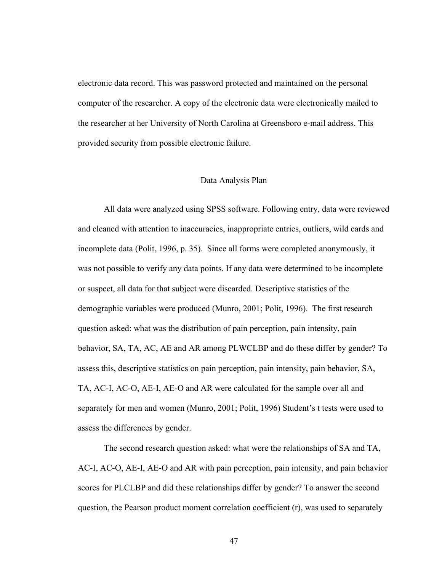electronic data record. This was password protected and maintained on the personal computer of the researcher. A copy of the electronic data were electronically mailed to the researcher at her University of North Carolina at Greensboro e-mail address. This provided security from possible electronic failure.

#### Data Analysis Plan

All data were analyzed using SPSS software. Following entry, data were reviewed and cleaned with attention to inaccuracies, inappropriate entries, outliers, wild cards and incomplete data (Polit, 1996, p. 35). Since all forms were completed anonymously, it was not possible to verify any data points. If any data were determined to be incomplete or suspect, all data for that subject were discarded. Descriptive statistics of the demographic variables were produced (Munro, 2001; Polit, 1996). The first research question asked: what was the distribution of pain perception, pain intensity, pain behavior, SA, TA, AC, AE and AR among PLWCLBP and do these differ by gender? To assess this, descriptive statistics on pain perception, pain intensity, pain behavior, SA, TA, AC-I, AC-O, AE-I, AE-O and AR were calculated for the sample over all and separately for men and women (Munro, 2001; Polit, 1996) Student's t tests were used to assess the differences by gender.

The second research question asked: what were the relationships of SA and TA, AC-I, AC-O, AE-I, AE-O and AR with pain perception, pain intensity, and pain behavior scores for PLCLBP and did these relationships differ by gender? To answer the second question, the Pearson product moment correlation coefficient (r), was used to separately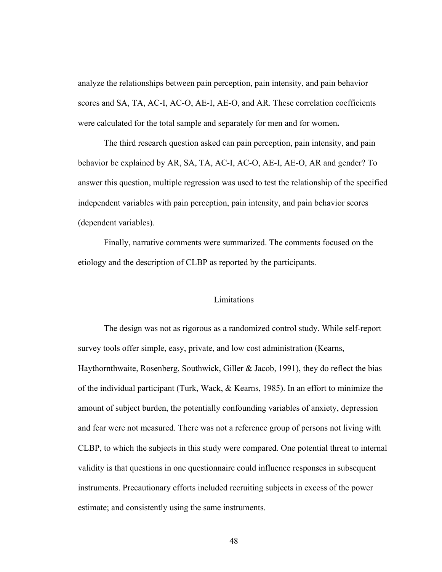analyze the relationships between pain perception, pain intensity, and pain behavior scores and SA, TA, AC-I, AC-O, AE-I, AE-O, and AR. These correlation coefficients were calculated for the total sample and separately for men and for women**.** 

The third research question asked can pain perception, pain intensity, and pain behavior be explained by AR, SA, TA, AC-I, AC-O, AE-I, AE-O, AR and gender? To answer this question, multiple regression was used to test the relationship of the specified independent variables with pain perception, pain intensity, and pain behavior scores (dependent variables).

Finally, narrative comments were summarized. The comments focused on the etiology and the description of CLBP as reported by the participants.

### Limitations

The design was not as rigorous as a randomized control study. While self-report survey tools offer simple, easy, private, and low cost administration (Kearns, Haythornthwaite, Rosenberg, Southwick, Giller & Jacob, 1991), they do reflect the bias of the individual participant (Turk, Wack, & Kearns, 1985). In an effort to minimize the amount of subject burden, the potentially confounding variables of anxiety, depression and fear were not measured. There was not a reference group of persons not living with CLBP, to which the subjects in this study were compared. One potential threat to internal validity is that questions in one questionnaire could influence responses in subsequent instruments. Precautionary efforts included recruiting subjects in excess of the power estimate; and consistently using the same instruments.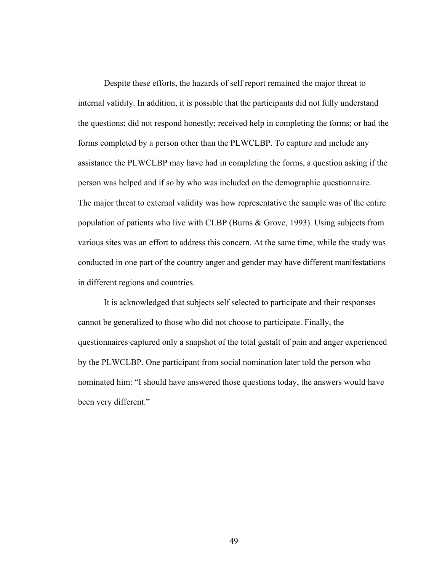Despite these efforts, the hazards of self report remained the major threat to internal validity. In addition, it is possible that the participants did not fully understand the questions; did not respond honestly; received help in completing the forms; or had the forms completed by a person other than the PLWCLBP. To capture and include any assistance the PLWCLBP may have had in completing the forms, a question asking if the person was helped and if so by who was included on the demographic questionnaire. The major threat to external validity was how representative the sample was of the entire population of patients who live with CLBP (Burns & Grove, 1993). Using subjects from various sites was an effort to address this concern. At the same time, while the study was conducted in one part of the country anger and gender may have different manifestations in different regions and countries.

It is acknowledged that subjects self selected to participate and their responses cannot be generalized to those who did not choose to participate. Finally, the questionnaires captured only a snapshot of the total gestalt of pain and anger experienced by the PLWCLBP. One participant from social nomination later told the person who nominated him: "I should have answered those questions today, the answers would have been very different."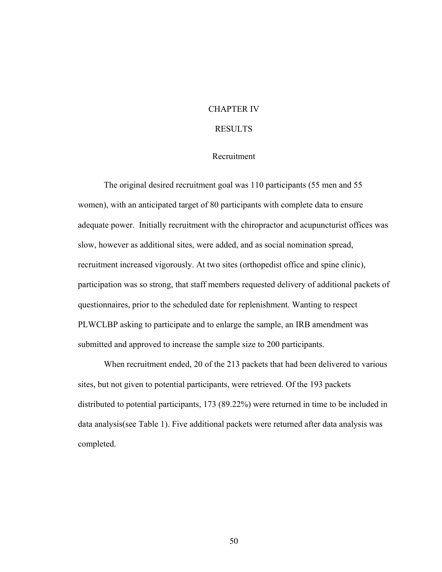## CHAPTER IV

## RESULTS

# Recruitment

The original desired recruitment goal was 110 participants (55 men and 55 women), with an anticipated target of 80 participants with complete data to ensure adequate power. Initially recruitment with the chiropractor and acupuncturist offices was slow, however as additional sites, were added, and as social nomination spread, recruitment increased vigorously. At two sites (orthopedist office and spine clinic), participation was so strong, that staff members requested delivery of additional packets of questionnaires, prior to the scheduled date for replenishment. Wanting to respect PLWCLBP asking to participate and to enlarge the sample, an IRB amendment was submitted and approved to increase the sample size to 200 participants.

When recruitment ended, 20 of the 213 packets that had been delivered to various sites, but not given to potential participants, were retrieved. Of the 193 packets distributed to potential participants, 173 (89.22%) were returned in time to be included in data analysis(see Table 1). Five additional packets were returned after data analysis was completed.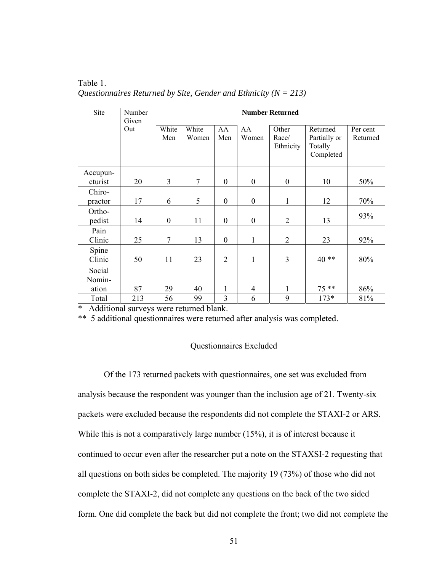Table 1. *Questionnaires Returned by Site, Gender and Ethnicity (N = 213)*

| Site                      | Number<br>Given | <b>Number Returned</b> |                |                  |                  |                             |                                                  |                      |
|---------------------------|-----------------|------------------------|----------------|------------------|------------------|-----------------------------|--------------------------------------------------|----------------------|
|                           | Out             | White<br>Men           | White<br>Women | AA<br>Men        | AA<br>Women      | Other<br>Race/<br>Ethnicity | Returned<br>Partially or<br>Totally<br>Completed | Per cent<br>Returned |
| Accupun-<br>cturist       | 20              | 3                      | $\tau$         | $\boldsymbol{0}$ | $\mathbf{0}$     | $\boldsymbol{0}$            | 10                                               | 50%                  |
| Chiro-<br>practor         | 17              | 6                      | 5              | $\boldsymbol{0}$ | $\boldsymbol{0}$ | 1                           | 12                                               | 70%                  |
| Ortho-<br>pedist          | 14              | $\boldsymbol{0}$       | 11             | $\boldsymbol{0}$ | $\boldsymbol{0}$ | $\overline{2}$              | 13                                               | 93%                  |
| Pain<br>Clinic            | 25              | $\overline{7}$         | 13             | $\boldsymbol{0}$ | $\mathbf{1}$     | $\overline{2}$              | 23                                               | 92%                  |
| Spine<br>Clinic           | 50              | 11                     | 23             | $\overline{2}$   | $\mathbf{1}$     | 3                           | $40**$                                           | 80%                  |
| Social<br>Nomin-<br>ation | 87              | 29                     | 40             | 1                | $\overline{4}$   | 1                           | $75**$                                           | 86%                  |
| Total                     | 213             | 56                     | 99             | 3                | 6                | 9                           | $173*$                                           | 81%                  |

\* Additional surveys were returned blank.

\*\* 5 additional questionnaires were returned after analysis was completed.

# Questionnaires Excluded

Of the 173 returned packets with questionnaires, one set was excluded from analysis because the respondent was younger than the inclusion age of 21. Twenty-six packets were excluded because the respondents did not complete the STAXI-2 or ARS. While this is not a comparatively large number (15%), it is of interest because it continued to occur even after the researcher put a note on the STAXSI-2 requesting that all questions on both sides be completed. The majority 19 (73%) of those who did not complete the STAXI-2, did not complete any questions on the back of the two sided form. One did complete the back but did not complete the front; two did not complete the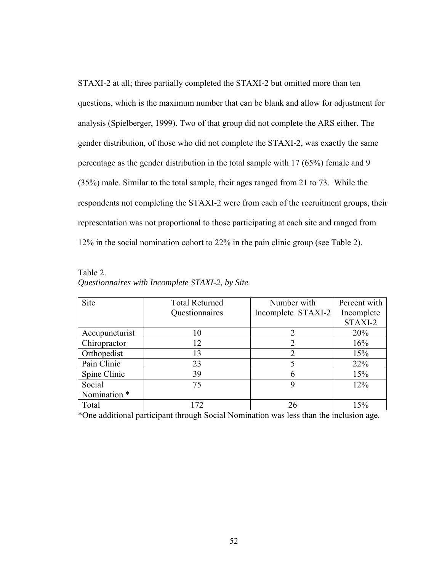STAXI-2 at all; three partially completed the STAXI-2 but omitted more than ten questions, which is the maximum number that can be blank and allow for adjustment for analysis (Spielberger, 1999). Two of that group did not complete the ARS either. The gender distribution, of those who did not complete the STAXI-2, was exactly the same percentage as the gender distribution in the total sample with 17 (65%) female and 9 (35%) male. Similar to the total sample, their ages ranged from 21 to 73. While the respondents not completing the STAXI-2 were from each of the recruitment groups, their representation was not proportional to those participating at each site and ranged from 12% in the social nomination cohort to 22% in the pain clinic group (see Table 2).

Table 2. *Questionnaires with Incomplete STAXI-2, by Site* 

| Site                    | <b>Total Returned</b> | Number with        | Percent with |
|-------------------------|-----------------------|--------------------|--------------|
|                         | Questionnaires        | Incomplete STAXI-2 | Incomplete   |
|                         |                       |                    | STAXI-2      |
| Accupuncturist          | 10                    | 2                  | 20%          |
| Chiropractor            | 12                    | 2                  | 16%          |
| Orthopedist             | 13                    | $\overline{2}$     | 15%          |
| Pain Clinic             | 23                    |                    | 22%          |
| Spine Clinic            | 39                    | 6                  | 15%          |
| Social                  | 75                    | 9                  | 12%          |
| Nomination <sup>*</sup> |                       |                    |              |
| Total                   | 172                   | 26                 | 15%          |

\*One additional participant through Social Nomination was less than the inclusion age.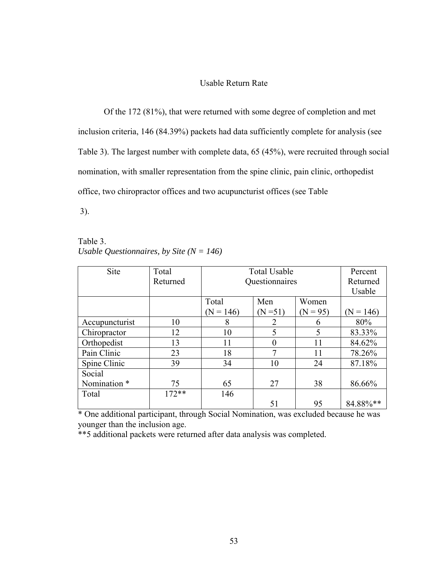## Usable Return Rate

Of the 172 (81%), that were returned with some degree of completion and met inclusion criteria, 146 (84.39%) packets had data sufficiently complete for analysis (see Table 3). The largest number with complete data, 65 (45%), were recruited through social nomination, with smaller representation from the spine clinic, pain clinic, orthopedist office, two chiropractor offices and two acupuncturist offices (see Table

3).

Table 3. *Usable Questionnaires, by Site (N = 146)*

| Site                    | Total    | <b>Total Usable</b> |                |            | Percent     |
|-------------------------|----------|---------------------|----------------|------------|-------------|
|                         | Returned |                     | Questionnaires |            |             |
|                         |          |                     |                |            | Usable      |
|                         |          | Total               | Men            | Women      |             |
|                         |          | $(N = 146)$         | $(N=51)$       | $(N = 95)$ | $(N = 146)$ |
| Accupuncturist          | 10       | 8                   | 2              | 6          | 80%         |
| Chiropractor            | 12       | 10                  | 5              | 5          | 83.33%      |
| Orthopedist             | 13       | 11                  | 0              | 11         | 84.62%      |
| Pain Clinic             | 23       | 18                  | 7              | 11         | 78.26%      |
| Spine Clinic            | 39       | 34                  | 10             | 24         | 87.18%      |
| Social                  |          |                     |                |            |             |
| Nomination <sup>*</sup> | 75       | 65                  | 27             | 38         | 86.66%      |
| Total                   | $172**$  | 146                 |                |            |             |
|                         |          |                     | 51             | 95         | 84.88%**    |

\* One additional participant, through Social Nomination, was excluded because he was younger than the inclusion age.

\*\*5 additional packets were returned after data analysis was completed.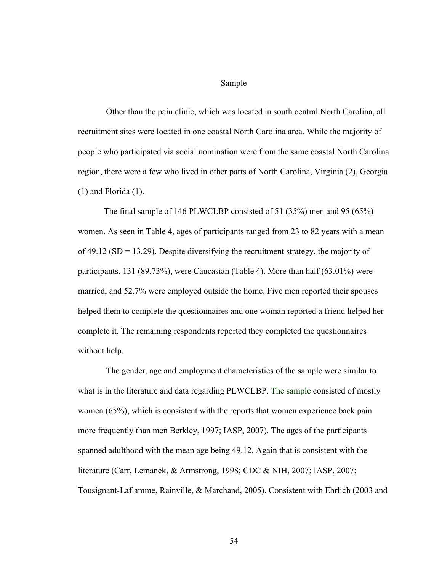Sample

 Other than the pain clinic, which was located in south central North Carolina, all recruitment sites were located in one coastal North Carolina area. While the majority of people who participated via social nomination were from the same coastal North Carolina region, there were a few who lived in other parts of North Carolina, Virginia (2), Georgia (1) and Florida (1).

The final sample of 146 PLWCLBP consisted of 51 (35%) men and 95 (65%) women. As seen in Table 4, ages of participants ranged from 23 to 82 years with a mean of 49.12 ( $SD = 13.29$ ). Despite diversifying the recruitment strategy, the majority of participants, 131 (89.73%), were Caucasian (Table 4). More than half (63.01%) were married, and 52.7% were employed outside the home. Five men reported their spouses helped them to complete the questionnaires and one woman reported a friend helped her complete it. The remaining respondents reported they completed the questionnaires without help.

 The gender, age and employment characteristics of the sample were similar to what is in the literature and data regarding PLWCLBP. The sample consisted of mostly women (65%), which is consistent with the reports that women experience back pain more frequently than men Berkley, 1997; IASP, 2007). The ages of the participants spanned adulthood with the mean age being 49.12. Again that is consistent with the literature (Carr, Lemanek, & Armstrong, 1998; CDC & NIH, 2007; IASP, 2007; Tousignant-Laflamme, Rainville, & Marchand, 2005). Consistent with Ehrlich (2003 and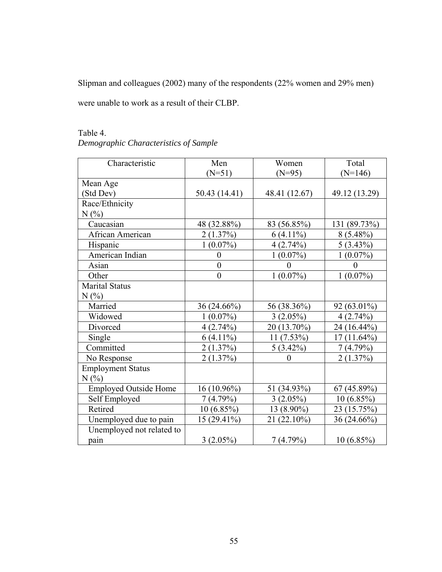Slipman and colleagues (2002) many of the respondents (22% women and 29% men)

were unable to work as a result of their CLBP.

| Characteristic               | Men                        | Women         | Total           |
|------------------------------|----------------------------|---------------|-----------------|
|                              | $(N=51)$                   | $(N=95)$      | $(N=146)$       |
| Mean Age                     |                            |               |                 |
| (Std Dev)                    | 50.43 (14.41)              | 48.41 (12.67) | 49.12 (13.29)   |
| Race/Ethnicity               |                            |               |                 |
| N(%                          |                            |               |                 |
| Caucasian                    | 48 (32.88%)                | 83 (56.85%)   | 131 (89.73%)    |
| African American             | 2(1.37%)                   | $6(4.11\%)$   | $8(5.48\%)$     |
| Hispanic                     | $1(0.07\%)$                | 4(2.74%)      | $5(3.43\%)$     |
| American Indian              | $\overline{0}$             | $1(0.07\%)$   | $1(0.07\%)$     |
| Asian                        | $\overline{0}$             | $\theta$      | $\theta$        |
|                              |                            |               |                 |
| Other                        | $\boldsymbol{0}$           | $1(0.07\%)$   | $1(0.07\%)$     |
| <b>Marital Status</b>        |                            |               |                 |
| N(%                          |                            |               |                 |
| Married                      | 36 (24.66%)                | 56 (38.36%)   | 92 (63.01%)     |
| Widowed                      | $(0.07\%)$<br>$\mathbf{1}$ | $3(2.05\%)$   | 4(2.74%)        |
| Divorced                     | 4(2.74%)                   | 20 (13.70%)   | 24 (16.44%)     |
| Single                       | $6(4.11\%)$                | $11(7.53\%)$  | $17(11.64\%)$   |
| Committed                    | 2(1.37%)                   | $5(3.42\%)$   | $(4.79\%)$<br>7 |
| No Response                  | 2(1.37%)                   | $\theta$      | 2(1.37%)        |
| <b>Employment Status</b>     |                            |               |                 |
| N(%)                         |                            |               |                 |
| <b>Employed Outside Home</b> | $16(10.96\%)$              | 51 (34.93%)   | 67(45.89%)      |
| Self Employed                | 7(4.79%)                   | $3(2.05\%)$   | 10(6.85%)       |
| Retired                      | $10(6.85\%)$               | 13 (8.90%)    | 23 (15.75%)     |
| Unemployed due to pain       | 15 (29.41%)                | 21 (22.10%)   | 36 (24.66%)     |
| Unemployed not related to    |                            |               |                 |
| pain                         | $3(2.05\%)$                | 7(4.79%)      | $10(6.85\%)$    |

# Table 4.

*Demographic Characteristics of Sample*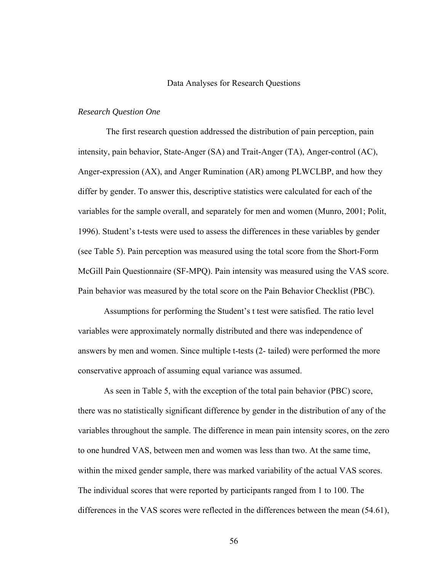#### Data Analyses for Research Questions

## *Research Question One*

 The first research question addressed the distribution of pain perception, pain intensity, pain behavior, State-Anger (SA) and Trait-Anger (TA), Anger-control (AC), Anger-expression (AX), and Anger Rumination (AR) among PLWCLBP, and how they differ by gender. To answer this, descriptive statistics were calculated for each of the variables for the sample overall, and separately for men and women (Munro, 2001; Polit, 1996). Student's t-tests were used to assess the differences in these variables by gender (see Table 5). Pain perception was measured using the total score from the Short-Form McGill Pain Questionnaire (SF-MPQ). Pain intensity was measured using the VAS score. Pain behavior was measured by the total score on the Pain Behavior Checklist (PBC).

Assumptions for performing the Student's t test were satisfied. The ratio level variables were approximately normally distributed and there was independence of answers by men and women. Since multiple t-tests (2- tailed) were performed the more conservative approach of assuming equal variance was assumed.

As seen in Table 5, with the exception of the total pain behavior (PBC) score, there was no statistically significant difference by gender in the distribution of any of the variables throughout the sample. The difference in mean pain intensity scores, on the zero to one hundred VAS, between men and women was less than two. At the same time, within the mixed gender sample, there was marked variability of the actual VAS scores. The individual scores that were reported by participants ranged from 1 to 100. The differences in the VAS scores were reflected in the differences between the mean (54.61),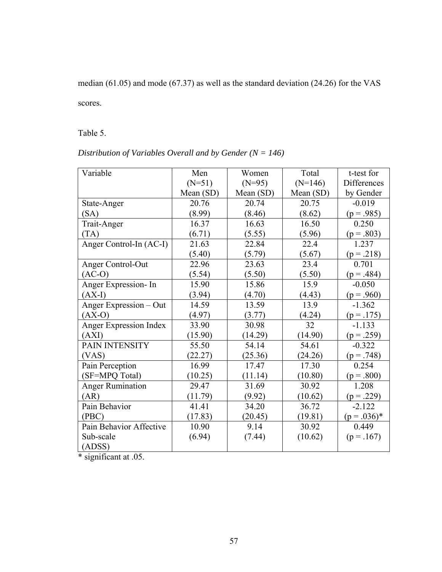median (61.05) and mode (67.37) as well as the standard deviation (24.26) for the VAS

scores.

Table 5.

| Variable                | Men         | Women       | Total     | t-test for         |
|-------------------------|-------------|-------------|-----------|--------------------|
|                         | $(N=51)$    | $(N=95)$    | $(N=146)$ | <b>Differences</b> |
|                         | Mean $(SD)$ | Mean $(SD)$ | Mean (SD) | by Gender          |
| State-Anger             | 20.76       | 20.74       | 20.75     | $-0.019$           |
| (SA)                    | (8.99)      | (8.46)      | (8.62)    | $(p = .985)$       |
| Trait-Anger             | 16.37       | 16.63       | 16.50     | 0.250              |
| (TA)                    | (6.71)      | (5.55)      | (5.96)    | $(p=.803)$         |
| Anger Control-In (AC-I) | 21.63       | 22.84       | 22.4      | 1.237              |
|                         | (5.40)      | (5.79)      | (5.67)    | $(p=.218)$         |
| Anger Control-Out       | 22.96       | 23.63       | 23.4      | 0.701              |
| $(AC-O)$                | (5.54)      | (5.50)      | (5.50)    | $(p = .484)$       |
| Anger Expression-In     | 15.90       | 15.86       | 15.9      | $-0.050$           |
| $(AX-I)$                | (3.94)      | (4.70)      | (4.43)    | $(p = .960)$       |
| Anger Expression - Out  | 14.59       | 13.59       | 13.9      | $-1.362$           |
| $(AX-O)$                | (4.97)      | (3.77)      | (4.24)    | $(p=.175)$         |
| Anger Expression Index  | 33.90       | 30.98       | 32        | $-1.133$           |
| (AXI)                   | (15.90)     | (14.29)     | (14.90)   | $(p = .259)$       |
| PAIN INTENSITY          | 55.50       | 54.14       | 54.61     | $-0.322$           |
| (VAS)                   | (22.27)     | (25.36)     | (24.26)   | $(p=.748)$         |
| Pain Perception         | 16.99       | 17.47       | 17.30     | 0.254              |
| (SF=MPQ Total)          | (10.25)     | (11.14)     | (10.80)   | $(p=.800)$         |
| <b>Anger Rumination</b> | 29.47       | 31.69       | 30.92     | 1.208              |
| (AR)                    | (11.79)     | (9.92)      | (10.62)   | $(p = .229)$       |
| Pain Behavior           | 41.41       | 34.20       | 36.72     | $-2.122$           |
| (PBC)                   | (17.83)     | (20.45)     | (19.81)   | $(p=.036)*$        |
| Pain Behavior Affective | 10.90       | 9.14        | 30.92     | 0.449              |
| Sub-scale               | (6.94)      | (7.44)      | (10.62)   | $(p=.167)$         |
| (ADS)                   |             |             |           |                    |

\* significant at .05.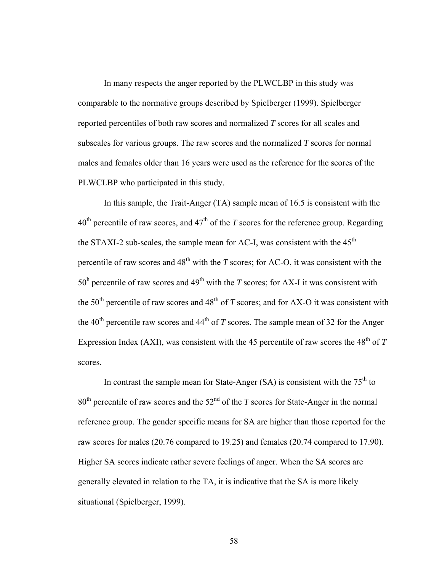In many respects the anger reported by the PLWCLBP in this study was comparable to the normative groups described by Spielberger (1999). Spielberger reported percentiles of both raw scores and normalized *T* scores for all scales and subscales for various groups. The raw scores and the normalized *T* scores for normal males and females older than 16 years were used as the reference for the scores of the PLWCLBP who participated in this study.

In this sample, the Trait-Anger (TA) sample mean of 16.5 is consistent with the  $40<sup>th</sup>$  percentile of raw scores, and  $47<sup>th</sup>$  of the *T* scores for the reference group. Regarding the STAXI-2 sub-scales, the sample mean for AC-I, was consistent with the  $45<sup>th</sup>$ percentile of raw scores and  $48<sup>th</sup>$  with the *T* scores; for AC-O, it was consistent with the  $50<sup>h</sup>$  percentile of raw scores and 49<sup>th</sup> with the *T* scores; for AX-I it was consistent with the 50<sup>th</sup> percentile of raw scores and  $48<sup>th</sup>$  of *T* scores; and for AX-O it was consistent with the 40<sup>th</sup> percentile raw scores and 44<sup>th</sup> of *T* scores. The sample mean of 32 for the Anger Expression Index (AXI), was consistent with the 45 percentile of raw scores the  $48<sup>th</sup>$  of  $T$ scores.

In contrast the sample mean for State-Anger (SA) is consistent with the  $75<sup>th</sup>$  to  $80<sup>th</sup>$  percentile of raw scores and the  $52<sup>nd</sup>$  of the *T* scores for State-Anger in the normal reference group. The gender specific means for SA are higher than those reported for the raw scores for males (20.76 compared to 19.25) and females (20.74 compared to 17.90). Higher SA scores indicate rather severe feelings of anger. When the SA scores are generally elevated in relation to the TA, it is indicative that the SA is more likely situational (Spielberger, 1999).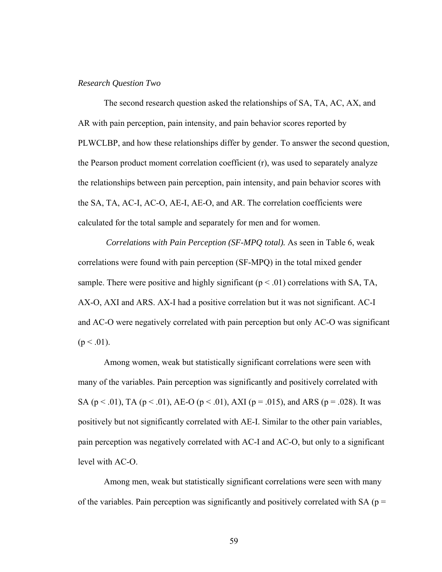#### *Research Question Two*

The second research question asked the relationships of SA, TA, AC, AX, and AR with pain perception, pain intensity, and pain behavior scores reported by PLWCLBP, and how these relationships differ by gender. To answer the second question, the Pearson product moment correlation coefficient (r), was used to separately analyze the relationships between pain perception, pain intensity, and pain behavior scores with the SA, TA, AC-I, AC-O, AE-I, AE-O, and AR. The correlation coefficients were calculated for the total sample and separately for men and for women.

 *Correlations with Pain Perception (SF-MPQ total).* As seen in Table 6, weak correlations were found with pain perception (SF-MPQ) in the total mixed gender sample. There were positive and highly significant ( $p < .01$ ) correlations with SA, TA, AX-O, AXI and ARS. AX-I had a positive correlation but it was not significant. AC-I and AC-O were negatively correlated with pain perception but only AC-O was significant  $(p < .01)$ .

Among women, weak but statistically significant correlations were seen with many of the variables. Pain perception was significantly and positively correlated with SA ( $p < .01$ ), TA ( $p < .01$ ), AE-O ( $p < .01$ ), AXI ( $p = .015$ ), and ARS ( $p = .028$ ). It was positively but not significantly correlated with AE-I. Similar to the other pain variables, pain perception was negatively correlated with AC-I and AC-O, but only to a significant level with AC-O.

Among men, weak but statistically significant correlations were seen with many of the variables. Pain perception was significantly and positively correlated with SA ( $p =$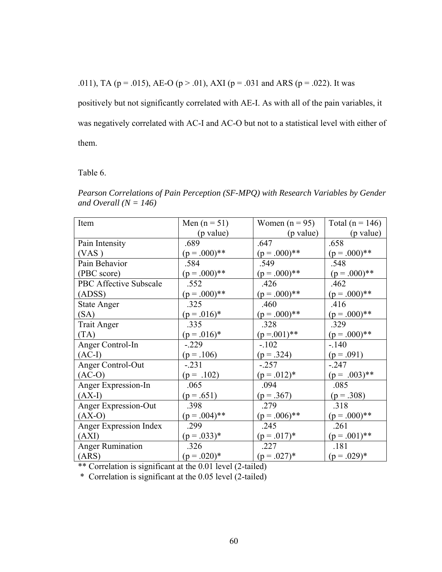.011), TA ( $p = .015$ ), AE-O ( $p > .01$ ), AXI ( $p = .031$  and ARS ( $p = .022$ ). It was

positively but not significantly correlated with AE-I. As with all of the pain variables, it was negatively correlated with AC-I and AC-O but not to a statistical level with either of them.

Table 6.

*Pearson Correlations of Pain Perception (SF-MPQ) with Research Variables by Gender and Overall (N = 146)* 

| Item                   | Men $(n = 51)$ | Women $(n = 95)$ | Total ( $n = 146$ ) |
|------------------------|----------------|------------------|---------------------|
|                        | (p value)      | (p value)        | (p value)           |
| Pain Intensity         | .689           | .647             | .658                |
| (VAS)                  | $(p=.000)**$   | $(p=.000)**$     | $(p=.000)**$        |
| Pain Behavior          | .584           | .549             | .548                |
| (PBC score)            | $(p=.000)**$   | $(p=.000)**$     | $(p=.000)**$        |
| PBC Affective Subscale | .552           | .426             | .462                |
| (ADS)                  | $(p=.000)**$   | $(p=.000)**$     | $(p=.000)**$        |
| <b>State Anger</b>     | .325           | .460             | .416                |
| (SA)                   | $(p=.016)^*$   | $(p=.000)**$     | $(p=.000)**$        |
| <b>Trait Anger</b>     | .335           | .328             | .329                |
| (TA)                   | $(p=.016)^*$   | $(p=.001)$ **    | $(p=.000)**$        |
| Anger Control-In       | $-.229$        | $-.102$          | $-140$              |
| $(AC-I)$               | $(p=.106)$     | $(p=.324)$       | $(p = .091)$        |
| Anger Control-Out      | $-.231$        | $-.257$          | $-.247$             |
| $(AC-O)$               | $(p = .102)$   | $(p=.012)*$      | $(p = .003)$ **     |
| Anger Expression-In    | .065           | .094             | .085                |
| $(AX-I)$               | $(p=.651)$     | $(p=.367)$       | $(p=.308)$          |
| Anger Expression-Out   | .398           | .279             | .318                |
| $(AX-O)$               | $(p=.004)$ **  | $(p=.006)$ **    | $(p=.000)**$        |
| Anger Expression Index | .299           | .245             | .261                |
| (AXI)                  | $(p=.033)*$    | $(p=.017)*$      | $(p=.001)$ **       |
| Anger Rumination       | .326           | .227             | .181                |
| (ARS)                  | $(p=.020)*$    | $(p=.027)*$      | $(p=.029)*$         |

\*\* Correlation is significant at the 0.01 level (2-tailed)

\* Correlation is significant at the 0.05 level (2-tailed)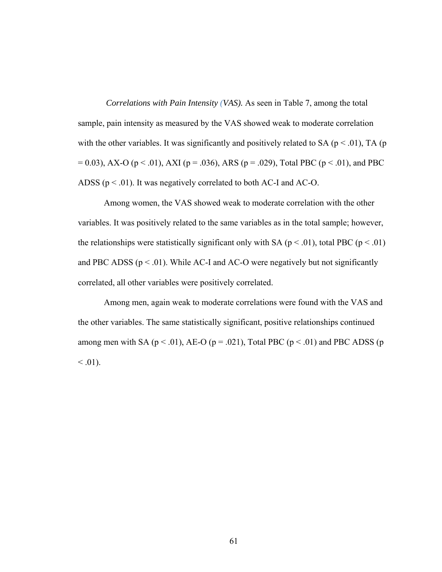*Correlations with Pain Intensity (VAS).* As seen in Table 7, among the total sample, pain intensity as measured by the VAS showed weak to moderate correlation with the other variables. It was significantly and positively related to SA ( $p < .01$ ), TA ( $p$ )  $= 0.03$ ), AX-O (p < .01), AXI (p = .036), ARS (p = .029), Total PBC (p < .01), and PBC ADSS ( $p < .01$ ). It was negatively correlated to both AC-I and AC-O.

Among women, the VAS showed weak to moderate correlation with the other variables. It was positively related to the same variables as in the total sample; however, the relationships were statistically significant only with SA ( $p < .01$ ), total PBC ( $p < .01$ ) and PBC ADSS ( $p < .01$ ). While AC-I and AC-O were negatively but not significantly correlated, all other variables were positively correlated.

Among men, again weak to moderate correlations were found with the VAS and the other variables. The same statistically significant, positive relationships continued among men with SA ( $p < .01$ ), AE-O ( $p = .021$ ), Total PBC ( $p < .01$ ) and PBC ADSS ( $p$  $< 0.01$ ).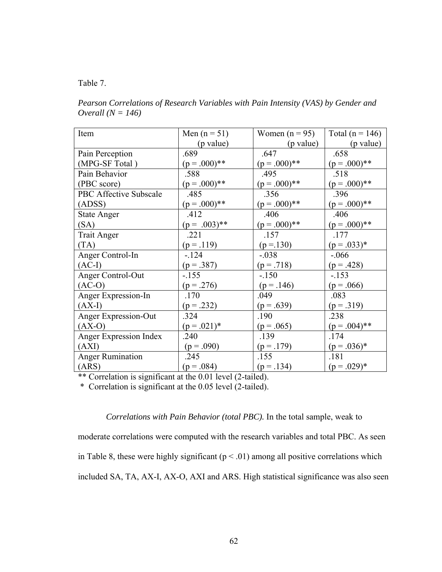## Table 7.

*Pearson Correlations of Research Variables with Pain Intensity (VAS) by Gender and Overall (N = 146)* 

| Item                          | Men $(n = 51)$  | Women $(n = 95)$ | Total ( $n = 146$ ) |
|-------------------------------|-----------------|------------------|---------------------|
|                               | (p value)       | (p value)        | (p value)           |
| Pain Perception               | .689            | .647             | .658                |
| (MPG-SF Total)                | $(p=.000)**$    | $(p=.000)**$     | $(p=.000)**$        |
| Pain Behavior                 | .588            | .495             | .518                |
| (PBC score)                   | $(p=.000)**$    | $(p=.000)**$     | $(p=.000)**$        |
| <b>PBC Affective Subscale</b> | .485            | .356             | .396                |
| (ADS)                         | $(p=.000)**$    | $(p=.000)**$     | $(p=.000)**$        |
| <b>State Anger</b>            | .412            | .406             | .406                |
| (SA)                          | $(p = .003)$ ** | $(p=.000)**$     | $(p=.000)**$        |
| <b>Trait Anger</b>            | .221            | .157             | .177                |
| (TA)                          | $(p=.119)$      | $(p = 130)$      | $(p=.033)*$         |
| Anger Control-In              | $-124$          | $-.038$          | $-0.066$            |
| $(AC-I)$                      | $(p=.387)$      | $(p=.718)$       | $(p = .428)$        |
| <b>Anger Control-Out</b>      | $-155$          | $-150$           | $-153$              |
| $(AC-O)$                      | $(p = .276)$    | $(p=.146)$       | $(p = .066)$        |
| <b>Anger Expression-In</b>    | .170            | .049             | .083                |
| $(AX-I)$                      | $(p=.232)$      | $(p=.639)$       | $(p=.319)$          |
| <b>Anger Expression-Out</b>   | .324            | .190             | .238                |
| $(AX-O)$                      | $(p=.021)*$     | $(p = .065)$     | $(p=.004)$ **       |
| <b>Anger Expression Index</b> | .240            | .139             | .174                |
| (AXI)                         | $(p = .090)$    | $(p=.179)$       | $(p=.036)*$         |
| Anger Rumination              | .245            | .155             | .181                |
| (ARS)                         | $(p=.084)$      | $(p=.134)$       | $(p=.029)*$         |

\*\* Correlation is significant at the 0.01 level (2-tailed).

\* Correlation is significant at the 0.05 level (2-tailed).

 *Correlations with Pain Behavior (total PBC).* In the total sample, weak to

moderate correlations were computed with the research variables and total PBC. As seen

in Table 8, these were highly significant ( $p < .01$ ) among all positive correlations which

included SA, TA, AX-I, AX-O, AXI and ARS. High statistical significance was also seen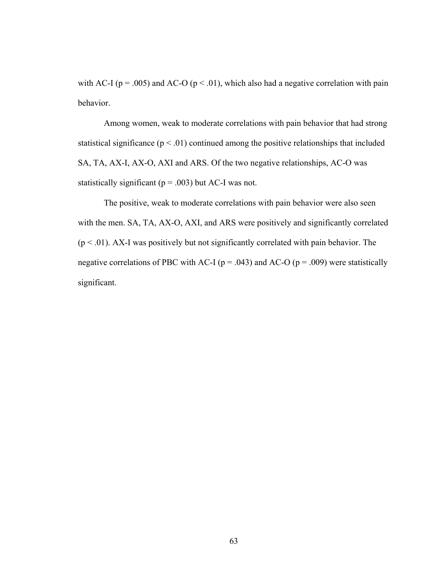with AC-I ( $p = .005$ ) and AC-O ( $p < .01$ ), which also had a negative correlation with pain behavior.

Among women, weak to moderate correlations with pain behavior that had strong statistical significance  $(p < .01)$  continued among the positive relationships that included SA, TA, AX-I, AX-O, AXI and ARS. Of the two negative relationships, AC-O was statistically significant ( $p = .003$ ) but AC-I was not.

The positive, weak to moderate correlations with pain behavior were also seen with the men. SA, TA, AX-O, AXI, and ARS were positively and significantly correlated  $(p < .01)$ . AX-I was positively but not significantly correlated with pain behavior. The negative correlations of PBC with AC-I ( $p = .043$ ) and AC-O ( $p = .009$ ) were statistically significant.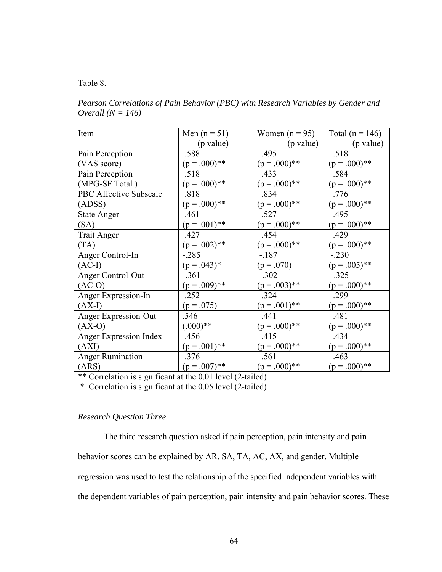## Table 8.

*Pearson Correlations of Pain Behavior (PBC) with Research Variables by Gender and Overall (N = 146)* 

| Item                        | Men $(n = 51)$ | Women $(n = 95)$ | Total ( $n = 146$ ) |
|-----------------------------|----------------|------------------|---------------------|
|                             | (p value)      | (p value)        | (p value)           |
| Pain Perception             | .588           | .495             | .518                |
| (VAS score)                 | $(p=.000)**$   | $(p=.000)**$     | $(p=.000)**$        |
| Pain Perception             | .518           | .433             | .584                |
| (MPG-SF Total)              | $(p=.000)**$   | $(p=.000)**$     | $(p=.000)**$        |
| PBC Affective Subscale      | .818           | .834             | .776                |
| (ADSS)                      | $(p=.000)**$   | $(p=.000)**$     | $(p=.000)**$        |
| <b>State Anger</b>          | .461           | .527             | .495                |
| (SA)                        | $(p=.001)$ **  | $(p=.000)**$     | $(p=.000)**$        |
| <b>Trait Anger</b>          | .427           | .454             | .429                |
| (TA)                        | $(p=.002)**$   | $(p=.000)**$     | $(p=.000)**$        |
| Anger Control-In            | $-.285$        | $-187$           | $-.230$             |
| $(AC-I)$                    | $(p=.043)*$    | $(p = .070)$     | $(p=.005)**$        |
| Anger Control-Out           | $-.361$        | $-.302$          | $-.325$             |
| $(AC-O)$                    | $(p=.009)**$   | $(p=.003)**$     | $(p=.000)**$        |
| <b>Anger Expression-In</b>  | .252           | .324             | .299                |
| $(AX-I)$                    | $(p = .075)$   | $(p=.001)$ **    | $(p=.000)**$        |
| <b>Anger Expression-Out</b> | .546           | .441             | .481                |
| $(AX-O)$                    | $(.000)**$     | $(p=.000)**$     | $(p=.000)**$        |
| Anger Expression Index      | .456           | .415             | .434                |
| (AXI)                       | $(p=.001)$ **  | $(p=.000)**$     | $(p=.000)**$        |
| <b>Anger Rumination</b>     | .376           | .561             | .463                |
| (ARS)                       | $(p=.007)$ **  | $(p=.000)**$     | $(p=.000)**$        |

\*\* Correlation is significant at the 0.01 level (2-tailed)

\* Correlation is significant at the 0.05 level (2-tailed)

# *Research Question Three*

The third research question asked if pain perception, pain intensity and pain behavior scores can be explained by AR, SA, TA, AC, AX, and gender. Multiple regression was used to test the relationship of the specified independent variables with the dependent variables of pain perception, pain intensity and pain behavior scores. These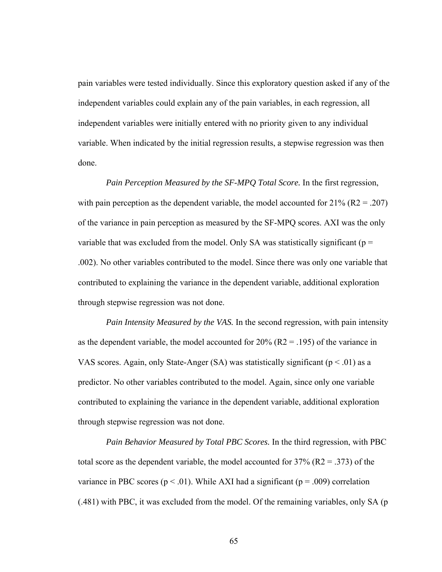pain variables were tested individually. Since this exploratory question asked if any of the independent variables could explain any of the pain variables, in each regression, all independent variables were initially entered with no priority given to any individual variable. When indicated by the initial regression results, a stepwise regression was then done.

 *Pain Perception Measured by the SF-MPQ Total Score.* In the first regression, with pain perception as the dependent variable, the model accounted for  $21\%$  (R2 = .207) of the variance in pain perception as measured by the SF-MPQ scores. AXI was the only variable that was excluded from the model. Only SA was statistically significant ( $p =$ .002). No other variables contributed to the model. Since there was only one variable that contributed to explaining the variance in the dependent variable, additional exploration through stepwise regression was not done.

 *Pain Intensity Measured by the VAS.* In the second regression, with pain intensity as the dependent variable, the model accounted for  $20\%$  (R2 = .195) of the variance in VAS scores. Again, only State-Anger (SA) was statistically significant ( $p < .01$ ) as a predictor. No other variables contributed to the model. Again, since only one variable contributed to explaining the variance in the dependent variable, additional exploration through stepwise regression was not done.

 *Pain Behavior Measured by Total PBC Scores.* In the third regression, with PBC total score as the dependent variable, the model accounted for  $37\%$  (R2 = .373) of the variance in PBC scores ( $p < .01$ ). While AXI had a significant ( $p = .009$ ) correlation (.481) with PBC, it was excluded from the model. Of the remaining variables, only SA (p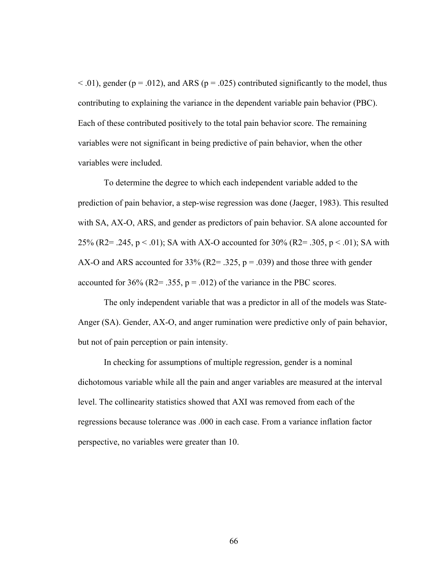$<$  0.01), gender (p = .012), and ARS (p = .025) contributed significantly to the model, thus contributing to explaining the variance in the dependent variable pain behavior (PBC). Each of these contributed positively to the total pain behavior score. The remaining variables were not significant in being predictive of pain behavior, when the other variables were included.

To determine the degree to which each independent variable added to the prediction of pain behavior, a step-wise regression was done (Jaeger, 1983). This resulted with SA, AX-O, ARS, and gender as predictors of pain behavior. SA alone accounted for 25% (R2= .245,  $p < .01$ ); SA with AX-O accounted for 30% (R2= .305,  $p < .01$ ); SA with AX-O and ARS accounted for 33% (R2= .325,  $p = .039$ ) and those three with gender accounted for 36% (R2= .355,  $p = .012$ ) of the variance in the PBC scores.

The only independent variable that was a predictor in all of the models was State-Anger (SA). Gender, AX-O, and anger rumination were predictive only of pain behavior, but not of pain perception or pain intensity.

In checking for assumptions of multiple regression, gender is a nominal dichotomous variable while all the pain and anger variables are measured at the interval level. The collinearity statistics showed that AXI was removed from each of the regressions because tolerance was .000 in each case. From a variance inflation factor perspective, no variables were greater than 10.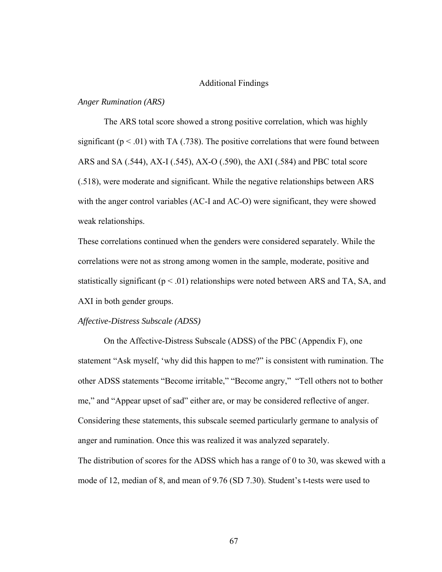#### Additional Findings

## *Anger Rumination (ARS)*

The ARS total score showed a strong positive correlation, which was highly significant ( $p < .01$ ) with TA (.738). The positive correlations that were found between ARS and SA (.544), AX-I (.545), AX-O (.590), the AXI (.584) and PBC total score (.518), were moderate and significant. While the negative relationships between ARS with the anger control variables (AC-I and AC-O) were significant, they were showed weak relationships.

These correlations continued when the genders were considered separately. While the correlations were not as strong among women in the sample, moderate, positive and statistically significant ( $p < .01$ ) relationships were noted between ARS and TA, SA, and AXI in both gender groups.

### *Affective-Distress Subscale (ADSS)*

On the Affective-Distress Subscale (ADSS) of the PBC (Appendix F), one statement "Ask myself, 'why did this happen to me?" is consistent with rumination. The other ADSS statements "Become irritable," "Become angry," "Tell others not to bother me," and "Appear upset of sad" either are, or may be considered reflective of anger. Considering these statements, this subscale seemed particularly germane to analysis of anger and rumination. Once this was realized it was analyzed separately. The distribution of scores for the ADSS which has a range of 0 to 30, was skewed with a

mode of 12, median of 8, and mean of 9.76 (SD 7.30). Student's t-tests were used to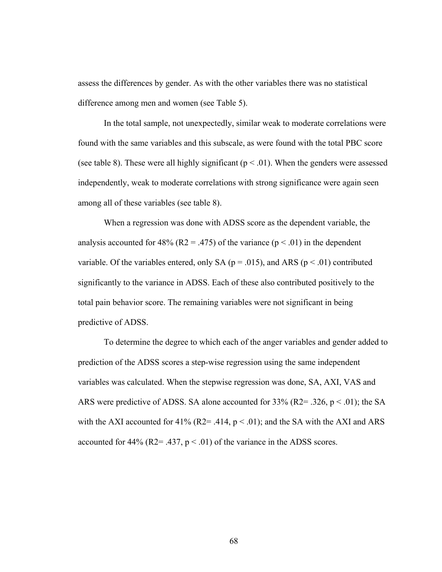assess the differences by gender. As with the other variables there was no statistical difference among men and women (see Table 5).

In the total sample, not unexpectedly, similar weak to moderate correlations were found with the same variables and this subscale, as were found with the total PBC score (see table 8). These were all highly significant ( $p < .01$ ). When the genders were assessed independently, weak to moderate correlations with strong significance were again seen among all of these variables (see table 8).

When a regression was done with ADSS score as the dependent variable, the analysis accounted for 48% (R2 = .475) of the variance ( $p < .01$ ) in the dependent variable. Of the variables entered, only SA ( $p = .015$ ), and ARS ( $p < .01$ ) contributed significantly to the variance in ADSS. Each of these also contributed positively to the total pain behavior score. The remaining variables were not significant in being predictive of ADSS.

To determine the degree to which each of the anger variables and gender added to prediction of the ADSS scores a step-wise regression using the same independent variables was calculated. When the stepwise regression was done, SA, AXI, VAS and ARS were predictive of ADSS. SA alone accounted for  $33\%$  (R2= .326, p < .01); the SA with the AXI accounted for 41% (R2= .414,  $p < .01$ ); and the SA with the AXI and ARS accounted for 44% ( $R2 = .437$ ,  $p < .01$ ) of the variance in the ADSS scores.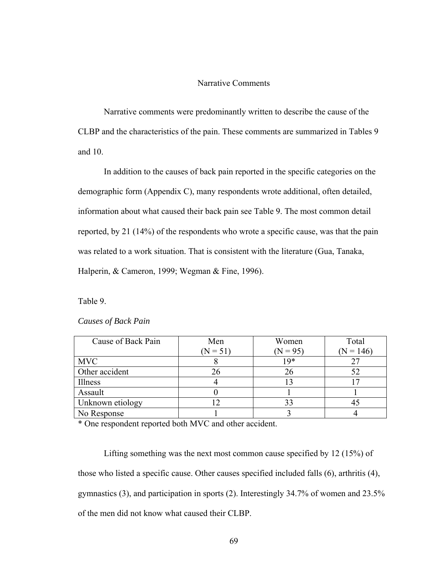## Narrative Comments

Narrative comments were predominantly written to describe the cause of the CLBP and the characteristics of the pain. These comments are summarized in Tables 9 and 10.

In addition to the causes of back pain reported in the specific categories on the demographic form (Appendix C), many respondents wrote additional, often detailed, information about what caused their back pain see Table 9. The most common detail reported, by 21 (14%) of the respondents who wrote a specific cause, was that the pain was related to a work situation. That is consistent with the literature (Gua, Tanaka, Halperin, & Cameron, 1999; Wegman & Fine, 1996).

Table 9.

| Causes of Back Pain |  |
|---------------------|--|
|---------------------|--|

| Cause of Back Pain | Men        | Women      | Total       |
|--------------------|------------|------------|-------------|
|                    | $(N = 51)$ | $(N = 95)$ | $(N = 146)$ |
| <b>MVC</b>         |            | 19*        |             |
| Other accident     | 26         |            |             |
| Illness            |            |            |             |
| Assault            |            |            |             |
| Unknown etiology   |            | 33         |             |
| No Response        |            |            |             |

\* One respondent reported both MVC and other accident.

Lifting something was the next most common cause specified by 12 (15%) of those who listed a specific cause. Other causes specified included falls (6), arthritis (4), gymnastics (3), and participation in sports (2). Interestingly 34.7% of women and 23.5% of the men did not know what caused their CLBP.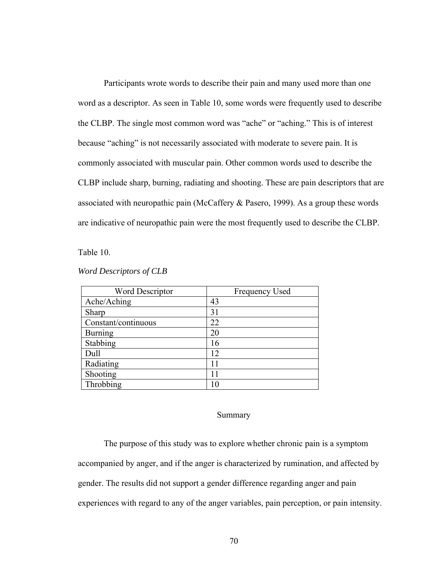Participants wrote words to describe their pain and many used more than one word as a descriptor. As seen in Table 10, some words were frequently used to describe the CLBP. The single most common word was "ache" or "aching." This is of interest because "aching" is not necessarily associated with moderate to severe pain. It is commonly associated with muscular pain. Other common words used to describe the CLBP include sharp, burning, radiating and shooting. These are pain descriptors that are associated with neuropathic pain (McCaffery & Pasero, 1999). As a group these words are indicative of neuropathic pain were the most frequently used to describe the CLBP.

Table 10.

| <b>Word Descriptor</b> | <b>Frequency Used</b> |
|------------------------|-----------------------|
| Ache/Aching            | 43                    |
| Sharp                  | 31                    |
| Constant/continuous    | 22                    |
| <b>Burning</b>         | 20                    |
| Stabbing               | 16                    |
| Dull                   | 12                    |
| Radiating              | 11                    |
| Shooting               | 11                    |
| Throbbing              |                       |

#### *Word Descriptors of CLB*

#### Summary

The purpose of this study was to explore whether chronic pain is a symptom accompanied by anger, and if the anger is characterized by rumination, and affected by gender. The results did not support a gender difference regarding anger and pain experiences with regard to any of the anger variables, pain perception, or pain intensity.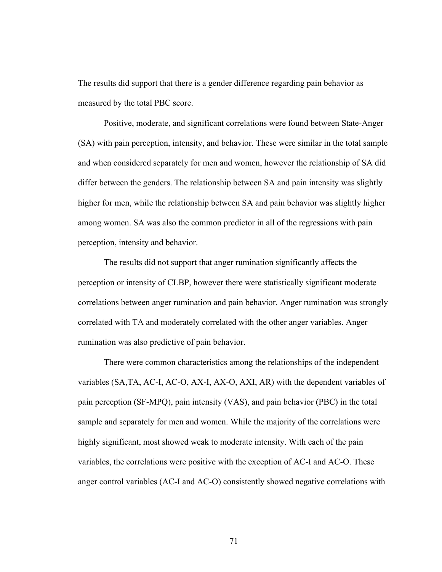The results did support that there is a gender difference regarding pain behavior as measured by the total PBC score.

Positive, moderate, and significant correlations were found between State-Anger (SA) with pain perception, intensity, and behavior. These were similar in the total sample and when considered separately for men and women, however the relationship of SA did differ between the genders. The relationship between SA and pain intensity was slightly higher for men, while the relationship between SA and pain behavior was slightly higher among women. SA was also the common predictor in all of the regressions with pain perception, intensity and behavior.

The results did not support that anger rumination significantly affects the perception or intensity of CLBP, however there were statistically significant moderate correlations between anger rumination and pain behavior. Anger rumination was strongly correlated with TA and moderately correlated with the other anger variables. Anger rumination was also predictive of pain behavior.

There were common characteristics among the relationships of the independent variables (SA,TA, AC-I, AC-O, AX-I, AX-O, AXI, AR) with the dependent variables of pain perception (SF-MPQ), pain intensity (VAS), and pain behavior (PBC) in the total sample and separately for men and women. While the majority of the correlations were highly significant, most showed weak to moderate intensity. With each of the pain variables, the correlations were positive with the exception of AC-I and AC-O. These anger control variables (AC-I and AC-O) consistently showed negative correlations with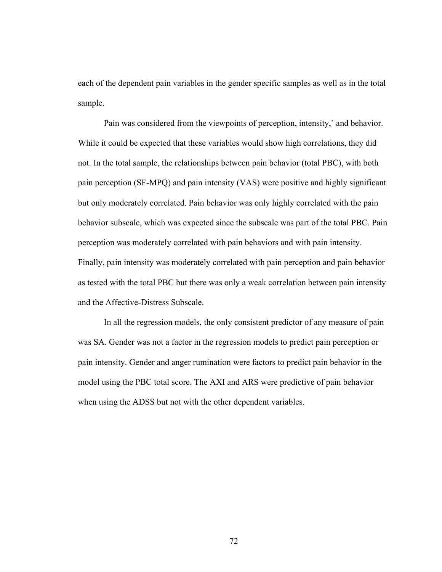each of the dependent pain variables in the gender specific samples as well as in the total sample.

Pain was considered from the viewpoints of perception, intensity,` and behavior. While it could be expected that these variables would show high correlations, they did not. In the total sample, the relationships between pain behavior (total PBC), with both pain perception (SF-MPQ) and pain intensity (VAS) were positive and highly significant but only moderately correlated. Pain behavior was only highly correlated with the pain behavior subscale, which was expected since the subscale was part of the total PBC. Pain perception was moderately correlated with pain behaviors and with pain intensity. Finally, pain intensity was moderately correlated with pain perception and pain behavior as tested with the total PBC but there was only a weak correlation between pain intensity and the Affective-Distress Subscale.

In all the regression models, the only consistent predictor of any measure of pain was SA. Gender was not a factor in the regression models to predict pain perception or pain intensity. Gender and anger rumination were factors to predict pain behavior in the model using the PBC total score. The AXI and ARS were predictive of pain behavior when using the ADSS but not with the other dependent variables.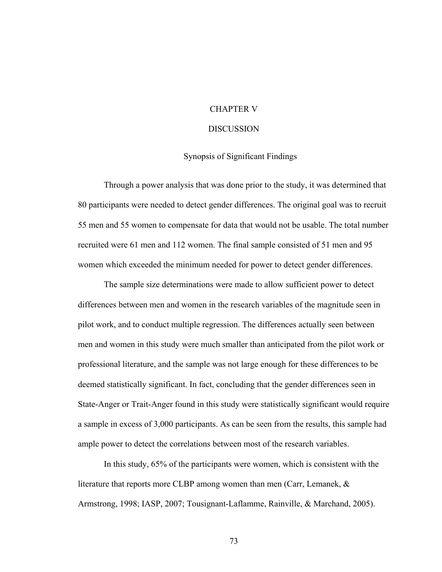## CHAPTER V

#### DISCUSSION

## Synopsis of Significant Findings

Through a power analysis that was done prior to the study, it was determined that 80 participants were needed to detect gender differences. The original goal was to recruit 55 men and 55 women to compensate for data that would not be usable. The total number recruited were 61 men and 112 women. The final sample consisted of 51 men and 95 women which exceeded the minimum needed for power to detect gender differences.

The sample size determinations were made to allow sufficient power to detect differences between men and women in the research variables of the magnitude seen in pilot work, and to conduct multiple regression. The differences actually seen between men and women in this study were much smaller than anticipated from the pilot work or professional literature, and the sample was not large enough for these differences to be deemed statistically significant. In fact, concluding that the gender differences seen in State-Anger or Trait-Anger found in this study were statistically significant would require a sample in excess of 3,000 participants. As can be seen from the results, this sample had ample power to detect the correlations between most of the research variables.

In this study, 65% of the participants were women, which is consistent with the literature that reports more CLBP among women than men (Carr, Lemanek, & Armstrong, 1998; IASP, 2007; Tousignant-Laflamme, Rainville, & Marchand, 2005).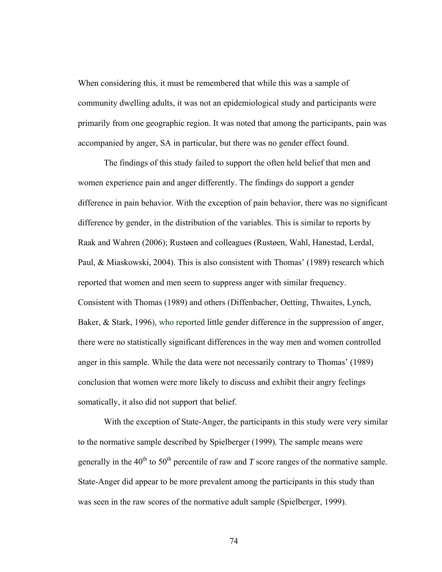When considering this, it must be remembered that while this was a sample of community dwelling adults, it was not an epidemiological study and participants were primarily from one geographic region. It was noted that among the participants, pain was accompanied by anger, SA in particular, but there was no gender effect found.

The findings of this study failed to support the often held belief that men and women experience pain and anger differently. The findings do support a gender difference in pain behavior. With the exception of pain behavior, there was no significant difference by gender, in the distribution of the variables. This is similar to reports by Raak and Wahren (2006); Rustøen and colleagues (Rustøen, Wahl, Hanestad, Lerdal, Paul, & Miaskowski, 2004). This is also consistent with Thomas' (1989) research which reported that women and men seem to suppress anger with similar frequency. Consistent with Thomas (1989) and others (Diffenbacher, Oetting, Thwaites, Lynch, Baker, & Stark, 1996), who reported little gender difference in the suppression of anger, there were no statistically significant differences in the way men and women controlled anger in this sample. While the data were not necessarily contrary to Thomas' (1989) conclusion that women were more likely to discuss and exhibit their angry feelings somatically, it also did not support that belief.

With the exception of State-Anger, the participants in this study were very similar to the normative sample described by Spielberger (1999). The sample means were generally in the  $40^{th}$  to  $50^{th}$  percentile of raw and *T* score ranges of the normative sample. State-Anger did appear to be more prevalent among the participants in this study than was seen in the raw scores of the normative adult sample (Spielberger, 1999).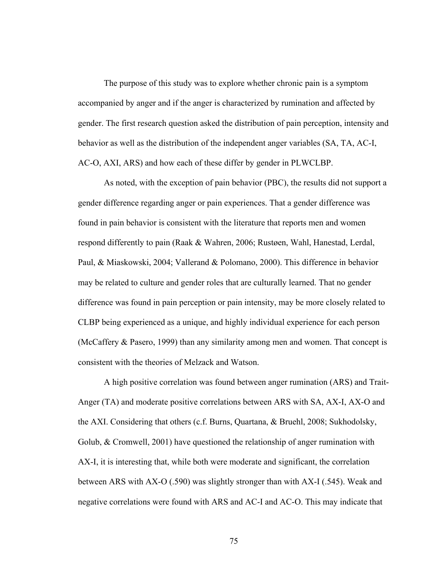The purpose of this study was to explore whether chronic pain is a symptom accompanied by anger and if the anger is characterized by rumination and affected by gender. The first research question asked the distribution of pain perception, intensity and behavior as well as the distribution of the independent anger variables (SA, TA, AC-I, AC-O, AXI, ARS) and how each of these differ by gender in PLWCLBP.

As noted, with the exception of pain behavior (PBC), the results did not support a gender difference regarding anger or pain experiences. That a gender difference was found in pain behavior is consistent with the literature that reports men and women respond differently to pain (Raak & Wahren, 2006; Rustøen, Wahl, Hanestad, Lerdal, Paul, & Miaskowski, 2004; Vallerand & Polomano, 2000). This difference in behavior may be related to culture and gender roles that are culturally learned. That no gender difference was found in pain perception or pain intensity, may be more closely related to CLBP being experienced as a unique, and highly individual experience for each person (McCaffery & Pasero, 1999) than any similarity among men and women. That concept is consistent with the theories of Melzack and Watson.

A high positive correlation was found between anger rumination (ARS) and Trait-Anger (TA) and moderate positive correlations between ARS with SA, AX-I, AX-O and the AXI. Considering that others (c.f. Burns, Quartana, & Bruehl, 2008; Sukhodolsky, Golub, & Cromwell, 2001) have questioned the relationship of anger rumination with AX-I, it is interesting that, while both were moderate and significant, the correlation between ARS with AX-O (.590) was slightly stronger than with AX-I (.545). Weak and negative correlations were found with ARS and AC-I and AC-O. This may indicate that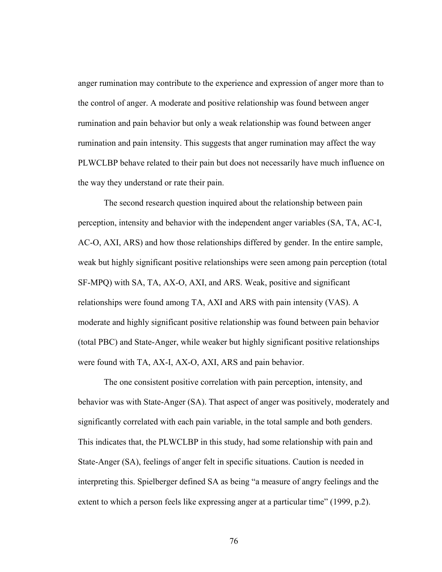anger rumination may contribute to the experience and expression of anger more than to the control of anger. A moderate and positive relationship was found between anger rumination and pain behavior but only a weak relationship was found between anger rumination and pain intensity. This suggests that anger rumination may affect the way PLWCLBP behave related to their pain but does not necessarily have much influence on the way they understand or rate their pain.

The second research question inquired about the relationship between pain perception, intensity and behavior with the independent anger variables (SA, TA, AC-I, AC-O, AXI, ARS) and how those relationships differed by gender. In the entire sample, weak but highly significant positive relationships were seen among pain perception (total SF-MPQ) with SA, TA, AX-O, AXI, and ARS. Weak, positive and significant relationships were found among TA, AXI and ARS with pain intensity (VAS). A moderate and highly significant positive relationship was found between pain behavior (total PBC) and State-Anger, while weaker but highly significant positive relationships were found with TA, AX-I, AX-O, AXI, ARS and pain behavior.

The one consistent positive correlation with pain perception, intensity, and behavior was with State-Anger (SA). That aspect of anger was positively, moderately and significantly correlated with each pain variable, in the total sample and both genders. This indicates that, the PLWCLBP in this study, had some relationship with pain and State-Anger (SA), feelings of anger felt in specific situations. Caution is needed in interpreting this. Spielberger defined SA as being "a measure of angry feelings and the extent to which a person feels like expressing anger at a particular time" (1999, p.2).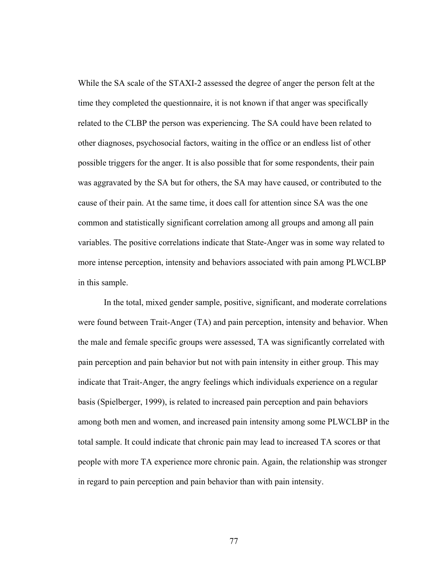While the SA scale of the STAXI-2 assessed the degree of anger the person felt at the time they completed the questionnaire, it is not known if that anger was specifically related to the CLBP the person was experiencing. The SA could have been related to other diagnoses, psychosocial factors, waiting in the office or an endless list of other possible triggers for the anger. It is also possible that for some respondents, their pain was aggravated by the SA but for others, the SA may have caused, or contributed to the cause of their pain. At the same time, it does call for attention since SA was the one common and statistically significant correlation among all groups and among all pain variables. The positive correlations indicate that State-Anger was in some way related to more intense perception, intensity and behaviors associated with pain among PLWCLBP in this sample.

In the total, mixed gender sample, positive, significant, and moderate correlations were found between Trait-Anger (TA) and pain perception, intensity and behavior. When the male and female specific groups were assessed, TA was significantly correlated with pain perception and pain behavior but not with pain intensity in either group. This may indicate that Trait-Anger, the angry feelings which individuals experience on a regular basis (Spielberger, 1999), is related to increased pain perception and pain behaviors among both men and women, and increased pain intensity among some PLWCLBP in the total sample. It could indicate that chronic pain may lead to increased TA scores or that people with more TA experience more chronic pain. Again, the relationship was stronger in regard to pain perception and pain behavior than with pain intensity.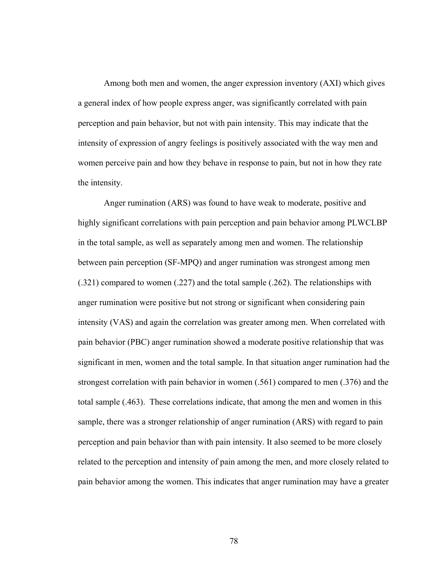Among both men and women, the anger expression inventory (AXI) which gives a general index of how people express anger, was significantly correlated with pain perception and pain behavior, but not with pain intensity. This may indicate that the intensity of expression of angry feelings is positively associated with the way men and women perceive pain and how they behave in response to pain, but not in how they rate the intensity.

Anger rumination (ARS) was found to have weak to moderate, positive and highly significant correlations with pain perception and pain behavior among PLWCLBP in the total sample, as well as separately among men and women. The relationship between pain perception (SF-MPQ) and anger rumination was strongest among men (.321) compared to women (.227) and the total sample (.262). The relationships with anger rumination were positive but not strong or significant when considering pain intensity (VAS) and again the correlation was greater among men. When correlated with pain behavior (PBC) anger rumination showed a moderate positive relationship that was significant in men, women and the total sample. In that situation anger rumination had the strongest correlation with pain behavior in women (.561) compared to men (.376) and the total sample (.463). These correlations indicate, that among the men and women in this sample, there was a stronger relationship of anger rumination (ARS) with regard to pain perception and pain behavior than with pain intensity. It also seemed to be more closely related to the perception and intensity of pain among the men, and more closely related to pain behavior among the women. This indicates that anger rumination may have a greater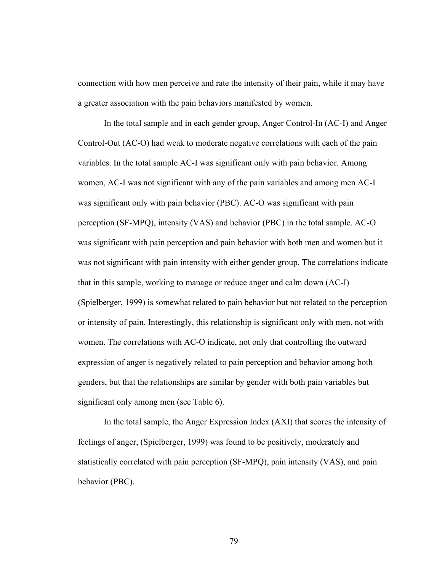connection with how men perceive and rate the intensity of their pain, while it may have a greater association with the pain behaviors manifested by women.

In the total sample and in each gender group, Anger Control-In (AC-I) and Anger Control-Out (AC-O) had weak to moderate negative correlations with each of the pain variables. In the total sample AC-I was significant only with pain behavior. Among women, AC-I was not significant with any of the pain variables and among men AC-I was significant only with pain behavior (PBC). AC-O was significant with pain perception (SF-MPQ), intensity (VAS) and behavior (PBC) in the total sample. AC-O was significant with pain perception and pain behavior with both men and women but it was not significant with pain intensity with either gender group. The correlations indicate that in this sample, working to manage or reduce anger and calm down (AC-I) (Spielberger, 1999) is somewhat related to pain behavior but not related to the perception or intensity of pain. Interestingly, this relationship is significant only with men, not with women. The correlations with AC-O indicate, not only that controlling the outward expression of anger is negatively related to pain perception and behavior among both genders, but that the relationships are similar by gender with both pain variables but significant only among men (see Table 6).

In the total sample, the Anger Expression Index (AXI) that scores the intensity of feelings of anger, (Spielberger, 1999) was found to be positively, moderately and statistically correlated with pain perception (SF-MPQ), pain intensity (VAS), and pain behavior (PBC).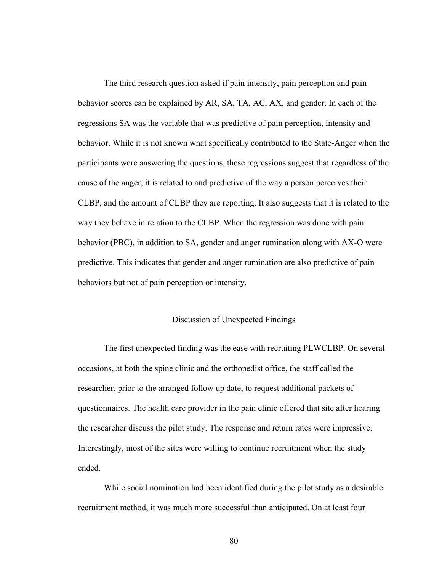The third research question asked if pain intensity, pain perception and pain behavior scores can be explained by AR, SA, TA, AC, AX, and gender. In each of the regressions SA was the variable that was predictive of pain perception, intensity and behavior. While it is not known what specifically contributed to the State-Anger when the participants were answering the questions, these regressions suggest that regardless of the cause of the anger, it is related to and predictive of the way a person perceives their CLBP, and the amount of CLBP they are reporting. It also suggests that it is related to the way they behave in relation to the CLBP. When the regression was done with pain behavior (PBC), in addition to SA, gender and anger rumination along with AX-O were predictive. This indicates that gender and anger rumination are also predictive of pain behaviors but not of pain perception or intensity.

#### Discussion of Unexpected Findings

The first unexpected finding was the ease with recruiting PLWCLBP. On several occasions, at both the spine clinic and the orthopedist office, the staff called the researcher, prior to the arranged follow up date, to request additional packets of questionnaires. The health care provider in the pain clinic offered that site after hearing the researcher discuss the pilot study. The response and return rates were impressive. Interestingly, most of the sites were willing to continue recruitment when the study ended.

While social nomination had been identified during the pilot study as a desirable recruitment method, it was much more successful than anticipated. On at least four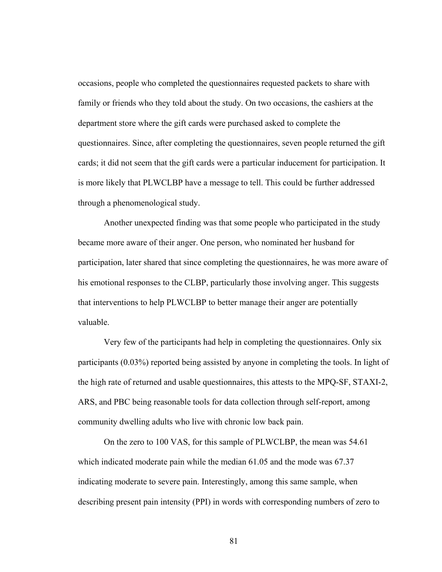occasions, people who completed the questionnaires requested packets to share with family or friends who they told about the study. On two occasions, the cashiers at the department store where the gift cards were purchased asked to complete the questionnaires. Since, after completing the questionnaires, seven people returned the gift cards; it did not seem that the gift cards were a particular inducement for participation. It is more likely that PLWCLBP have a message to tell. This could be further addressed through a phenomenological study.

Another unexpected finding was that some people who participated in the study became more aware of their anger. One person, who nominated her husband for participation, later shared that since completing the questionnaires, he was more aware of his emotional responses to the CLBP, particularly those involving anger. This suggests that interventions to help PLWCLBP to better manage their anger are potentially valuable.

Very few of the participants had help in completing the questionnaires. Only six participants (0.03%) reported being assisted by anyone in completing the tools. In light of the high rate of returned and usable questionnaires, this attests to the MPQ-SF, STAXI-2, ARS, and PBC being reasonable tools for data collection through self-report, among community dwelling adults who live with chronic low back pain.

On the zero to 100 VAS, for this sample of PLWCLBP, the mean was 54.61 which indicated moderate pain while the median 61.05 and the mode was 67.37 indicating moderate to severe pain. Interestingly, among this same sample, when describing present pain intensity (PPI) in words with corresponding numbers of zero to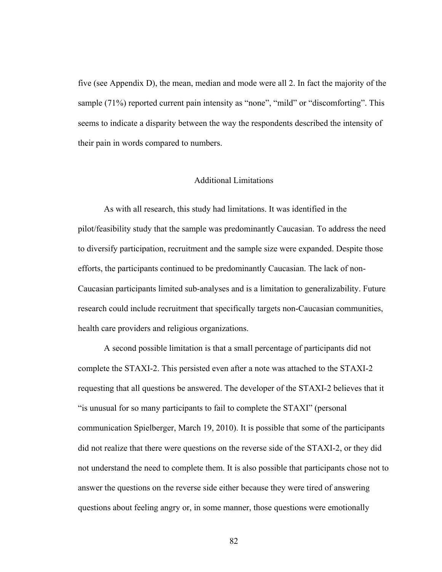five (see Appendix D), the mean, median and mode were all 2. In fact the majority of the sample (71%) reported current pain intensity as "none", "mild" or "discomforting". This seems to indicate a disparity between the way the respondents described the intensity of their pain in words compared to numbers.

## Additional Limitations

As with all research, this study had limitations. It was identified in the pilot/feasibility study that the sample was predominantly Caucasian. To address the need to diversify participation, recruitment and the sample size were expanded. Despite those efforts, the participants continued to be predominantly Caucasian. The lack of non-Caucasian participants limited sub-analyses and is a limitation to generalizability. Future research could include recruitment that specifically targets non-Caucasian communities, health care providers and religious organizations.

A second possible limitation is that a small percentage of participants did not complete the STAXI-2. This persisted even after a note was attached to the STAXI-2 requesting that all questions be answered. The developer of the STAXI-2 believes that it "is unusual for so many participants to fail to complete the STAXI" (personal communication Spielberger, March 19, 2010). It is possible that some of the participants did not realize that there were questions on the reverse side of the STAXI-2, or they did not understand the need to complete them. It is also possible that participants chose not to answer the questions on the reverse side either because they were tired of answering questions about feeling angry or, in some manner, those questions were emotionally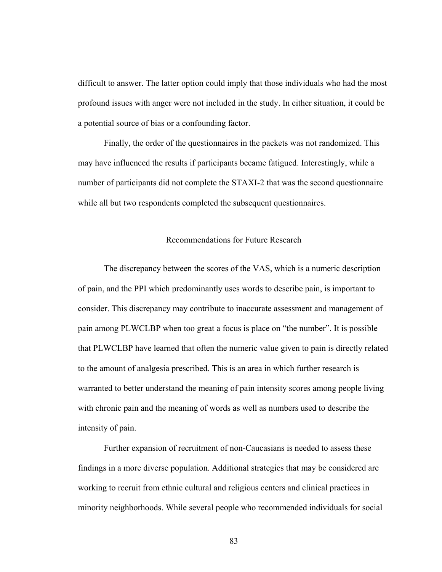difficult to answer. The latter option could imply that those individuals who had the most profound issues with anger were not included in the study. In either situation, it could be a potential source of bias or a confounding factor.

Finally, the order of the questionnaires in the packets was not randomized. This may have influenced the results if participants became fatigued. Interestingly, while a number of participants did not complete the STAXI-2 that was the second questionnaire while all but two respondents completed the subsequent questionnaires.

## Recommendations for Future Research

The discrepancy between the scores of the VAS, which is a numeric description of pain, and the PPI which predominantly uses words to describe pain, is important to consider. This discrepancy may contribute to inaccurate assessment and management of pain among PLWCLBP when too great a focus is place on "the number". It is possible that PLWCLBP have learned that often the numeric value given to pain is directly related to the amount of analgesia prescribed. This is an area in which further research is warranted to better understand the meaning of pain intensity scores among people living with chronic pain and the meaning of words as well as numbers used to describe the intensity of pain.

Further expansion of recruitment of non-Caucasians is needed to assess these findings in a more diverse population. Additional strategies that may be considered are working to recruit from ethnic cultural and religious centers and clinical practices in minority neighborhoods. While several people who recommended individuals for social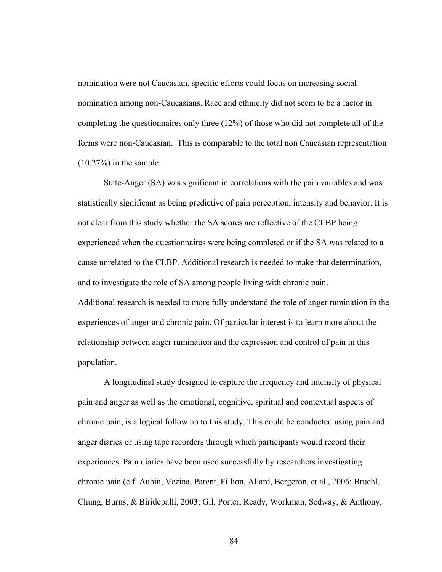nomination were not Caucasian, specific efforts could focus on increasing social nomination among non-Caucasians. Race and ethnicity did not seem to be a factor in completing the questionnaires only three (12%) of those who did not complete all of the forms were non-Caucasian. This is comparable to the total non Caucasian representation  $(10.27%)$  in the sample.

State-Anger (SA) was significant in correlations with the pain variables and was statistically significant as being predictive of pain perception, intensity and behavior. It is not clear from this study whether the SA scores are reflective of the CLBP being experienced when the questionnaires were being completed or if the SA was related to a cause unrelated to the CLBP. Additional research is needed to make that determination, and to investigate the role of SA among people living with chronic pain. Additional research is needed to more fully understand the role of anger rumination in the experiences of anger and chronic pain. Of particular interest is to learn more about the relationship between anger rumination and the expression and control of pain in this population.

A longitudinal study designed to capture the frequency and intensity of physical pain and anger as well as the emotional, cognitive, spiritual and contextual aspects of chronic pain, is a logical follow up to this study. This could be conducted using pain and anger diaries or using tape recorders through which participants would record their experiences. Pain diaries have been used successfully by researchers investigating chronic pain (c.f. Aubin, Vezina, Parent, Fillion, Allard, Bergeron, et al., 2006; Bruehl, Chung, Burns, & Biridepalli, 2003; Gil, Porter, Ready, Workman, Sedway, & Anthony,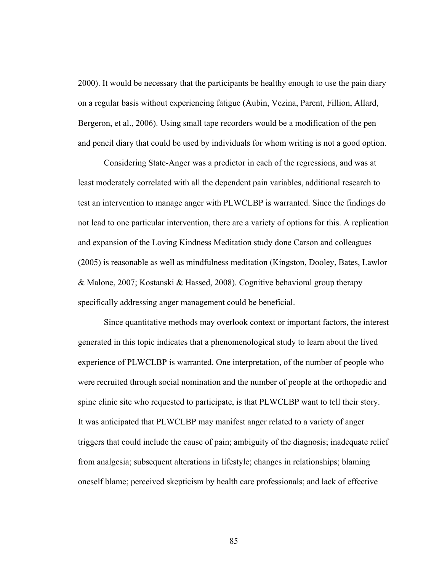2000). It would be necessary that the participants be healthy enough to use the pain diary on a regular basis without experiencing fatigue (Aubin, Vezina, Parent, Fillion, Allard, Bergeron, et al., 2006). Using small tape recorders would be a modification of the pen and pencil diary that could be used by individuals for whom writing is not a good option.

Considering State-Anger was a predictor in each of the regressions, and was at least moderately correlated with all the dependent pain variables, additional research to test an intervention to manage anger with PLWCLBP is warranted. Since the findings do not lead to one particular intervention, there are a variety of options for this. A replication and expansion of the Loving Kindness Meditation study done Carson and colleagues (2005) is reasonable as well as mindfulness meditation (Kingston, Dooley, Bates, Lawlor & Malone, 2007; Kostanski & Hassed, 2008). Cognitive behavioral group therapy specifically addressing anger management could be beneficial.

Since quantitative methods may overlook context or important factors, the interest generated in this topic indicates that a phenomenological study to learn about the lived experience of PLWCLBP is warranted. One interpretation, of the number of people who were recruited through social nomination and the number of people at the orthopedic and spine clinic site who requested to participate, is that PLWCLBP want to tell their story. It was anticipated that PLWCLBP may manifest anger related to a variety of anger triggers that could include the cause of pain; ambiguity of the diagnosis; inadequate relief from analgesia; subsequent alterations in lifestyle; changes in relationships; blaming oneself blame; perceived skepticism by health care professionals; and lack of effective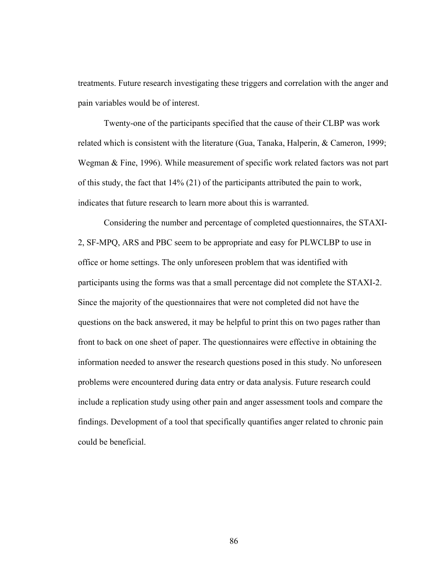treatments. Future research investigating these triggers and correlation with the anger and pain variables would be of interest.

Twenty-one of the participants specified that the cause of their CLBP was work related which is consistent with the literature (Gua, Tanaka, Halperin, & Cameron, 1999; Wegman & Fine, 1996). While measurement of specific work related factors was not part of this study, the fact that 14% (21) of the participants attributed the pain to work, indicates that future research to learn more about this is warranted.

Considering the number and percentage of completed questionnaires, the STAXI-2, SF-MPQ, ARS and PBC seem to be appropriate and easy for PLWCLBP to use in office or home settings. The only unforeseen problem that was identified with participants using the forms was that a small percentage did not complete the STAXI-2. Since the majority of the questionnaires that were not completed did not have the questions on the back answered, it may be helpful to print this on two pages rather than front to back on one sheet of paper. The questionnaires were effective in obtaining the information needed to answer the research questions posed in this study. No unforeseen problems were encountered during data entry or data analysis. Future research could include a replication study using other pain and anger assessment tools and compare the findings. Development of a tool that specifically quantifies anger related to chronic pain could be beneficial.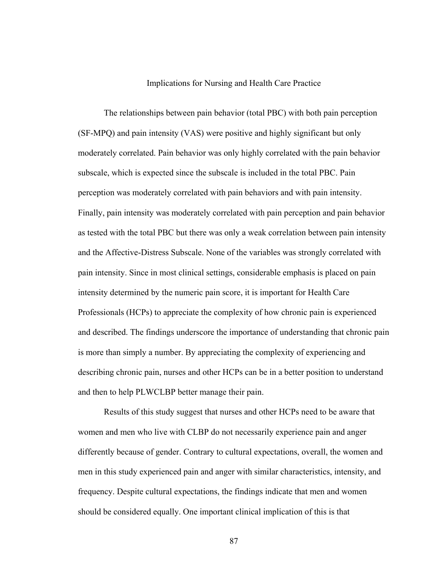## Implications for Nursing and Health Care Practice

The relationships between pain behavior (total PBC) with both pain perception (SF-MPQ) and pain intensity (VAS) were positive and highly significant but only moderately correlated. Pain behavior was only highly correlated with the pain behavior subscale, which is expected since the subscale is included in the total PBC. Pain perception was moderately correlated with pain behaviors and with pain intensity. Finally, pain intensity was moderately correlated with pain perception and pain behavior as tested with the total PBC but there was only a weak correlation between pain intensity and the Affective-Distress Subscale. None of the variables was strongly correlated with pain intensity. Since in most clinical settings, considerable emphasis is placed on pain intensity determined by the numeric pain score, it is important for Health Care Professionals (HCPs) to appreciate the complexity of how chronic pain is experienced and described. The findings underscore the importance of understanding that chronic pain is more than simply a number. By appreciating the complexity of experiencing and describing chronic pain, nurses and other HCPs can be in a better position to understand and then to help PLWCLBP better manage their pain.

Results of this study suggest that nurses and other HCPs need to be aware that women and men who live with CLBP do not necessarily experience pain and anger differently because of gender. Contrary to cultural expectations, overall, the women and men in this study experienced pain and anger with similar characteristics, intensity, and frequency. Despite cultural expectations, the findings indicate that men and women should be considered equally. One important clinical implication of this is that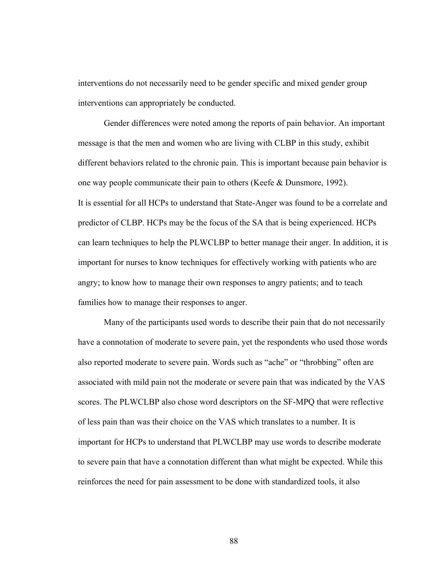interventions do not necessarily need to be gender specific and mixed gender group interventions can appropriately be conducted.

Gender differences were noted among the reports of pain behavior. An important message is that the men and women who are living with CLBP in this study, exhibit different behaviors related to the chronic pain. This is important because pain behavior is one way people communicate their pain to others (Keefe & Dunsmore, 1992). It is essential for all HCPs to understand that State-Anger was found to be a correlate and predictor of CLBP. HCPs may be the focus of the SA that is being experienced. HCPs can learn techniques to help the PLWCLBP to better manage their anger. In addition, it is important for nurses to know techniques for effectively working with patients who are angry; to know how to manage their own responses to angry patients; and to teach families how to manage their responses to anger.

Many of the participants used words to describe their pain that do not necessarily have a connotation of moderate to severe pain, yet the respondents who used those words also reported moderate to severe pain. Words such as "ache" or "throbbing" often are associated with mild pain not the moderate or severe pain that was indicated by the VAS scores. The PLWCLBP also chose word descriptors on the SF-MPQ that were reflective of less pain than was their choice on the VAS which translates to a number. It is important for HCPs to understand that PLWCLBP may use words to describe moderate to severe pain that have a connotation different than what might be expected. While this reinforces the need for pain assessment to be done with standardized tools, it also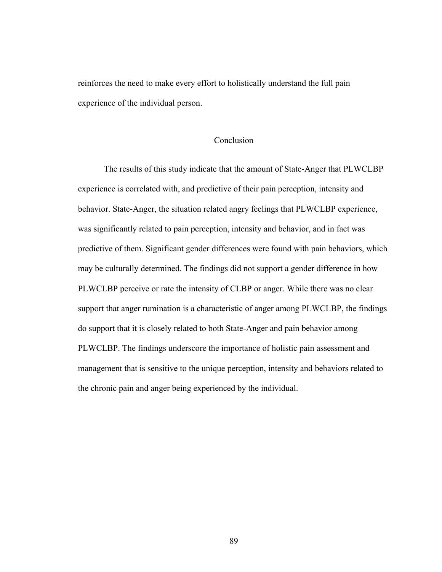reinforces the need to make every effort to holistically understand the full pain experience of the individual person.

## Conclusion

The results of this study indicate that the amount of State-Anger that PLWCLBP experience is correlated with, and predictive of their pain perception, intensity and behavior. State-Anger, the situation related angry feelings that PLWCLBP experience, was significantly related to pain perception, intensity and behavior, and in fact was predictive of them. Significant gender differences were found with pain behaviors, which may be culturally determined. The findings did not support a gender difference in how PLWCLBP perceive or rate the intensity of CLBP or anger. While there was no clear support that anger rumination is a characteristic of anger among PLWCLBP, the findings do support that it is closely related to both State-Anger and pain behavior among PLWCLBP. The findings underscore the importance of holistic pain assessment and management that is sensitive to the unique perception, intensity and behaviors related to the chronic pain and anger being experienced by the individual.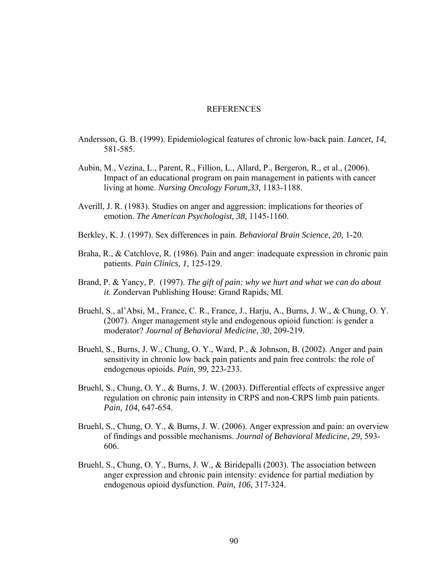### **REFERENCES**

- Andersson, G. B. (1999). Epidemiological features of chronic low-back pain. *Lancet, 14,* 581-585.
- Aubin, M., Vezina, L., Parent, R., Fillion, L., Allard, P., Bergeron, R., et al., (2006). Impact of an educational program on pain management in patients with cancer living at home. *Nursing Oncology Forum,33,* 1183-1188.
- Averill, J. R. (1983). Studies on anger and aggression: implications for theories of emotion. *The American Psychologist, 38,* 1145-1160.
- Berkley, K. J. (1997). Sex differences in pain. *Behavioral Brain Science, 20,* 1-20.
- Braha, R., & Catchlove, R. (1986). Pain and anger: inadequate expression in chronic pain patients. *Pain Clinics, 1,* 125-129.
- Brand, P. & Yancy, P. (1997). *The gift of pain: why we hurt and what we can do about it.* Zondervan Publishing House: Grand Rapids, MI.
- Bruehl, S., al'Absi, M., France, C. R., France, J., Harju, A., Burns, J. W., & Chung, O. Y. (2007). Anger management style and endogenous opioid function: is gender a moderator? *Journal of Behavioral Medicine, 30,* 209-219.
- Bruehl, S., Burns, J. W., Chung, O. Y., Ward, P., & Johnson, B. (2002). Anger and pain sensitivity in chronic low back pain patients and pain free controls: the role of endogenous opioids. *Pain, 99,* 223-233.
- Bruehl, S., Chung, O. Y., & Burns, J. W. (2003). Differential effects of expressive anger regulation on chronic pain intensity in CRPS and non-CRPS limb pain patients. *Pain, 104,* 647-654.
- Bruehl, S., Chung, O. Y., & Burns, J. W. (2006). Anger expression and pain: an overview of findings and possible mechanisms. *Journal of Behavioral Medicine, 29,* 593- 606.
- Bruehl, S., Chung, O. Y., Burns, J. W., & Biridepalli (2003). The association between anger expression and chronic pain intensity: evidence for partial mediation by endogenous opioid dysfunction. *Pain, 106,* 317-324.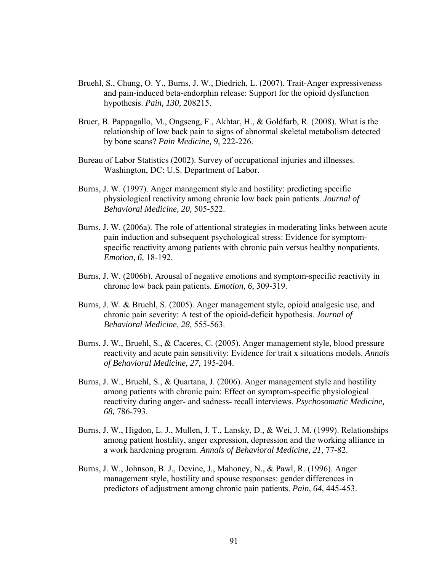- Bruehl, S., Chung, O. Y., Burns, J. W., Diedrich, L. (2007). Trait-Anger expressiveness and pain-induced beta-endorphin release: Support for the opioid dysfunction hypothesis. *Pain, 130,* 208215.
- Bruer, B. Pappagallo, M., Ongseng, F., Akhtar, H., & Goldfarb, R. (2008). What is the relationship of low back pain to signs of abnormal skeletal metabolism detected by bone scans? *Pain Medicine, 9,* 222-226.
- Bureau of Labor Statistics (2002). Survey of occupational injuries and illnesses. Washington, DC: U.S. Department of Labor.
- Burns, J. W. (1997). Anger management style and hostility: predicting specific physiological reactivity among chronic low back pain patients. *Journal of Behavioral Medicine, 20,* 505-522.
- Burns, J. W. (2006a). The role of attentional strategies in moderating links between acute pain induction and subsequent psychological stress: Evidence for symptomspecific reactivity among patients with chronic pain versus healthy nonpatients. *Emotion, 6,* 18-192.
- Burns, J. W. (2006b). Arousal of negative emotions and symptom-specific reactivity in chronic low back pain patients. *Emotion, 6,* 309-319.
- Burns, J. W. & Bruehl, S. (2005). Anger management style, opioid analgesic use, and chronic pain severity: A test of the opioid-deficit hypothesis. *Journal of Behavioral Medicine, 28,* 555-563.
- Burns, J. W., Bruehl, S., & Caceres, C. (2005). Anger management style, blood pressure reactivity and acute pain sensitivity: Evidence for trait x situations models. *Annals of Behavioral Medicine, 27,* 195-204.
- Burns, J. W., Bruehl, S., & Quartana, J. (2006). Anger management style and hostility among patients with chronic pain: Effect on symptom-specific physiological reactivity during anger- and sadness- recall interviews. *Psychosomatic Medicine, 68,* 786-793.
- Burns, J. W., Higdon, L. J., Mullen, J. T., Lansky, D., & Wei, J. M. (1999). Relationships among patient hostility, anger expression, depression and the working alliance in a work hardening program. *Annals of Behavioral Medicine, 21,* 77-82.
- Burns, J. W., Johnson, B. J., Devine, J., Mahoney, N., & Pawl, R. (1996). Anger management style, hostility and spouse responses: gender differences in predictors of adjustment among chronic pain patients. *Pain, 64,* 445-453.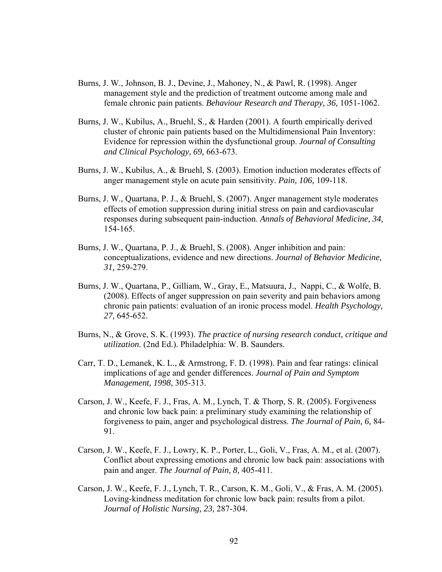- Burns, J. W., Johnson, B. J., Devine, J., Mahoney, N., & Pawl, R. (1998). Anger management style and the prediction of treatment outcome among male and female chronic pain patients. *Behaviour Research and Therapy, 36,* 1051-1062.
- Burns, J. W., Kubilus, A., Bruehl, S., & Harden (2001). A fourth empirically derived cluster of chronic pain patients based on the Multidimensional Pain Inventory: Evidence for repression within the dysfunctional group. *Journal of Consulting and Clinical Psychology, 69,* 663-673.
- Burns, J. W., Kubilus, A., & Bruehl, S. (2003). Emotion induction moderates effects of anger management style on acute pain sensitivity. *Pain, 106,* 109-118.
- Burns, J. W., Quartana, P. J., & Bruehl, S. (2007). Anger management style moderates effects of emotion suppression during initial stress on pain and cardiovascular responses during subsequent pain-induction. *Annals of Behavioral Medicine, 34,*  154-165.
- Burns, J. W., Quartana, P. J., & Bruehl, S. (2008). Anger inhibition and pain: conceptualizations, evidence and new directions. *Journal of Behavior Medicine, 31,* 259-279.
- Burns, J. W., Quartana, P., Gilliam, W., Gray, E., Matsuura, J., Nappi, C., & Wolfe, B. (2008). Effects of anger suppression on pain severity and pain behaviors among chronic pain patients: evaluation of an ironic process model. *Health Psychology, 27,* 645-652.
- Burns, N., & Grove, S. K. (1993). *The practice of nursing research conduct, critique and utilization.* (2nd Ed.). Philadelphia: W. B. Saunders.
- Carr, T. D., Lemanek, K. L., & Armstrong, F. D. (1998). Pain and fear ratings: clinical implications of age and gender differences. *Journal of Pain and Symptom Management, 1998,* 305-313.
- Carson, J. W., Keefe, F. J., Fras, A. M., Lynch, T. & Thorp, S. R. (2005). Forgiveness and chronic low back pain: a preliminary study examining the relationship of forgiveness to pain, anger and psychological distress. *The Journal of Pain, 6,* 84- 91.
- Carson, J. W., Keefe, F. J., Lowry, K. P., Porter, L., Goli, V., Fras, A. M., et al. (2007). Conflict about expressing emotions and chronic low back pain: associations with pain and anger. *The Journal of Pain, 8,* 405-411.
- Carson, J. W., Keefe, F. J., Lynch, T. R., Carson, K. M., Goli, V., & Fras, A. M. (2005). Loving-kindness meditation for chronic low back pain: results from a pilot. *Journal of Holistic Nursing, 23,* 287-304.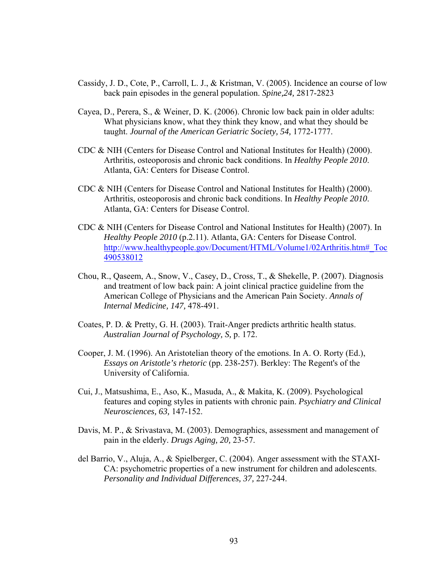- Cassidy, J. D., Cote, P., Carroll, L. J., & Kristman, V. (2005). Incidence an course of low back pain episodes in the general population. *Spine,24,* 2817-2823
- Cayea, D., Perera, S., & Weiner, D. K. (2006). Chronic low back pain in older adults: What physicians know, what they think they know, and what they should be taught. *Journal of the American Geriatric Society, 54,* 1772-1777.
- CDC & NIH (Centers for Disease Control and National Institutes for Health) (2000). Arthritis, osteoporosis and chronic back conditions. In *Healthy People 2010*. Atlanta, GA: Centers for Disease Control.
- CDC & NIH (Centers for Disease Control and National Institutes for Health) (2000). Arthritis, osteoporosis and chronic back conditions. In *Healthy People 2010*. Atlanta, GA: Centers for Disease Control.
- CDC & NIH (Centers for Disease Control and National Institutes for Health) (2007). In *Healthy People 2010* (p.2.11). Atlanta, GA: Centers for Disease Control. http://www.healthypeople.gov/Document/HTML/Volume1/02Arthritis.htm#\_Toc 490538012
- Chou, R., Qaseem, A., Snow, V., Casey, D., Cross, T., & Shekelle, P. (2007). Diagnosis and treatment of low back pain: A joint clinical practice guideline from the American College of Physicians and the American Pain Society. *Annals of Internal Medicine, 147,* 478-491.
- Coates, P. D. & Pretty, G. H. (2003). Trait-Anger predicts arthritic health status. *Australian Journal of Psychology, S,* p. 172.
- Cooper, J. M. (1996). An Aristotelian theory of the emotions. In A. O. Rorty (Ed.), *Essays on Aristotle's rhetoric* (pp. 238-257). Berkley: The Regent's of the University of California.
- Cui, J., Matsushima, E., Aso, K., Masuda, A., & Makita, K. (2009). Psychological features and coping styles in patients with chronic pain. *Psychiatry and Clinical Neurosciences, 63,* 147-152.
- Davis, M. P., & Srivastava, M. (2003). Demographics, assessment and management of pain in the elderly. *Drugs Aging, 20,* 23-57.
- del Barrio, V., Aluja, A., & Spielberger, C. (2004). Anger assessment with the STAXI-CA: psychometric properties of a new instrument for children and adolescents. *Personality and Individual Differences, 37,* 227-244.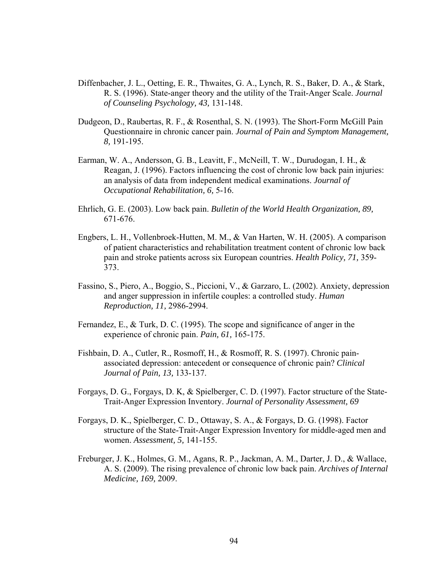- Diffenbacher, J. L., Oetting, E. R., Thwaites, G. A., Lynch, R. S., Baker, D. A., & Stark, R. S. (1996). State-anger theory and the utility of the Trait-Anger Scale. *Journal of Counseling Psychology, 43,* 131-148.
- Dudgeon, D., Raubertas, R. F., & Rosenthal, S. N. (1993). The Short-Form McGill Pain Questionnaire in chronic cancer pain. *Journal of Pain and Symptom Management, 8,* 191-195.
- Earman, W. A., Andersson, G. B., Leavitt, F., McNeill, T. W., Durudogan, I. H., & Reagan, J. (1996). Factors influencing the cost of chronic low back pain injuries: an analysis of data from independent medical examinations. *Journal of Occupational Rehabilitation, 6,* 5-16.
- Ehrlich, G. E. (2003). Low back pain. *Bulletin of the World Health Organization, 89,* 671-676.
- Engbers, L. H., Vollenbroek-Hutten, M. M., & Van Harten, W. H. (2005). A comparison of patient characteristics and rehabilitation treatment content of chronic low back pain and stroke patients across six European countries. *Health Policy, 71,* 359- 373.
- Fassino, S., Piero, A., Boggio, S., Piccioni, V., & Garzaro, L. (2002). Anxiety, depression and anger suppression in infertile couples: a controlled study. *Human Reproduction, 11,* 2986-2994.
- Fernandez, E., & Turk, D. C. (1995). The scope and significance of anger in the experience of chronic pain. *Pain, 61,* 165-175.
- Fishbain, D. A., Cutler, R., Rosmoff, H., & Rosmoff, R. S. (1997). Chronic painassociated depression: antecedent or consequence of chronic pain? *Clinical Journal of Pain, 13,* 133-137.
- Forgays, D. G., Forgays, D. K, & Spielberger, C. D. (1997). Factor structure of the State-Trait-Anger Expression Inventory. *Journal of Personality Assessment, 69*
- Forgays, D. K., Spielberger, C. D., Ottaway, S. A., & Forgays, D. G. (1998). Factor structure of the State-Trait-Anger Expression Inventory for middle-aged men and women. *Assessment, 5,* 141-155.
- Freburger, J. K., Holmes, G. M., Agans, R. P., Jackman, A. M., Darter, J. D., & Wallace, A. S. (2009). The rising prevalence of chronic low back pain. *Archives of Internal Medicine, 169,* 2009.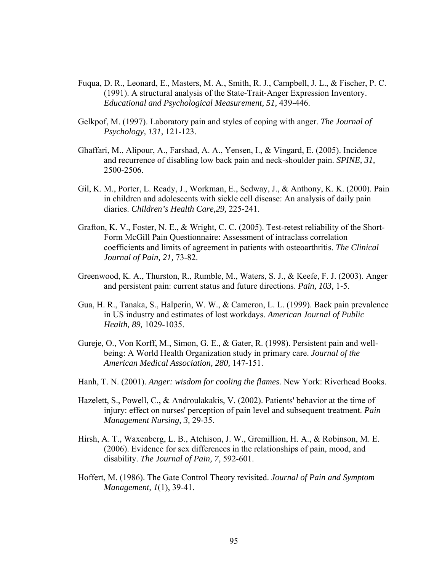- Fuqua, D. R., Leonard, E., Masters, M. A., Smith, R. J., Campbell, J. L., & Fischer, P. C. (1991). A structural analysis of the State-Trait-Anger Expression Inventory. *Educational and Psychological Measurement, 51,* 439-446.
- Gelkpof, M. (1997). Laboratory pain and styles of coping with anger. *The Journal of Psychology, 131,* 121-123.
- Ghaffari, M., Alipour, A., Farshad, A. A., Yensen, I., & Vingard, E. (2005). Incidence and recurrence of disabling low back pain and neck-shoulder pain. *SPINE, 31,* 2500-2506.
- Gil, K. M., Porter, L. Ready, J., Workman, E., Sedway, J., & Anthony, K. K. (2000). Pain in children and adolescents with sickle cell disease: An analysis of daily pain diaries. *Children's Health Care,29,* 225-241.
- Grafton, K. V., Foster, N. E., & Wright, C. C. (2005). Test-retest reliability of the Short-Form McGill Pain Questionnaire: Assessment of intraclass correlation coefficients and limits of agreement in patients with osteoarthritis. *The Clinical Journal of Pain, 21,* 73-82.
- Greenwood, K. A., Thurston, R., Rumble, M., Waters, S. J., & Keefe, F. J. (2003). Anger and persistent pain: current status and future directions. *Pain, 103,* 1-5.
- Gua, H. R., Tanaka, S., Halperin, W. W., & Cameron, L. L. (1999). Back pain prevalence in US industry and estimates of lost workdays. *American Journal of Public Health, 89,* 1029-1035.
- Gureje, O., Von Korff, M., Simon, G. E., & Gater, R. (1998). Persistent pain and wellbeing: A World Health Organization study in primary care. *Journal of the American Medical Association, 280,* 147-151.
- Hanh, T. N. (2001). *Anger: wisdom for cooling the flames*. New York: Riverhead Books.
- Hazelett, S., Powell, C., & Androulakakis, V. (2002). Patients' behavior at the time of injury: effect on nurses' perception of pain level and subsequent treatment. *Pain Management Nursing, 3,* 29-35.
- Hirsh, A. T., Waxenberg, L. B., Atchison, J. W., Gremillion, H. A., & Robinson, M. E. (2006). Evidence for sex differences in the relationships of pain, mood, and disability. *The Journal of Pain, 7,* 592-601.
- Hoffert, M. (1986). The Gate Control Theory revisited. *Journal of Pain and Symptom Management, 1*(1), 39-41.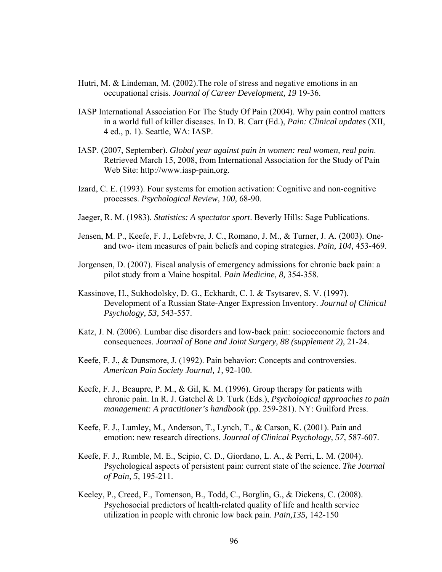- Hutri, M. & Lindeman, M. (2002).The role of stress and negative emotions in an occupational crisis. *Journal of Career Development, 19* 19-36.
- IASP International Association For The Study Of Pain (2004). Why pain control matters in a world full of killer diseases. In D. B. Carr (Ed.), *Pain: Clinical updates* (XII, 4 ed., p. 1). Seattle, WA: IASP.
- IASP. (2007, September). *Global year against pain in women: real women, real pain*. Retrieved March 15, 2008, from International Association for the Study of Pain Web Site: http://www.iasp-pain,org.
- Izard, C. E. (1993). Four systems for emotion activation: Cognitive and non-cognitive processes. *Psychological Review, 100,* 68-90.
- Jaeger, R. M. (1983). *Statistics: A spectator sport*. Beverly Hills: Sage Publications.
- Jensen, M. P., Keefe, F. J., Lefebvre, J. C., Romano, J. M., & Turner, J. A. (2003). Oneand two- item measures of pain beliefs and coping strategies. *Pain, 104,* 453-469.
- Jorgensen, D. (2007). Fiscal analysis of emergency admissions for chronic back pain: a pilot study from a Maine hospital. *Pain Medicine, 8,* 354-358.
- Kassinove, H., Sukhodolsky, D. G., Eckhardt, C. I. & Tsytsarev, S. V. (1997). Development of a Russian State-Anger Expression Inventory. *Journal of Clinical Psychology, 53,* 543-557.
- Katz, J. N. (2006). Lumbar disc disorders and low-back pain: socioeconomic factors and consequences. *Journal of Bone and Joint Surgery, 88 (supplement 2),* 21-24.
- Keefe, F. J., & Dunsmore, J. (1992). Pain behavior: Concepts and controversies. *American Pain Society Journal, 1,* 92-100.
- Keefe, F. J., Beaupre, P. M., & Gil, K. M. (1996). Group therapy for patients with chronic pain. In R. J. Gatchel & D. Turk (Eds.), *Psychological approaches to pain management: A practitioner's handbook* (pp. 259-281). NY: Guilford Press.
- Keefe, F. J., Lumley, M., Anderson, T., Lynch, T., & Carson, K. (2001). Pain and emotion: new research directions. *Journal of Clinical Psychology, 57,* 587-607.
- Keefe, F. J., Rumble, M. E., Scipio, C. D., Giordano, L. A., & Perri, L. M. (2004). Psychological aspects of persistent pain: current state of the science. *The Journal of Pain, 5,* 195-211.
- Keeley, P., Creed, F., Tomenson, B., Todd, C., Borglin, G., & Dickens, C. (2008). Psychosocial predictors of health-related quality of life and health service utilization in people with chronic low back pain. *Pain,135,* 142-150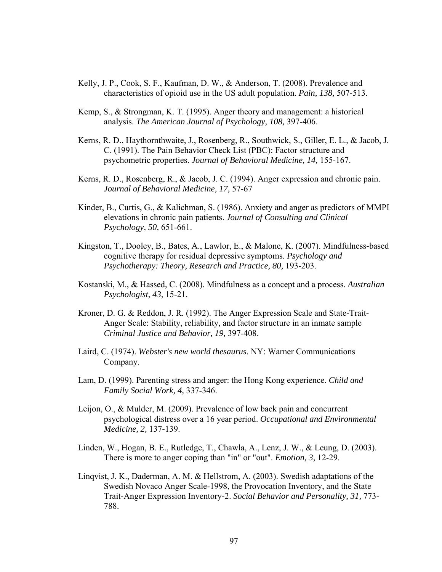- Kelly, J. P., Cook, S. F., Kaufman, D. W., & Anderson, T. (2008). Prevalence and characteristics of opioid use in the US adult population. *Pain, 138,* 507-513.
- Kemp, S., & Strongman, K. T. (1995). Anger theory and management: a historical analysis. *The American Journal of Psychology, 108,* 397-406.
- Kerns, R. D., Haythornthwaite, J., Rosenberg, R., Southwick, S., Giller, E. L., & Jacob, J. C. (1991). The Pain Behavior Check List (PBC): Factor structure and psychometric properties. *Journal of Behavioral Medicine, 14,* 155-167.
- Kerns, R. D., Rosenberg, R., & Jacob, J. C. (1994). Anger expression and chronic pain. *Journal of Behavioral Medicine, 17,* 57-67
- Kinder, B., Curtis, G., & Kalichman, S. (1986). Anxiety and anger as predictors of MMPI elevations in chronic pain patients. *Journal of Consulting and Clinical Psychology, 50,* 651-661.
- Kingston, T., Dooley, B., Bates, A., Lawlor, E., & Malone, K. (2007). Mindfulness-based cognitive therapy for residual depressive symptoms. *Psychology and Psychotherapy: Theory, Research and Practice, 80,* 193-203.
- Kostanski, M., & Hassed, C. (2008). Mindfulness as a concept and a process. *Australian Psychologist, 43,* 15-21.
- Kroner, D. G. & Reddon, J. R. (1992). The Anger Expression Scale and State-Trait-Anger Scale: Stability, reliability, and factor structure in an inmate sample *Criminal Justice and Behavior, 19,* 397-408.
- Laird, C. (1974). *Webster's new world thesaurus*. NY: Warner Communications Company.
- Lam, D. (1999). Parenting stress and anger: the Hong Kong experience. *Child and Family Social Work, 4,* 337-346.
- Leijon, O., & Mulder, M. (2009). Prevalence of low back pain and concurrent psychological distress over a 16 year period. *Occupational and Environmental Medicine, 2,* 137-139.
- Linden, W., Hogan, B. E., Rutledge, T., Chawla, A., Lenz, J. W., & Leung, D. (2003). There is more to anger coping than "in" or "out". *Emotion, 3,* 12-29.
- Linqvist, J. K., Daderman, A. M. & Hellstrom, A. (2003). Swedish adaptations of the Swedish Novaco Anger Scale-1998, the Provocation Inventory, and the State Trait-Anger Expression Inventory-2. *Social Behavior and Personality, 31,* 773- 788.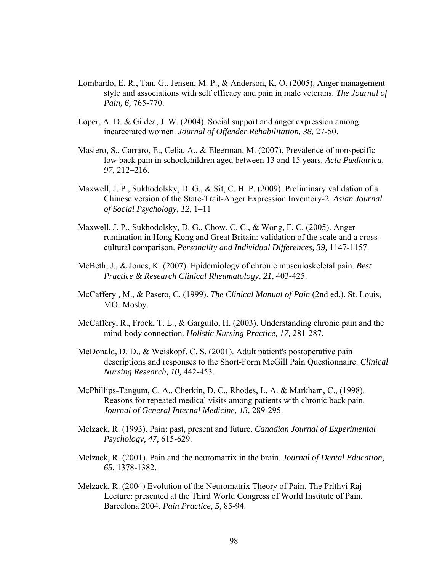- Lombardo, E. R., Tan, G., Jensen, M. P., & Anderson, K. O. (2005). Anger management style and associations with self efficacy and pain in male veterans. *The Journal of Pain, 6,* 765-770.
- Loper, A. D. & Gildea, J. W. (2004). Social support and anger expression among incarcerated women. *Journal of Offender Rehabilitation, 38,* 27-50.
- Masiero, S., Carraro, E., Celia, A., & Eleerman, M. (2007). Prevalence of nonspecific low back pain in schoolchildren aged between 13 and 15 years. *Acta Pædiatrica, 97,* 212–216.
- Maxwell, J. P., Sukhodolsky, D. G., & Sit, C. H. P. (2009). Preliminary validation of a Chinese version of the State-Trait-Anger Expression Inventory-2. *Asian Journal of Social Psychology*, *12*, 1–11
- Maxwell, J. P., Sukhodolsky, D. G., Chow, C. C., & Wong, F. C. (2005). Anger rumination in Hong Kong and Great Britain: validation of the scale and a crosscultural comparison. *Personality and Individual Differences, 39,* 1147-1157.
- McBeth, J., & Jones, K. (2007). Epidemiology of chronic musculoskeletal pain. *Best Practice & Research Clinical Rheumatology, 21,* 403-425.
- McCaffery , M., & Pasero, C. (1999). *The Clinical Manual of Pain* (2nd ed.). St. Louis, MO: Mosby.
- McCaffery, R., Frock, T. L., & Garguilo, H. (2003). Understanding chronic pain and the mind-body connection. *Holistic Nursing Practice, 17,* 281-287.
- McDonald, D. D., & Weiskopf, C. S. (2001). Adult patient's postoperative pain descriptions and responses to the Short-Form McGill Pain Questionnaire. *Clinical Nursing Research, 10,* 442-453.
- McPhillips-Tangum, C. A., Cherkin, D. C., Rhodes, L. A. & Markham, C., (1998). Reasons for repeated medical visits among patients with chronic back pain. *Journal of General Internal Medicine, 13,* 289-295.
- Melzack, R. (1993). Pain: past, present and future. *Canadian Journal of Experimental Psychology, 47,* 615-629.
- Melzack, R. (2001). Pain and the neuromatrix in the brain. *Journal of Dental Education, 65,* 1378-1382.
- Melzack, R. (2004) Evolution of the Neuromatrix Theory of Pain. The Prithvi Raj Lecture: presented at the Third World Congress of World Institute of Pain, Barcelona 2004. *Pain Practice, 5,* 85-94.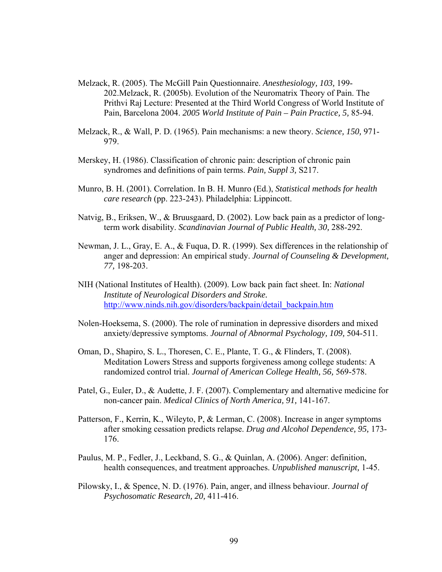- Melzack, R. (2005). The McGill Pain Questionnaire. *Anesthesiology, 103,* 199- 202.Melzack, R. (2005b). Evolution of the Neuromatrix Theory of Pain. The Prithvi Raj Lecture: Presented at the Third World Congress of World Institute of Pain, Barcelona 2004. *2005 World Institute of Pain – Pain Practice, 5,* 85-94.
- Melzack, R., & Wall, P. D. (1965). Pain mechanisms: a new theory. *Science, 150,* 971- 979.
- Merskey, H. (1986). Classification of chronic pain: description of chronic pain syndromes and definitions of pain terms. *Pain, Suppl 3,* S217.
- Munro, B. H. (2001). Correlation. In B. H. Munro (Ed.), *Statistical methods for health care research* (pp. 223-243). Philadelphia: Lippincott.
- Natvig, B., Eriksen, W., & Bruusgaard, D. (2002). Low back pain as a predictor of longterm work disability. *Scandinavian Journal of Public Health, 30,* 288-292.
- Newman, J. L., Gray, E. A., & Fuqua, D. R. (1999). Sex differences in the relationship of anger and depression: An empirical study. *Journal of Counseling & Development, 77,* 198-203.
- NIH (National Institutes of Health). (2009). Low back pain fact sheet. In: *National Institute of Neurological Disorders and Stroke.*  http://www.ninds.nih.gov/disorders/backpain/detail\_backpain.htm
- Nolen-Hoeksema, S. (2000). The role of rumination in depressive disorders and mixed anxiety/depressive symptoms. *Journal of Abnormal Psychology, 109,* 504-511.
- Oman, D., Shapiro, S. L., Thoresen, C. E., Plante, T. G., & Flinders, T. (2008). Meditation Lowers Stress and supports forgiveness among college students: A randomized control trial. *Journal of American College Health, 56,* 569-578.
- Patel, G., Euler, D., & Audette, J. F. (2007). Complementary and alternative medicine for non-cancer pain. *Medical Clinics of North America, 91,* 141-167.
- Patterson, F., Kerrin, K., Wileyto, P, & Lerman, C. (2008). Increase in anger symptoms after smoking cessation predicts relapse. *Drug and Alcohol Dependence, 95,* 173- 176.
- Paulus, M. P., Fedler, J., Leckband, S. G., & Quinlan, A. (2006). Anger: definition, health consequences, and treatment approaches. *Unpublished manuscript,* 1-45.
- Pilowsky, I., & Spence, N. D. (1976). Pain, anger, and illness behaviour. *Journal of Psychosomatic Research, 20,* 411-416.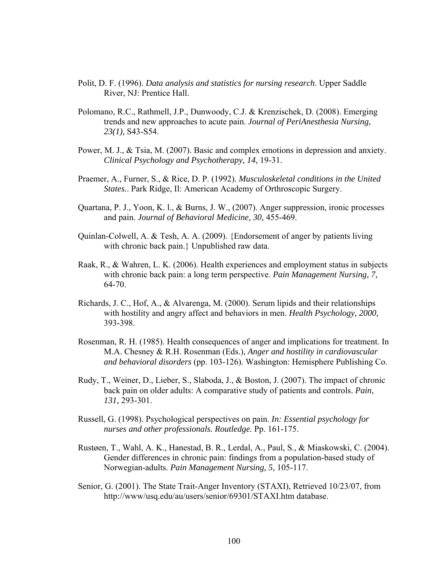- Polit, D. F. (1996). *Data analysis and statistics for nursing research*. Upper Saddle River, NJ: Prentice Hall.
- Polomano, R.C., Rathmell, J.P., Dunwoody, C.J. & Krenzischek, D. (2008). Emerging trends and new approaches to acute pain. *Journal of PeriAnesthesia Nursing, 23(1),* S43-S54.
- Power, M. J., & Tsia, M. (2007). Basic and complex emotions in depression and anxiety. *Clinical Psychology and Psychotherapy, 14,* 19-31.
- Praemer, A., Furner, S., & Rice, D. P. (1992). *Musculoskeletal conditions in the United States.*. Park Ridge, Il: American Academy of Orthroscopic Surgery.
- Quartana, P. J., Yoon, K. l., & Burns, J. W., (2007). Anger suppression, ironic processes and pain. *Journal of Behavioral Medicine, 30,* 455-469.
- Quinlan-Colwell, A. & Tesh, A. A. (2009). {Endorsement of anger by patients living with chronic back pain.} Unpublished raw data.
- Raak, R., & Wahren, L. K. (2006). Health experiences and employment status in subjects with chronic back pain: a long term perspective. *Pain Management Nursing, 7,* 64-70.
- Richards, J. C., Hof, A., & Alvarenga, M. (2000). Serum lipids and their relationships with hostility and angry affect and behaviors in men. *Health Psychology, 2000,* 393-398.
- Rosenman, R. H. (1985). Health consequences of anger and implications for treatment. In M.A. Chesney & R.H. Rosenman (Eds.), *Anger and hostility in cardiovascular and behavioral disorders* (pp. 103-126). Washington: Hemisphere Publishing Co.
- Rudy, T., Weiner, D., Lieber, S., Slaboda, J., & Boston, J. (2007). The impact of chronic back pain on older adults: A comparative study of patients and controls. *Pain, 131,* 293-301.
- Russell, G. (1998). Psychological perspectives on pain. *In: Essential psychology for nurses and other professionals. Routledge.* Pp. 161-175.
- Rustøen, T., Wahl, A. K., Hanestad, B. R., Lerdal, A., Paul, S., & Miaskowski, C. (2004). Gender differences in chronic pain: findings from a population-based study of Norwegian-adults. *Pain Management Nursing, 5,* 105-117.
- Senior, G. (2001). The State Trait-Anger Inventory (STAXI), Retrieved 10/23/07, from http://www/usq.edu/au/users/senior/69301/STAXI.htm database.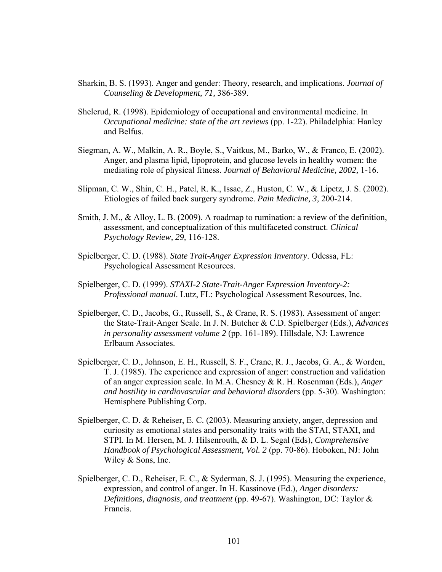- Sharkin, B. S. (1993). Anger and gender: Theory, research, and implications. *Journal of Counseling & Development, 71,* 386-389.
- Shelerud, R. (1998). Epidemiology of occupational and environmental medicine. In *Occupational medicine: state of the art reviews* (pp. 1-22). Philadelphia: Hanley and Belfus.
- Siegman, A. W., Malkin, A. R., Boyle, S., Vaitkus, M., Barko, W., & Franco, E. (2002). Anger, and plasma lipid, lipoprotein, and glucose levels in healthy women: the mediating role of physical fitness. *Journal of Behavioral Medicine, 2002,* 1-16.
- Slipman, C. W., Shin, C. H., Patel, R. K., Issac, Z., Huston, C. W., & Lipetz, J. S. (2002). Etiologies of failed back surgery syndrome. *Pain Medicine, 3,* 200-214.
- Smith, J. M., & Alloy, L. B. (2009). A roadmap to rumination: a review of the definition, assessment, and conceptualization of this multifaceted construct. *Clinical Psychology Review, 29,* 116-128.
- Spielberger, C. D. (1988). *State Trait-Anger Expression Inventory*. Odessa, FL: Psychological Assessment Resources.
- Spielberger, C. D. (1999). *STAXI-2 State-Trait-Anger Expression Inventory-2: Professional manual*. Lutz, FL: Psychological Assessment Resources, Inc.
- Spielberger, C. D., Jacobs, G., Russell, S., & Crane, R. S. (1983). Assessment of anger: the State-Trait-Anger Scale. In J. N. Butcher & C.D. Spielberger (Eds.), *Advances in personality assessment volume 2* (pp. 161-189). Hillsdale, NJ: Lawrence Erlbaum Associates.
- Spielberger, C. D., Johnson, E. H., Russell, S. F., Crane, R. J., Jacobs, G. A., & Worden, T. J. (1985). The experience and expression of anger: construction and validation of an anger expression scale. In M.A. Chesney & R. H. Rosenman (Eds.), *Anger and hostility in cardiovascular and behavioral disorders* (pp. 5-30). Washington: Hemisphere Publishing Corp.
- Spielberger, C. D. & Reheiser, E. C. (2003). Measuring anxiety, anger, depression and curiosity as emotional states and personality traits with the STAI, STAXI, and STPI. In M. Hersen, M. J. Hilsenrouth, & D. L. Segal (Eds), *Comprehensive Handbook of Psychological Assessment, Vol. 2* (pp. 70-86). Hoboken, NJ: John Wiley & Sons, Inc.
- Spielberger, C. D., Reheiser, E. C., & Syderman, S. J. (1995). Measuring the experience, expression, and control of anger. In H. Kassinove (Ed.), *Anger disorders: Definitions, diagnosis, and treatment* (pp. 49-67). Washington, DC: Taylor & Francis.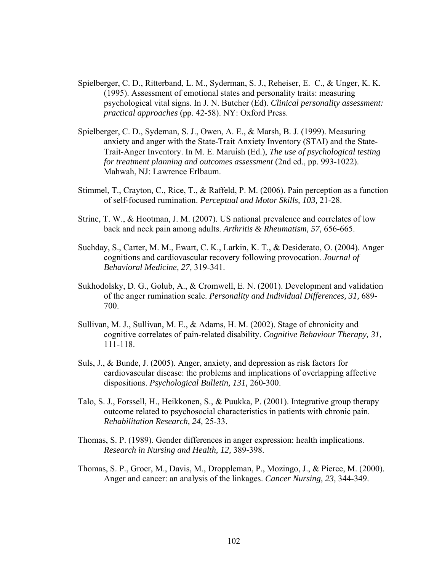- Spielberger, C. D., Ritterband, L. M., Syderman, S. J., Reheiser, E. C., & Unger, K. K. (1995). Assessment of emotional states and personality traits: measuring psychological vital signs. In J. N. Butcher (Ed). *Clinical personality assessment: practical approaches* (pp. 42-58). NY: Oxford Press.
- Spielberger, C. D., Sydeman, S. J., Owen, A. E., & Marsh, B. J. (1999). Measuring anxiety and anger with the State-Trait Anxiety Inventory (STAI) and the State-Trait-Anger Inventory. In M. E. Maruish (Ed.), *The use of psychological testing for treatment planning and outcomes assessment* (2nd ed., pp. 993-1022). Mahwah, NJ: Lawrence Erlbaum.
- Stimmel, T., Crayton, C., Rice, T., & Raffeld, P. M. (2006). Pain perception as a function of self-focused rumination. *Perceptual and Motor Skills, 103,* 21-28.
- Strine, T. W., & Hootman, J. M. (2007). US national prevalence and correlates of low back and neck pain among adults. *Arthritis & Rheumatism, 57,* 656-665.
- Suchday, S., Carter, M. M., Ewart, C. K., Larkin, K. T., & Desiderato, O. (2004). Anger cognitions and cardiovascular recovery following provocation. *Journal of Behavioral Medicine, 27,* 319-341.
- Sukhodolsky, D. G., Golub, A., & Cromwell, E. N. (2001). Development and validation of the anger rumination scale. *Personality and Individual Differences, 31,* 689- 700.
- Sullivan, M. J., Sullivan, M. E., & Adams, H. M. (2002). Stage of chronicity and cognitive correlates of pain-related disability. *Cognitive Behaviour Therapy, 31,* 111-118.
- Suls, J., & Bunde, J. (2005). Anger, anxiety, and depression as risk factors for cardiovascular disease: the problems and implications of overlapping affective dispositions. *Psychological Bulletin, 131,* 260-300.
- Talo, S. J., Forssell, H., Heikkonen, S., & Puukka, P. (2001). Integrative group therapy outcome related to psychosocial characteristics in patients with chronic pain. *Rehabilitation Research, 24,* 25-33.
- Thomas, S. P. (1989). Gender differences in anger expression: health implications. *Research in Nursing and Health, 12,* 389-398.
- Thomas, S. P., Groer, M., Davis, M., Droppleman, P., Mozingo, J., & Pierce, M. (2000). Anger and cancer: an analysis of the linkages. *Cancer Nursing, 23,* 344-349.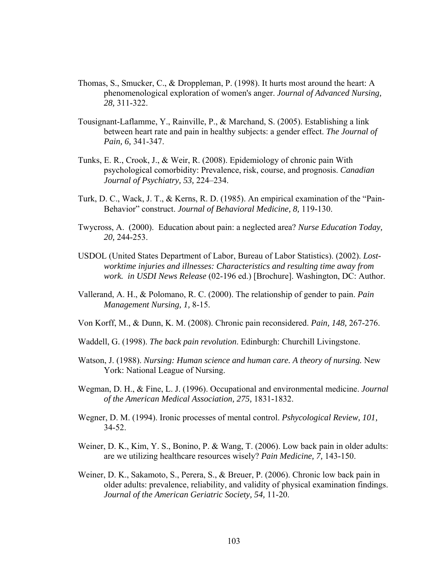- Thomas, S., Smucker, C., & Droppleman, P. (1998). It hurts most around the heart: A phenomenological exploration of women's anger. *Journal of Advanced Nursing, 28,* 311-322.
- Tousignant-Laflamme, Y., Rainville, P., & Marchand, S. (2005). Establishing a link between heart rate and pain in healthy subjects: a gender effect. *The Journal of Pain, 6,* 341-347.
- Tunks, E. R., Crook, J., & Weir, R. (2008). Epidemiology of chronic pain With psychological comorbidity: Prevalence, risk, course, and prognosis. *Canadian Journal of Psychiatry, 53,* 224–234.
- Turk, D. C., Wack, J. T., & Kerns, R. D. (1985). An empirical examination of the "Pain-Behavior" construct. *Journal of Behavioral Medicine, 8,* 119-130.
- Twycross, A. (2000). Education about pain: a neglected area? *Nurse Education Today, 20,* 244-253.
- USDOL (United States Department of Labor, Bureau of Labor Statistics). (2002). *Lostworktime injuries and illnesses: Characteristics and resulting time away from work. in USDI News Release* (02-196 ed.) [Brochure]. Washington, DC: Author.
- Vallerand, A. H., & Polomano, R. C. (2000). The relationship of gender to pain. *Pain Management Nursing, 1,* 8-15.
- Von Korff, M., & Dunn, K. M. (2008). Chronic pain reconsidered. *Pain, 148,* 267-276.
- Waddell, G. (1998). *The back pain revolution*. Edinburgh: Churchill Livingstone.
- Watson, J. (1988). *Nursing: Human science and human care. A theory of nursing.* New York: National League of Nursing.
- Wegman, D. H., & Fine, L. J. (1996). Occupational and environmental medicine. *Journal of the American Medical Association, 275,* 1831-1832.
- Wegner, D. M. (1994). Ironic processes of mental control. *Pshycological Review, 101,*  34-52.
- Weiner, D. K., Kim, Y. S., Bonino, P. & Wang, T. (2006). Low back pain in older adults: are we utilizing healthcare resources wisely? *Pain Medicine, 7,* 143-150.
- Weiner, D. K., Sakamoto, S., Perera, S., & Breuer, P. (2006). Chronic low back pain in older adults: prevalence, reliability, and validity of physical examination findings. *Journal of the American Geriatric Society, 54,* 11-20.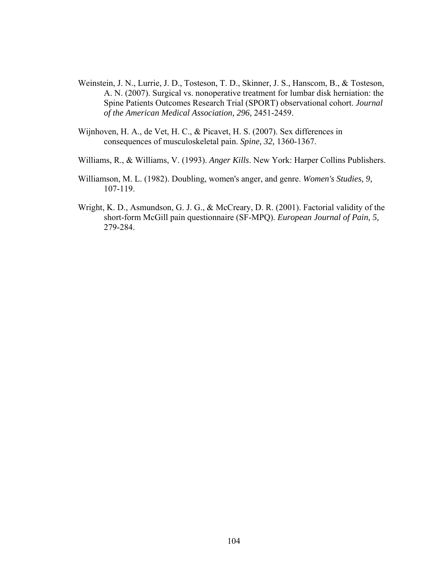- Weinstein, J. N., Lurrie, J. D., Tosteson, T. D., Skinner, J. S., Hanscom, B., & Tosteson, A. N. (2007). Surgical vs. nonoperative treatment for lumbar disk herniation: the Spine Patients Outcomes Research Trial (SPORT) observational cohort. *Journal of the American Medical Association, 296,* 2451-2459.
- Wijnhoven, H. A., de Vet, H. C., & Picavet, H. S. (2007). Sex differences in consequences of musculoskeletal pain. *Spine, 32,* 1360-1367.
- Williams, R., & Williams, V. (1993). *Anger Kills*. New York: Harper Collins Publishers.
- Williamson, M. L. (1982). Doubling, women's anger, and genre. *Women's Studies, 9,* 107-119.
- Wright, K. D., Asmundson, G. J. G., & McCreary, D. R. (2001). Factorial validity of the short-form McGill pain questionnaire (SF-MPQ). *European Journal of Pain, 5,*  279-284.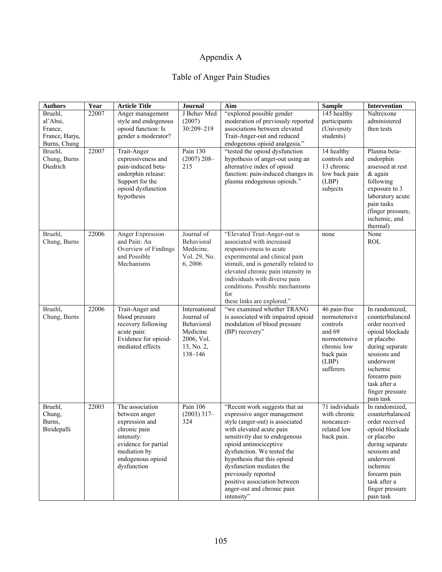# Appendix A

# Table of Anger Pain Studies

| <b>Authors</b>                                                   | Year  | <b>Article Title</b>                                                                                                                                         | <b>Journal</b>                                                                               | Aim                                                                                                                                                                                                                                                                                                                                                                                | <b>Sample</b>                                                                                                        | Intervention                                                                                                                                                                                                     |
|------------------------------------------------------------------|-------|--------------------------------------------------------------------------------------------------------------------------------------------------------------|----------------------------------------------------------------------------------------------|------------------------------------------------------------------------------------------------------------------------------------------------------------------------------------------------------------------------------------------------------------------------------------------------------------------------------------------------------------------------------------|----------------------------------------------------------------------------------------------------------------------|------------------------------------------------------------------------------------------------------------------------------------------------------------------------------------------------------------------|
| Bruehl,<br>al'Absi,<br>France,<br>France, Harju,<br>Burns, Chung | 22007 | Anger management<br>style and endogenous<br>opioid function: Is<br>gender a moderator?                                                                       | J Behav Med<br>(2007)<br>$30:209 - 219$                                                      | "explored possible gender<br>moderation of previously reported<br>associations between elevated<br>Trait-Anger-out and reduced<br>endogenous opioid analgesia."                                                                                                                                                                                                                    | 145 healthy<br>participants<br>(University)<br>students)                                                             | Naltrexone<br>administered<br>then tests                                                                                                                                                                         |
| Bruehl,<br>Chung, Burns<br>Diedrich                              | 22007 | Trait-Anger<br>expressiveness and<br>pain-induced beta-<br>endorphin release:<br>Support for the<br>opioid dysfunction<br>hypothesis                         | Pain 130<br>$(2007)$ 208-<br>215                                                             | "tested the opioid dysfunction<br>hypothesis of anger-out using an<br>alternative index of opioid<br>function: pain-induced changes in<br>plasma endogenous opioids."                                                                                                                                                                                                              | 14 healthy<br>controls and<br>13 chronic<br>low back pain<br>(LBP)<br>subjects                                       | Plasma beta-<br>endorphin<br>assessed at rest<br>& again<br>following<br>exposure to 3<br>laboratory acute<br>pain tasks<br>(finger pressure,<br>ischemic, and<br>thermal)                                       |
| Bruehl,<br>Chung, Burns                                          | 22006 | Anger Expression<br>and Pain: An<br>Overview of Findings<br>and Possible<br>Mechanisms                                                                       | Journal of<br>Behavioral<br>Medicine,<br>Vol. 29, No.<br>6,2006                              | "Elevated Trait-Anger-out is<br>associated with increased<br>responsiveness to acute<br>experimental and clinical pain<br>stimuli, and is generally related to<br>elevated chronic pain intensity in<br>individuals with diverse pain<br>conditions. Possible mechanisms<br>for<br>these links are explored."                                                                      | none                                                                                                                 | None<br><b>ROL</b>                                                                                                                                                                                               |
| Bruehl,<br>Chung, Burns                                          | 22006 | Trait-Anger and<br>blood pressure<br>recovery following<br>acute pain:<br>Evidence for opioid-<br>mediated effects                                           | International<br>Journal of<br>Behavioral<br>Medicine<br>2006, Vol.<br>13, No. 2,<br>138-146 | "we examined whether TRANG<br>is associated with impaired opioid<br>modulation of blood pressure<br>(BP) recovery"                                                                                                                                                                                                                                                                 | 46 pain-free<br>normotensive<br>controls<br>and 69<br>normotensive<br>chronic low<br>back pain<br>(LBP)<br>sufferers | In randomized,<br>counterbalanced<br>order received<br>opioid blockade<br>or placebo<br>during separate<br>sessions and<br>underwent<br>ischemic<br>forearm pain<br>task after a<br>finger pressure<br>pain task |
| Bruehl,<br>Chung,<br>Burns,<br>Biridepalli                       | 22003 | The association<br>between anger<br>expression and<br>chronic pain<br>intensity:<br>evidence for partial<br>mediation by<br>endogenous opioid<br>dysfunction | Pain 106<br>$(2003)$ 317-<br>324                                                             | "Recent work suggests that an<br>expressive anger management<br>style (anger-out) is associated<br>with elevated acute pain<br>sensitivity due to endogenous<br>opioid antinociceptive<br>dysfunction. We tested the<br>hypothesis that this opioid<br>dysfunction mediates the<br>previously reported<br>positive association between<br>anger-out and chronic pain<br>intensity" | 71 individuals<br>with chronic<br>noncancer-<br>related low<br>back pain.                                            | In randomized,<br>counterbalanced<br>order received<br>opioid blockade<br>or placebo<br>during separate<br>sessions and<br>underwent<br>ischemic<br>forearm pain<br>task after a<br>finger pressure<br>pain task |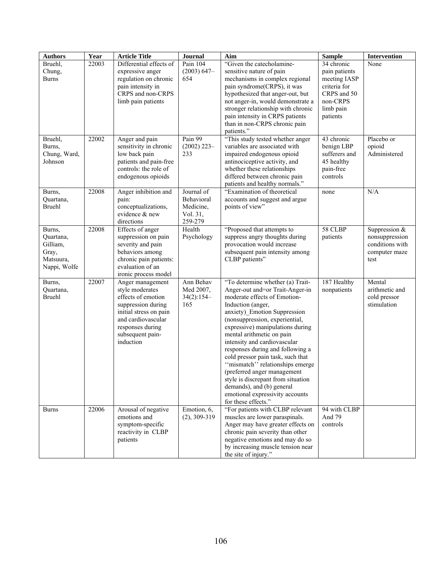| <b>Authors</b>     | Year  | <b>Article Title</b>                         | Journal        | Aim                                                                   | <b>Sample</b>         | Intervention          |
|--------------------|-------|----------------------------------------------|----------------|-----------------------------------------------------------------------|-----------------------|-----------------------|
| Bruehl,            | 22003 | Differential effects of                      | Pain 104       | "Given the catecholamine-                                             | 34 chronic            | None                  |
| Chung,             |       | expressive anger                             | $(2003) 647-$  | sensitive nature of pain                                              | pain patients         |                       |
| Burns              |       | regulation on chronic                        | 654            | mechanisms in complex regional                                        | meeting IASP          |                       |
|                    |       | pain intensity in                            |                | pain syndrome(CRPS), it was                                           | criteria for          |                       |
|                    |       | CRPS and non-CRPS                            |                | hypothesized that anger-out, but                                      | CRPS and 50           |                       |
|                    |       | limb pain patients                           |                | not anger-in, would demonstrate a                                     | non-CRPS              |                       |
|                    |       |                                              |                | stronger relationship with chronic<br>pain intensity in CRPS patients | limb pain<br>patients |                       |
|                    |       |                                              |                | than in non-CRPS chronic pain                                         |                       |                       |
|                    |       |                                              |                | patients."                                                            |                       |                       |
| Bruehl,            | 22002 | Anger and pain                               | Pain 99        | "This study tested whether anger                                      | 43 chronic            | Placebo or            |
| Burns,             |       | sensitivity in chronic                       | $(2002)$ 223-  | variables are associated with                                         | benign LBP            | opioid                |
| Chung, Ward,       |       | low back pain                                | 233            | impaired endogenous opioid                                            | sufferers and         | Administered          |
| Johnson            |       | patients and pain-free                       |                | antinociceptive activity, and                                         | 45 healthy            |                       |
|                    |       | controls: the role of                        |                | whether these relationships                                           | pain-free             |                       |
|                    |       | endogenous opioids                           |                | differed between chronic pain                                         | controls              |                       |
| Burns,             | 22008 | Anger inhibition and                         | Journal of     | patients and healthy normals."<br>"Examination of theoretical         | none                  | N/A                   |
| Quartana,          |       | pain:                                        | Behavioral     | accounts and suggest and argue                                        |                       |                       |
| <b>Bruehl</b>      |       | conceptualizations,                          | Medicine,      | points of view"                                                       |                       |                       |
|                    |       | evidence & new                               | Vol. 31,       |                                                                       |                       |                       |
|                    |       | directions                                   | 259-279        |                                                                       |                       |                       |
| Burns,             | 22008 | Effects of anger                             | Health         | "Proposed that attempts to                                            | 58 CLBP               | Suppression $&$       |
| Quartana,          |       | suppression on pain                          | Psychology     | suppress angry thoughts during                                        | patients              | nonsuppression        |
| Gilliam,           |       | severity and pain                            |                | provocation would increase                                            |                       | conditions with       |
| Gray,<br>Matsuura, |       | behaviors among<br>chronic pain patients:    |                | subsequent pain intensity among<br>CLBP patients"                     |                       | computer maze<br>test |
| Nappi, Wolfe       |       | evaluation of an                             |                |                                                                       |                       |                       |
|                    |       | ironic process model                         |                |                                                                       |                       |                       |
| Burns,             | 22007 | Anger management                             | Ann Behav      | "To determine whether (a) Trait-                                      | 187 Healthy           | Mental                |
| Quartana,          |       | style moderates                              | Med 2007,      | Anger-out and=or Trait-Anger-in                                       | nonpatients           | arithmetic and        |
| <b>Bruehl</b>      |       | effects of emotion                           | $34(2):154-$   | moderate effects of Emotion-                                          |                       | cold pressor          |
|                    |       | suppression during                           | 165            | Induction (anger,                                                     |                       | stimulation           |
|                    |       | initial stress on pain<br>and cardiovascular |                | anxiety) Emotion Suppression<br>(nonsuppression, experiential,        |                       |                       |
|                    |       | responses during                             |                | expressive) manipulations during                                      |                       |                       |
|                    |       | subsequent pain-                             |                | mental arithmetic on pain                                             |                       |                       |
|                    |       | induction                                    |                | intensity and cardiovascular                                          |                       |                       |
|                    |       |                                              |                | responses during and following a                                      |                       |                       |
|                    |       |                                              |                | cold pressor pain task, such that                                     |                       |                       |
|                    |       |                                              |                | "mismatch" relationships emerge                                       |                       |                       |
|                    |       |                                              |                | (preferred anger management                                           |                       |                       |
|                    |       |                                              |                | style is discrepant from situation<br>demands), and (b) general       |                       |                       |
|                    |       |                                              |                | emotional expressivity accounts                                       |                       |                       |
|                    |       |                                              |                | for these effects."                                                   |                       |                       |
| <b>Burns</b>       | 22006 | Arousal of negative                          | Emotion, 6,    | "For patients with CLBP relevant                                      | 94 with CLBP          |                       |
|                    |       | emotions and                                 | $(2), 309-319$ | muscles are lower paraspinals.                                        | And 79                |                       |
|                    |       | symptom-specific                             |                | Anger may have greater effects on                                     | controls              |                       |
|                    |       | reactivity in CLBP                           |                | chronic pain severity than other                                      |                       |                       |
|                    |       | patients                                     |                | negative emotions and may do so<br>by increasing muscle tension near  |                       |                       |
|                    |       |                                              |                | the site of injury."                                                  |                       |                       |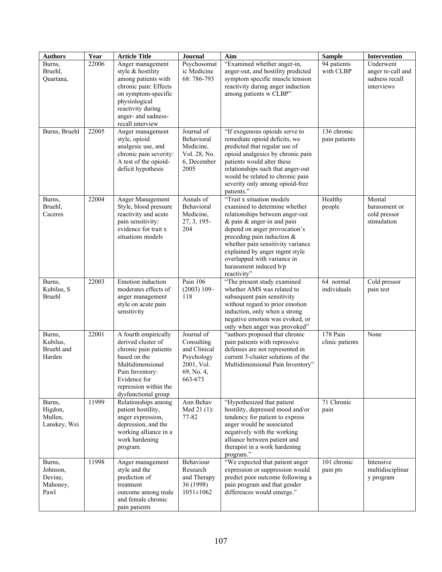| <b>Authors</b>                                    | Year           | <b>Article Title</b>                                                                                                                                                                                              | Journal                                                                                       | Aim                                                                                                                                                                                                                                                                                                                                             | <b>Sample</b>                           | Intervention                                                   |
|---------------------------------------------------|----------------|-------------------------------------------------------------------------------------------------------------------------------------------------------------------------------------------------------------------|-----------------------------------------------------------------------------------------------|-------------------------------------------------------------------------------------------------------------------------------------------------------------------------------------------------------------------------------------------------------------------------------------------------------------------------------------------------|-----------------------------------------|----------------------------------------------------------------|
| Burns,<br>Bruehl,<br>Quartana,<br>Burns, Bruehl   | 22006<br>22005 | Anger management<br>style & hostility<br>among patients with<br>chronic pain: Effects<br>on symptom-specific<br>physiological<br>reactivity during<br>anger- and sadness-<br>recall interview<br>Anger management | Psychosomat<br>ic Medicine<br>68:786-793<br>Journal of                                        | "Examined whether anger-in,<br>anger-out, and hostility predicted<br>symptom specific muscle tension<br>reactivity during anger induction<br>among patients w CLBP"<br>"If exogenous opioids serve to                                                                                                                                           | 94 patients<br>with CLBP<br>136 chronic | Underwent<br>anger re-call and<br>sadness recall<br>interviews |
|                                                   |                | style, opioid<br>analgesic use, and<br>chronic pain severity:<br>A test of the opioid-<br>deficit hypothesis                                                                                                      | Behavioral<br>Medicine,<br>Vol. 28, No.<br>6, December<br>2005                                | remediate opioid deficits, we<br>predicted that regular use of<br>opioid analgesics by chronic pain<br>patients would alter these<br>relationships such that anger-out<br>would be related to chronic pain<br>severity only among opioid-free<br>patients."                                                                                     | pain patients                           |                                                                |
| Burns,<br>Bruehl,<br>Caceres                      | 22004          | Anger Management<br>Style, blood pressure<br>reactivity and acute<br>pain sensitivity:<br>evidence for trait x<br>situations models                                                                               | Annals of<br>Behavioral<br>Medicine,<br>27, 3, 195-<br>204                                    | "Trait x situation models<br>examined to determine whether<br>relationships between anger-out<br>$&$ pain $&$ anger-in and pain<br>depend on anger provocation's<br>preceding pain induction $\&$<br>whether pain sensitivity variance<br>explained by anger mgmt style<br>overlapped with variance in<br>harassment induced b/p<br>reactivity" | Healthy<br>people                       | Mental<br>harassment or<br>cold pressor<br>stimulation         |
| Burns,<br>Kubilus, S<br><b>Bruehl</b>             | 22003          | Emotion induction<br>moderates effects of<br>anger management<br>style on acute pain<br>sensitivity                                                                                                               | Pain 106<br>$(2003) 109 -$<br>118                                                             | "The present study examined<br>whether AMS was related to<br>subsequent pain sensitivity<br>without regard to prior emotion<br>induction, only when a strong<br>negative emotion was evoked, or<br>only when anger was provoked"                                                                                                                | 64 normal<br>individuals                | Cold pressor<br>pain test                                      |
| Burns,<br>Kubilus,<br>Bruehl and<br>Harden        | 22001          | A fourth empirically<br>derived cluster of<br>chronic pain patients<br>based on the<br>Multidimensional<br>Pain Inventory:<br>Evidence for<br>repression within the<br>dysfunctional group                        | Journal of<br>Consulting<br>and Clinical<br>Psychology<br>2001, Vol.<br>69, No. 4,<br>663-673 | "authors proposed that chronic<br>pain patients with repressive<br>defenses are not represented in<br>current 3-cluster solutions of the<br>Multidimensional Pain Inventory"                                                                                                                                                                    | 178 Pain<br>clinic patients             | None                                                           |
| Burns,<br>Higdon,<br>Mullen,<br>Lanskey, Wei      | 11999          | Relationships among<br>patient hostility,<br>anger expression,<br>depression, and the<br>working alliance in a<br>work hardening<br>program.                                                                      | Ann Behav<br>Med 21 (1):<br>77-82                                                             | "Hypothesized that patient<br>hostility, depressed mood and/or<br>tendency for patient to express<br>anger would be associated<br>negatively with the working<br>alliance between patient and<br>therapist in a work hardening<br>program."                                                                                                     | 71 Chronic<br>pain                      |                                                                |
| Burns,<br>Johnson,<br>Devine,<br>Mahoney,<br>Pawl | 11998          | Anger management<br>style and the<br>prediction of<br>treatment<br>outcome among male<br>and female chronic<br>pain patients                                                                                      | Behaviour<br>Research<br>and Therapy<br>36 (1998)<br>$1051 \pm 1062$                          | "We expected that patient anger<br>expression or suppression would<br>predict poor outcome following a<br>pain program and that gender<br>differences would emerge."                                                                                                                                                                            | 101 chronic<br>pain pts                 | Intensive<br>multidisciplinar<br>y program                     |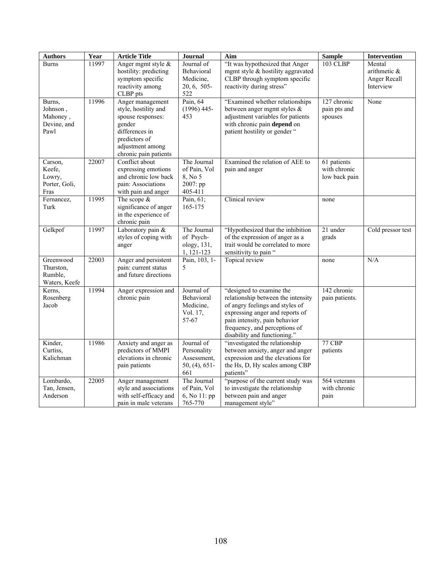| <b>Authors</b>       | Year  | <b>Article Title</b>                     | Journal                   | Aim                                                               | <b>Sample</b>  | <b>Intervention</b> |
|----------------------|-------|------------------------------------------|---------------------------|-------------------------------------------------------------------|----------------|---------------------|
| <b>Burns</b>         | 11997 | Anger mgmt style &                       | Journal of                | "It was hypothesized that Anger                                   | 103 CLBP       | Mental              |
|                      |       | hostility: predicting                    | Behavioral                | mgmt style & hostility aggravated                                 |                | arithmetic &        |
|                      |       | symptom specific                         | Medicine,                 | CLBP through symptom specific                                     |                | Anger Recall        |
|                      |       | reactivity among                         | 20, 6, 505-               | reactivity during stress"                                         |                | Interview           |
|                      |       | CLBP pts                                 | 522                       |                                                                   |                |                     |
| Burns,               | 11996 | Anger management<br>style, hostility and | Pain, 64<br>$(1996)$ 445- | "Examined whether relationships<br>between anger mgmt styles $\&$ | 127 chronic    | None                |
| Johnson,<br>Mahoney, |       | spouse responses:                        | 453                       | adjustment variables for patients                                 | pain pts and   |                     |
| Devine, and          |       | gender                                   |                           | with chronic pain depend on                                       | spouses        |                     |
| Pawl                 |       | differences in                           |                           | patient hostility or gender "                                     |                |                     |
|                      |       | predictors of                            |                           |                                                                   |                |                     |
|                      |       | adjustment among                         |                           |                                                                   |                |                     |
|                      |       | chronic pain patients                    |                           |                                                                   |                |                     |
| Carson.              | 22007 | Conflict about                           | The Journal               | Examined the relation of AEE to                                   | 61 patients    |                     |
| Keefe,               |       | expressing emotions                      | of Pain, Vol              | pain and anger                                                    | with chronic   |                     |
| Lowry,               |       | and chronic low back                     | 8, No 5                   |                                                                   | low back pain  |                     |
| Porter, Goli,        |       | pain: Associations                       | 2007: pp                  |                                                                   |                |                     |
| Fras                 |       | with pain and anger                      | 405-411                   |                                                                   |                |                     |
| Fernancez,           | 11995 | The scope $&$                            | Pain, 61;                 | Clinical review                                                   | none           |                     |
| Turk                 |       | significance of anger                    | 165-175                   |                                                                   |                |                     |
|                      |       | in the experience of                     |                           |                                                                   |                |                     |
| Gelkpof              | 11997 | chronic pain<br>Laboratory pain &        | The Journal               | "Hypothesized that the inhibition                                 | 21 under       | Cold pressor test   |
|                      |       | styles of coping with                    | of Psych-                 | of the expression of anger as a                                   | grads          |                     |
|                      |       | anger                                    | ology, 131,               | trait would be correlated to more                                 |                |                     |
|                      |       |                                          | 1, 121-123                | sensitivity to pain "                                             |                |                     |
| Greenwood            | 22003 | Anger and persistent                     | Pain, 103, 1-             | Topical review                                                    | none           | N/A                 |
| Thurston,            |       | pain: current status                     | 5                         |                                                                   |                |                     |
| Rumble,              |       | and future directions                    |                           |                                                                   |                |                     |
| Waters, Keefe        |       |                                          |                           |                                                                   |                |                     |
| Kerns,               | 11994 | Anger expression and                     | Journal of                | "designed to examine the                                          | 142 chronic    |                     |
| Rosenberg            |       | chronic pain                             | Behavioral                | relationship between the intensity                                | pain patients. |                     |
| Jacob                |       |                                          | Medicine,                 | of angry feelings and styles of                                   |                |                     |
|                      |       |                                          | Vol. 17,                  | expressing anger and reports of                                   |                |                     |
|                      |       |                                          | 57-67                     | pain intensity, pain behavior                                     |                |                     |
|                      |       |                                          |                           | frequency, and perceptions of<br>disability and functioning."     |                |                     |
| Kinder,              | 11986 | Anxiety and anger as                     | Journal of                | "investigated the relationship                                    | 77 CBP         |                     |
| Curtiss,             |       | predictors of MMPI                       | Personality               | between anxiety, anger and anger                                  | patients       |                     |
| Kalichman            |       | elevations in chronic                    | Assessment,               | expression and the elevations for                                 |                |                     |
|                      |       | pain patients                            | $50, (4), 651$ -          | the Hs, D, Hy scales among CBP                                    |                |                     |
|                      |       |                                          | 661                       | patients"                                                         |                |                     |
| Lombardo,            | 22005 | Anger management                         | The Journal               | "purpose of the current study was                                 | 564 veterans   |                     |
| Tan, Jensen,         |       | style and associations                   | of Pain, Vol              | to investigate the relationship                                   | with chronic   |                     |
| Anderson             |       | with self-efficacy and                   | 6, No 11: pp              | between pain and anger                                            | pain           |                     |
|                      |       | pain in male veterans                    | 765-770                   | management style"                                                 |                |                     |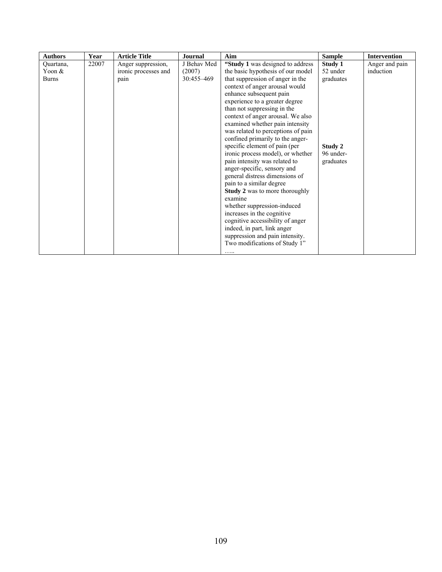| <b>Authors</b> | Year  | <b>Article Title</b> | <b>Journal</b> | Aim                                   | <b>Sample</b> | <b>Intervention</b> |
|----------------|-------|----------------------|----------------|---------------------------------------|---------------|---------------------|
| Ouartana,      | 22007 | Anger suppression,   | J Behav Med    | "Study 1 was designed to address      | Study 1       | Anger and pain      |
| Yoon &         |       | ironic processes and | (2007)         | the basic hypothesis of our model     | 52 under      | induction           |
| <b>Burns</b>   |       | pain                 | 30:455-469     | that suppression of anger in the      | graduates     |                     |
|                |       |                      |                | context of anger arousal would        |               |                     |
|                |       |                      |                | enhance subsequent pain               |               |                     |
|                |       |                      |                | experience to a greater degree        |               |                     |
|                |       |                      |                | than not suppressing in the           |               |                     |
|                |       |                      |                | context of anger arousal. We also     |               |                     |
|                |       |                      |                | examined whether pain intensity       |               |                     |
|                |       |                      |                | was related to perceptions of pain    |               |                     |
|                |       |                      |                | confined primarily to the anger-      |               |                     |
|                |       |                      |                | specific element of pain (per         | Study 2       |                     |
|                |       |                      |                | ironic process model), or whether     | 96 under-     |                     |
|                |       |                      |                | pain intensity was related to         | graduates     |                     |
|                |       |                      |                | anger-specific, sensory and           |               |                     |
|                |       |                      |                | general distress dimensions of        |               |                     |
|                |       |                      |                | pain to a similar degree              |               |                     |
|                |       |                      |                | <b>Study 2</b> was to more thoroughly |               |                     |
|                |       |                      |                | examine                               |               |                     |
|                |       |                      |                | whether suppression-induced           |               |                     |
|                |       |                      |                | increases in the cognitive            |               |                     |
|                |       |                      |                | cognitive accessibility of anger      |               |                     |
|                |       |                      |                | indeed, in part, link anger           |               |                     |
|                |       |                      |                | suppression and pain intensity.       |               |                     |
|                |       |                      |                | Two modifications of Study 1"         |               |                     |
|                |       |                      |                | .                                     |               |                     |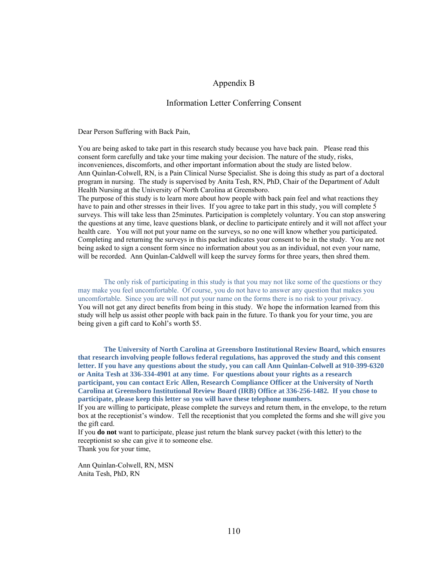#### Appendix B

#### Information Letter Conferring Consent

Dear Person Suffering with Back Pain,

You are being asked to take part in this research study because you have back pain. Please read this consent form carefully and take your time making your decision. The nature of the study, risks, inconveniences, discomforts, and other important information about the study are listed below. Ann Quinlan-Colwell, RN, is a Pain Clinical Nurse Specialist. She is doing this study as part of a doctoral program in nursing. The study is supervised by Anita Tesh, RN, PhD, Chair of the Department of Adult Health Nursing at the University of North Carolina at Greensboro.

The purpose of this study is to learn more about how people with back pain feel and what reactions they have to pain and other stresses in their lives. If you agree to take part in this study, you will complete 5 surveys. This will take less than 25minutes. Participation is completely voluntary. You can stop answering the questions at any time, leave questions blank, or decline to participate entirely and it will not affect your health care. You will not put your name on the surveys, so no one will know whether you participated. Completing and returning the surveys in this packet indicates your consent to be in the study. You are not being asked to sign a consent form since no information about you as an individual, not even your name, will be recorded. Ann Quinlan-Caldwell will keep the survey forms for three years, then shred them.

The only risk of participating in this study is that you may not like some of the questions or they may make you feel uncomfortable. Of course, you do not have to answer any question that makes you uncomfortable. Since you are will not put your name on the forms there is no risk to your privacy. You will not get any direct benefits from being in this study. We hope the information learned from this study will help us assist other people with back pain in the future. To thank you for your time, you are being given a gift card to Kohl's worth \$5.

**The University of North Carolina at Greensboro Institutional Review Board, which ensures that research involving people follows federal regulations, has approved the study and this consent letter. If you have any questions about the study, you can call Ann Quinlan-Colwell at 910-399-6320 or Anita Tesh at 336-334-4901 at any time. For questions about your rights as a research participant, you can contact Eric Allen, Research Compliance Officer at the University of North Carolina at Greensboro Institutional Review Board (IRB) Office at 336-256-1482. If you chose to participate, please keep this letter so you will have these telephone numbers.** 

If you are willing to participate, please complete the surveys and return them, in the envelope, to the return box at the receptionist's window. Tell the receptionist that you completed the forms and she will give you the gift card.

If you **do not** want to participate, please just return the blank survey packet (with this letter) to the receptionist so she can give it to someone else. Thank you for your time,

Ann Quinlan-Colwell, RN, MSN Anita Tesh, PhD, RN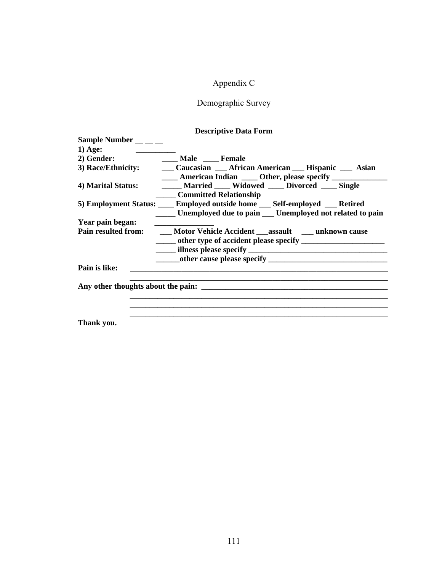## Appendix C

# Demographic Survey

### **Descriptive Data Form**

| <b>Sample Number</b>      |                                                                                                   |
|---------------------------|---------------------------------------------------------------------------------------------------|
| $1)$ Age:                 |                                                                                                   |
| 2) Gender:                | <b>Male</b> Female                                                                                |
|                           | 3) Race/Ethnicity: Caucasian African American Hispanic Asian                                      |
|                           | <b>EXAMPLE 2018</b> American Indian <b>Legation 2018</b> Other, please specify <b>LEDITE 2018</b> |
| 4) Marital Status:        | Married ____ Widowed ____ Divorced ____ Single                                                    |
|                           | <b>Committed Relationship</b>                                                                     |
|                           | 5) Employment Status: _____ Employed outside home ____ Self-employed ____ Retired                 |
|                           | _____ Unemployed due to pain ___ Unemployed not related to pain                                   |
| Year pain began:          |                                                                                                   |
|                           | Pain resulted from: ______ Motor Vehicle Accident _______ assault ________ unknown cause          |
|                           | ______ other type of accident please specify ___________________________________                  |
|                           |                                                                                                   |
|                           |                                                                                                   |
| Pain is like:             |                                                                                                   |
|                           |                                                                                                   |
|                           | Any other thoughts about the pain:                                                                |
|                           |                                                                                                   |
|                           |                                                                                                   |
|                           |                                                                                                   |
| $\mathbf{m}$ $\mathbf{r}$ |                                                                                                   |

**Thank you.**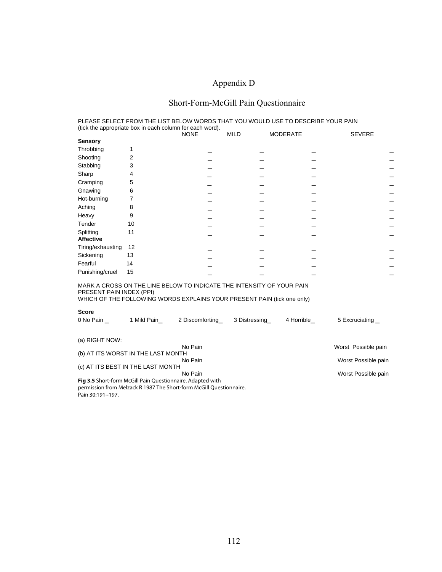# Appendix D

# Short-Form-McGill Pain Questionnaire

|                                                                      |                                                            | PLEASE SELECT FROM THE LIST BELOW WORDS THAT YOU WOULD USE TO DESCRIBE YOUR PAIN                                                                 |               |                 |                |  |  |
|----------------------------------------------------------------------|------------------------------------------------------------|--------------------------------------------------------------------------------------------------------------------------------------------------|---------------|-----------------|----------------|--|--|
|                                                                      | (tick the appropriate box in each column for each word).   | <b>NONE</b>                                                                                                                                      | <b>MILD</b>   | <b>MODERATE</b> | <b>SEVERE</b>  |  |  |
| <b>Sensory</b>                                                       |                                                            |                                                                                                                                                  |               |                 |                |  |  |
| Throbbing                                                            | 1                                                          |                                                                                                                                                  |               |                 |                |  |  |
| Shooting                                                             | 2                                                          |                                                                                                                                                  |               |                 |                |  |  |
| Stabbing                                                             | 3                                                          |                                                                                                                                                  |               |                 |                |  |  |
| Sharp                                                                | 4                                                          |                                                                                                                                                  |               |                 |                |  |  |
| Cramping                                                             | 5                                                          |                                                                                                                                                  |               |                 |                |  |  |
| Gnawing                                                              | 6                                                          |                                                                                                                                                  |               |                 |                |  |  |
| Hot-burning                                                          | 7                                                          |                                                                                                                                                  |               |                 |                |  |  |
| Aching                                                               | 8                                                          |                                                                                                                                                  |               |                 |                |  |  |
| Heavy                                                                | 9                                                          |                                                                                                                                                  |               |                 |                |  |  |
| Tender                                                               | 10                                                         |                                                                                                                                                  |               |                 |                |  |  |
| Splitting<br><b>Affective</b>                                        | 11                                                         |                                                                                                                                                  |               |                 |                |  |  |
| Tiring/exhausting                                                    | 12                                                         |                                                                                                                                                  |               |                 |                |  |  |
| Sickening                                                            | 13                                                         |                                                                                                                                                  |               |                 |                |  |  |
| Fearful                                                              | 14                                                         |                                                                                                                                                  |               |                 |                |  |  |
| Punishing/cruel                                                      | 15                                                         |                                                                                                                                                  |               |                 |                |  |  |
| PRESENT PAIN INDEX (PPI)                                             |                                                            | MARK A CROSS ON THE LINE BELOW TO INDICATE THE INTENSITY OF YOUR PAIN<br>WHICH OF THE FOLLOWING WORDS EXPLAINS YOUR PRESENT PAIN (tick one only) |               |                 |                |  |  |
| <b>Score</b>                                                         |                                                            |                                                                                                                                                  |               |                 |                |  |  |
| 0 No Pain                                                            | 1 Mild Pain                                                | 2 Discomforting                                                                                                                                  | 3 Distressing | 4 Horrible      | 5 Excruciating |  |  |
| (a) RIGHT NOW:                                                       |                                                            |                                                                                                                                                  |               |                 |                |  |  |
| No Pain<br>Worst Possible pain<br>(b) AT ITS WORST IN THE LAST MONTH |                                                            |                                                                                                                                                  |               |                 |                |  |  |
| No Pain<br>Worst Possible pain                                       |                                                            |                                                                                                                                                  |               |                 |                |  |  |
| (c) AT ITS BEST IN THE LAST MONTH                                    |                                                            |                                                                                                                                                  |               |                 |                |  |  |
| No Pain<br>Worst Possible pain                                       |                                                            |                                                                                                                                                  |               |                 |                |  |  |
|                                                                      | Fig 3.5 Short-form McGill Pain Questionnaire. Adapted with | permission from Melzack R 1987 The Short-form McGill Questionnaire.                                                                              |               |                 |                |  |  |

Pain 30:191-197.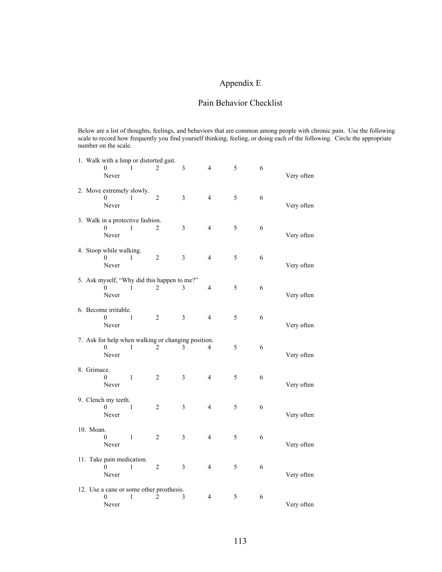### Appendix E

### Pain Behavior Checklist

Below are a list of thoughts, feelings, and behaviors that are common among people with chronic pain. Use the following scale to record how frequently you find yourself thinking, feeling, or doing each of the following. Circle the appropriate number on the scale.

|             |                                              | 1. Walk with a limp or distorted gait.                  |                |   |                |   |   |            |
|-------------|----------------------------------------------|---------------------------------------------------------|----------------|---|----------------|---|---|------------|
|             | 0<br>Never                                   | 1                                                       | 2              | 3 | 4              | 5 | 6 | Very often |
|             | 2. Move extremely slowly.<br>0<br>Never      | 1                                                       | $\overline{c}$ | 3 | 4              | 5 | 6 | Very often |
|             | $\Omega$<br>Never                            | 3. Walk in a protective fashion.<br>1                   | 2              | 3 | $\overline{4}$ | 5 | 6 | Very often |
|             | 4. Stoop while walking.<br>$\theta$<br>Never | 1                                                       | 2              | 3 | $\overline{4}$ | 5 | 6 | Very often |
|             | 0<br>Never                                   | 5. Ask myself, "Why did this happen to me?"<br>1        | 2              | 3 | 4              | 5 | 6 | Very often |
|             | 6. Become irritable.<br>$\theta$<br>Never    | 1                                                       | 2              | 3 | $\overline{4}$ | 5 | 6 | Very often |
|             | 0<br>Never                                   | 7. Ask for help when walking or changing position.<br>1 | 2              | 3 | 4              | 5 | 6 | Very often |
| 8. Grimace. | 0<br>Never                                   | 1                                                       | $\overline{c}$ | 3 | 4              | 5 | 6 | Very often |
|             | 9. Clench my teeth.<br>$\Omega$<br>Never     | 1                                                       | 2              | 3 | 4              | 5 | 6 | Very often |
| 10. Moan.   | 0<br>Never                                   | $\mathbf{1}$                                            | $\overline{c}$ | 3 | 4              | 5 | 6 | Very often |
|             | 11. Take pain medication.<br>0<br>Never      | 1                                                       | 2              | 3 | 4              | 5 | 6 | Very often |
|             | 0<br>Never                                   | 12. Use a cane or some other prosthesis.<br>1           | 2              | 3 | 4              | 5 | 6 | Very often |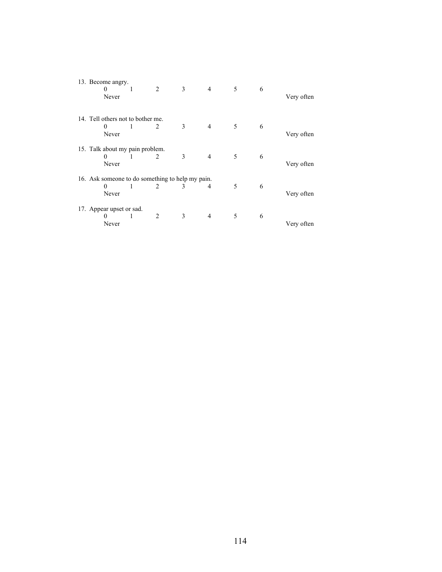| 13. Become angry.<br>0<br>Never                  | 1 | 2              | 3 | $\overline{4}$ | 5 | 6 | Very often |
|--------------------------------------------------|---|----------------|---|----------------|---|---|------------|
| 14. Tell others not to bother me.                |   |                |   |                |   |   |            |
| $\Omega$                                         | 1 | 2              | 3 | $\overline{4}$ | 5 | 6 |            |
| Never                                            |   |                |   |                |   |   | Very often |
| 15. Talk about my pain problem.                  |   |                |   |                |   |   |            |
| 0                                                | 1 | 2              | 3 | $\overline{4}$ | 5 | 6 |            |
| Never                                            |   |                |   |                |   |   | Very often |
| 16. Ask someone to do something to help my pain. |   |                |   |                |   |   |            |
| $\theta$                                         | 1 | 2              | 3 | 4              | 5 | 6 |            |
| Never                                            |   |                |   |                |   |   | Very often |
| 17. Appear upset or sad.                         |   |                |   |                |   |   |            |
| $_{0}$                                           |   | $\mathfrak{D}$ | 3 | 4              | 5 | 6 |            |
| Never                                            |   |                |   |                |   |   | Very often |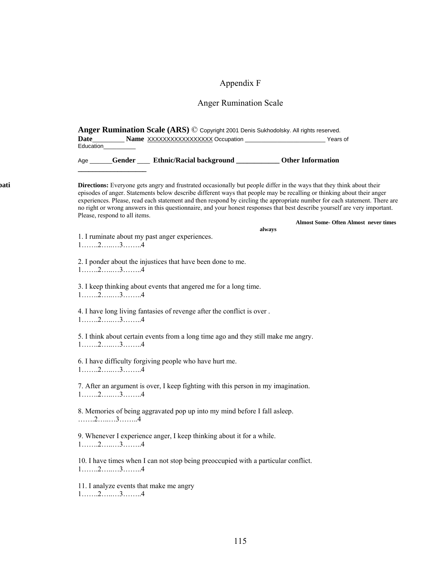## Appendix F

# Anger Rumination Scale

|      | Anger Rumination Scale (ARS) © Copyright 2001 Denis Sukhodolsky. All rights reserved.                                                                                                                                                                                                                                                                                                                                                                                                                                                        |                                              |  |  |  |  |  |  |
|------|----------------------------------------------------------------------------------------------------------------------------------------------------------------------------------------------------------------------------------------------------------------------------------------------------------------------------------------------------------------------------------------------------------------------------------------------------------------------------------------------------------------------------------------------|----------------------------------------------|--|--|--|--|--|--|
|      | Date                                                                                                                                                                                                                                                                                                                                                                                                                                                                                                                                         |                                              |  |  |  |  |  |  |
|      | Education                                                                                                                                                                                                                                                                                                                                                                                                                                                                                                                                    |                                              |  |  |  |  |  |  |
|      | Age _____Gender ____ Ethnic/Racial background ____________ Other Information                                                                                                                                                                                                                                                                                                                                                                                                                                                                 |                                              |  |  |  |  |  |  |
| bati | Directions: Everyone gets angry and frustrated occasionally but people differ in the ways that they think about their<br>episodes of anger. Statements below describe different ways that people may be recalling or thinking about their anger<br>experiences. Please, read each statement and then respond by circling the appropriate number for each statement. There are<br>no right or wrong answers in this questionnaire, and your honest responses that best describe yourself are very important.<br>Please, respond to all items. | <b>Almost Some- Often Almost never times</b> |  |  |  |  |  |  |
|      |                                                                                                                                                                                                                                                                                                                                                                                                                                                                                                                                              | always                                       |  |  |  |  |  |  |
|      | 1. I ruminate about my past anger experiences.<br>$1, \ldots, 2, \ldots, 3, \ldots, 4$                                                                                                                                                                                                                                                                                                                                                                                                                                                       |                                              |  |  |  |  |  |  |
|      |                                                                                                                                                                                                                                                                                                                                                                                                                                                                                                                                              |                                              |  |  |  |  |  |  |
|      | 2. I ponder about the injustices that have been done to me.<br>$1, \ldots, 2, \ldots, 3, \ldots, 4$                                                                                                                                                                                                                                                                                                                                                                                                                                          |                                              |  |  |  |  |  |  |
|      | 3. I keep thinking about events that angered me for a long time.<br>$1, \ldots, 2, \ldots, 3, \ldots, 4$                                                                                                                                                                                                                                                                                                                                                                                                                                     |                                              |  |  |  |  |  |  |
|      | 4. I have long living fantasies of revenge after the conflict is over.<br>$1, \ldots, 2, \ldots, 3, \ldots, 4$                                                                                                                                                                                                                                                                                                                                                                                                                               |                                              |  |  |  |  |  |  |
|      | 5. I think about certain events from a long time ago and they still make me angry.<br>$1, \ldots, 2, \ldots, 3, \ldots, 4$                                                                                                                                                                                                                                                                                                                                                                                                                   |                                              |  |  |  |  |  |  |
|      | 6. I have difficulty forgiving people who have hurt me.<br>$1, \ldots, 2, \ldots, 3, \ldots, 4$                                                                                                                                                                                                                                                                                                                                                                                                                                              |                                              |  |  |  |  |  |  |
|      | 7. After an argument is over, I keep fighting with this person in my imagination.<br>$1, \ldots, 2, \ldots, 3, \ldots, 4$                                                                                                                                                                                                                                                                                                                                                                                                                    |                                              |  |  |  |  |  |  |
|      | 8. Memories of being aggravated pop up into my mind before I fall asleep.<br>$\ldots \ldots \ldots \ldots \ldots \ldots \ldots \ldots$                                                                                                                                                                                                                                                                                                                                                                                                       |                                              |  |  |  |  |  |  |
|      | 9. Whenever I experience anger, I keep thinking about it for a while.<br>$1, \ldots, 2, \ldots, 3, \ldots, 4$                                                                                                                                                                                                                                                                                                                                                                                                                                |                                              |  |  |  |  |  |  |
|      | 10. I have times when I can not stop being preoccupied with a particular conflict.<br>$1, \ldots, 2, \ldots, 3, \ldots, 4$                                                                                                                                                                                                                                                                                                                                                                                                                   |                                              |  |  |  |  |  |  |
|      | 11. I analyze events that make me angry<br>$1, \ldots, 2, \ldots, 3, \ldots, 4$                                                                                                                                                                                                                                                                                                                                                                                                                                                              |                                              |  |  |  |  |  |  |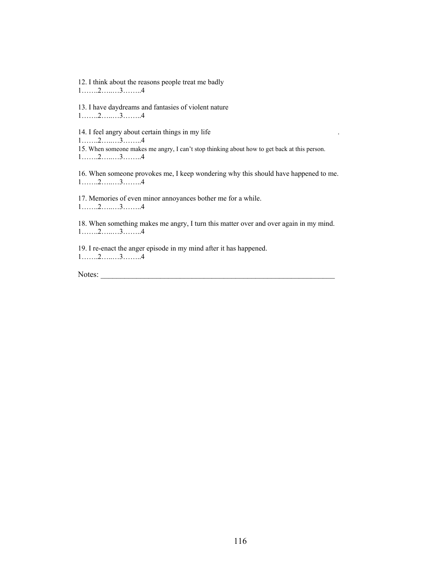12. I think about the reasons people treat me badly 1…….2…..…3……..4

13. I have daydreams and fantasies of violent nature 1…….2…..…3……..4

14. I feel angry about certain things in my life 1…….2…..…3……..4 15. When someone makes me angry, I can't stop thinking about how to get back at this person. 1…….2…..…3……..4

16. When someone provokes me, I keep wondering why this should have happened to me. 1…….2…..…3……..4

17. Memories of even minor annoyances bother me for a while. 1…….2…..…3……..4

18. When something makes me angry, I turn this matter over and over again in my mind. 1…….2…..…3……..4

19. I re-enact the anger episode in my mind after it has happened. 1…….2…..…3……..4

Notes: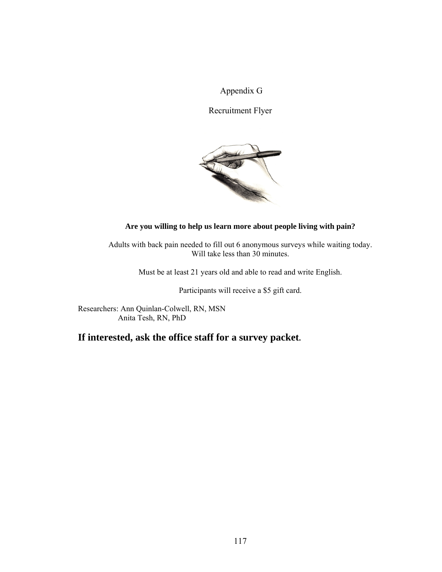Appendix G

Recruitment Flyer



#### **Are you willing to help us learn more about people living with pain?**

Adults with back pain needed to fill out 6 anonymous surveys while waiting today. Will take less than 30 minutes.

Must be at least 21 years old and able to read and write English.

Participants will receive a \$5 gift card.

Researchers: Ann Quinlan-Colwell, RN, MSN Anita Tesh, RN, PhD

**If interested, ask the office staff for a survey packet.**